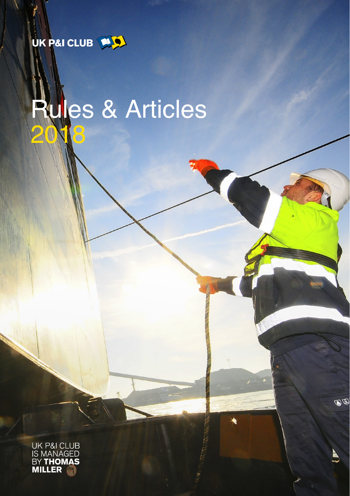UK P&I CLUB **P.D.** 

# les & Articles 30

UK P&I CLUB<br>IS MANAGED<br>BY **THOMAS**<br>**MILLER** 

 $\mathbb{Q} \mathbb{Q}$ 

ė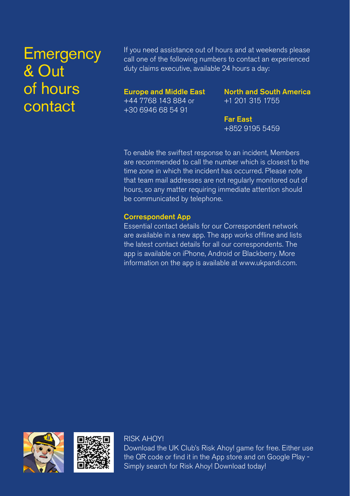# **Emergency** & Out of hours contact

If you need assistance out of hours and at weekends please call one of the following numbers to contact an experienced duty claims executive, available 24 hours a day:

### Europe and Middle East +44 7768 143 884 or +30 6946 68 54 91

North and South America +1 201 315 1755

Far East +852 9195 5459

To enable the swiftest response to an incident, Members are recommended to call the number which is closest to the time zone in which the incident has occurred. Please note that team mail addresses are not regularly monitored out of hours, so any matter requiring immediate attention should be communicated by telephone.

### Correspondent App

Essential contact details for our Correspondent network are available in a new app. The app works offline and lists the latest contact details for all our correspondents. The app is available on iPhone, Android or Blackberry. More information on the app is available at www.ukpandi.com.





RISK AHOY! Download the UK Club's Risk Ahoy! game for free. Either use the QR code or find it in the App store and on Google Play - Simply search for Risk Ahoy! Download today!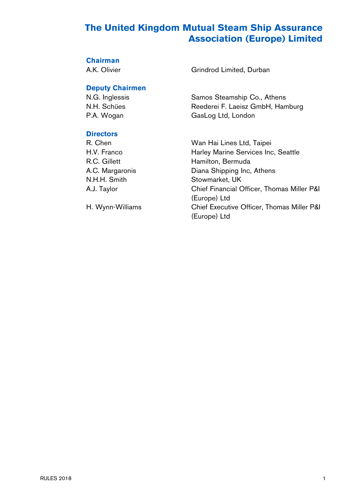# **The United Kingdom Mutual Steam Ship Assurance Association (Europe) Limited**

# **Chairman**<br>A.K. Olivier

#### **Deputy Chairmen**

### **Directors**

N.H.H. Smith Stowmarket, UK

Grindrod Limited, Durban

N.G. Inglessis Samos Steamship Co., Athens N.H. Schües Reederei F. Laeisz GmbH, Hamburg P.A. Wogan GasLog Ltd, London

R. Chen Wan Hai Lines Ltd, Taipei H.V. Franco **Harley Marine Services Inc, Seattle** R.C. Gillett Hamilton, Bermuda A.C. Margaronis Diana Shipping Inc, Athens A.J. Taylor Chief Financial Officer, Thomas Miller P&I (Europe) Ltd H. Wynn-Williams Chief Executive Officer, Thomas Miller P&I (Europe) Ltd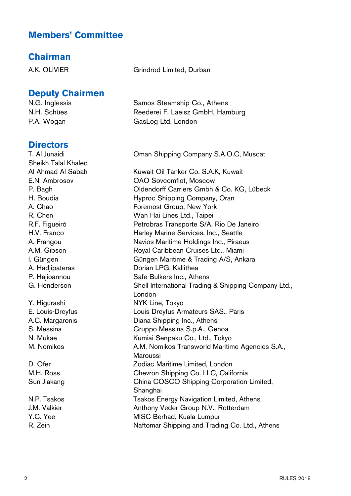# **Members' Committee**

### **Chairman**

### **Deputy Chairmen**

### **Directors**

Sheikh Talal Khaled Y. Higurashi NYK Line, Tokyo

A.K. OLIVIER Grindrod Limited, Durban

N.G. Inglessis Samos Steamship Co., Athens N.H. Schües Reederei F. Laeisz GmbH, Hamburg P.A. Wogan GasLog Ltd, London

T. Al Junaidi Oman Shipping Company S.A.O.C, Muscat

Al Ahmad Al Sabah Kuwait Oil Tanker Co. S.A.K, Kuwait E.N. Ambrosov OAO Sovcomflot, Moscow P. Bagh Oldendorff Carriers Gmbh & Co. KG, Lübeck H. Boudia Hyproc Shipping Company, Oran A. Chao **Foremost Group, New York** R. Chen Wan Hai Lines Ltd., Taipei R.F. Figueiró Petrobras Transporte S/A, Rio De Janeiro H.V. Franco **Harley Marine Services, Inc., Seattle** A. Frangou Navios Maritime Holdings Inc., Piraeus A.M. Gibson Royal Caribbean Cruises Ltd., Miami I. Güngen Güngen Maritime & Trading A/S, Ankara A. Hadjipateras Dorian LPG, Kallithea P. Hajioannou Safe Bulkers Inc., Athens G. Henderson Shell International Trading & Shipping Company Ltd., London E. Louis-Dreyfus Louis Dreyfus Armateurs SAS., Paris A.C. Margaronis Diana Shipping Inc., Athens S. Messina Gruppo Messina S.p.A., Genoa N. Mukae Kumiai Senpaku Co., Ltd., Tokyo M. Nomikos **M. Nomikos Transworld Maritime Agencies S.A.**, Maroussi D. Ofer Zodiac Maritime Limited, London M.H. Ross Chevron Shipping Co. LLC, California Sun Jiakang China COSCO Shipping Corporation Limited, **Shanghai** N.P. Tsakos **The Takos Energy Navigation Limited, Athens** J.M. Valkier **Anthony Veder Group N.V., Rotterdam** Y.C. Yee MISC Berhad, Kuala Lumpur R. Zein **Naftomar Shipping and Trading Co. Ltd., Athens**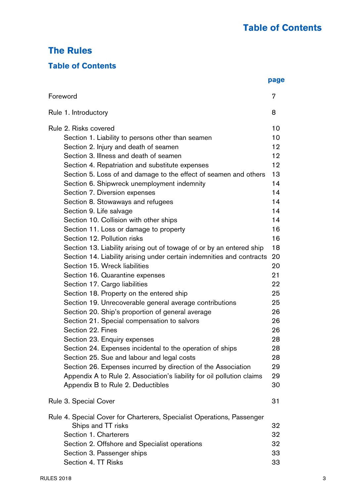# **The Rules**

# **Table of Contents**

|                                                                        | page |
|------------------------------------------------------------------------|------|
| Foreword                                                               | 7    |
| Rule 1. Introductory                                                   | 8    |
| Rule 2. Risks covered                                                  | 10   |
| Section 1. Liability to persons other than seamen                      | 10   |
| Section 2. Injury and death of seamen                                  | 12   |
| Section 3. Illness and death of seamen                                 | 12   |
| Section 4. Repatriation and substitute expenses                        | 12   |
| Section 5. Loss of and damage to the effect of seamen and others       | 13   |
| Section 6. Shipwreck unemployment indemnity                            | 14   |
| Section 7. Diversion expenses                                          | 14   |
| Section 8. Stowaways and refugees                                      | 14   |
| Section 9. Life salvage                                                | 14   |
| Section 10. Collision with other ships                                 | 14   |
| Section 11. Loss or damage to property                                 | 16   |
| Section 12. Pollution risks                                            | 16   |
| Section 13. Liability arising out of towage of or by an entered ship   | 18   |
| Section 14. Liability arising under certain indemnities and contracts  | 20   |
| Section 15. Wreck liabilities                                          | 20   |
| Section 16. Quarantine expenses                                        | 21   |
| Section 17. Cargo liabilities                                          | 22   |
| Section 18. Property on the entered ship                               | 25   |
| Section 19. Unrecoverable general average contributions                | 25   |
| Section 20. Ship's proportion of general average                       | 26   |
| Section 21. Special compensation to salvors                            | 26   |
| Section 22. Fines                                                      | 26   |
| Section 23. Enquiry expenses                                           | 28   |
| Section 24. Expenses incidental to the operation of ships              | 28   |
| Section 25. Sue and labour and legal costs                             | 28   |
| Section 26. Expenses incurred by direction of the Association          | 29   |
| Appendix A to Rule 2. Association's liability for oil pollution claims | 29   |
| Appendix B to Rule 2. Deductibles                                      | 30   |
| Rule 3. Special Cover                                                  | 31   |
| Rule 4. Special Cover for Charterers, Specialist Operations, Passenger |      |
| Ships and TT risks                                                     | 32   |
| Section 1. Charterers                                                  | 32   |
| Section 2. Offshore and Specialist operations                          | 32   |
| Section 3. Passenger ships                                             | 33   |
| Section 4. TT Risks                                                    | 33   |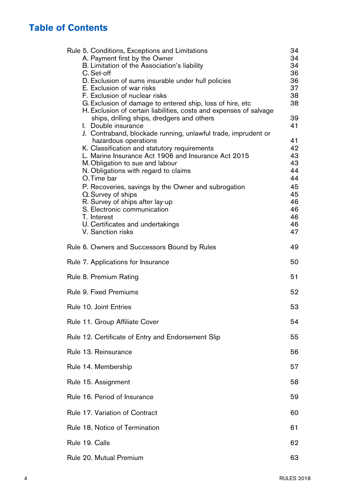# **Table of Contents**

| 34 |
|----|
| 34 |
| 34 |
| 36 |
| 36 |
| 37 |
| 38 |
| 38 |
|    |
| 39 |
| 41 |
|    |
| 41 |
| 42 |
| 43 |
| 43 |
| 44 |
| 44 |
|    |
| 45 |
| 45 |
| 46 |
| 46 |
| 46 |
| 46 |
| 47 |
| 49 |
| 50 |
| 51 |
| 52 |
| 53 |
|    |
| 54 |
| 55 |
| 56 |
| 57 |
| 58 |
|    |
| 59 |
| 60 |
| 61 |
| 62 |
| 63 |
|    |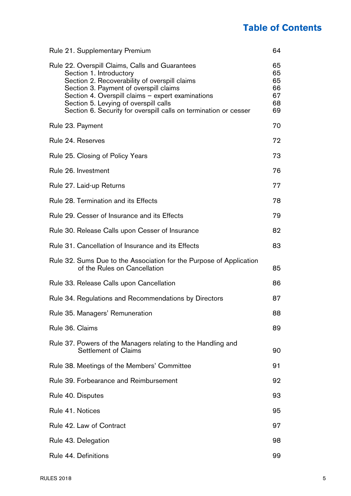# **Table of Contents**

| Rule 21. Supplementary Premium                                                                                                                                                                                                                                                                                                          | 64                                     |
|-----------------------------------------------------------------------------------------------------------------------------------------------------------------------------------------------------------------------------------------------------------------------------------------------------------------------------------------|----------------------------------------|
| Rule 22. Overspill Claims, Calls and Guarantees<br>Section 1. Introductory<br>Section 2. Recoverability of overspill claims<br>Section 3. Payment of overspill claims<br>Section 4. Overspill claims - expert examinations<br>Section 5. Levying of overspill calls<br>Section 6. Security for overspill calls on termination or cesser | 65<br>65<br>65<br>66<br>67<br>68<br>69 |
| Rule 23. Payment                                                                                                                                                                                                                                                                                                                        | 70                                     |
| Rule 24. Reserves                                                                                                                                                                                                                                                                                                                       | 72                                     |
| Rule 25. Closing of Policy Years                                                                                                                                                                                                                                                                                                        | 73                                     |
| Rule 26. Investment                                                                                                                                                                                                                                                                                                                     | 76                                     |
| Rule 27. Laid-up Returns                                                                                                                                                                                                                                                                                                                | 77                                     |
| Rule 28. Termination and its Effects                                                                                                                                                                                                                                                                                                    | 78                                     |
| Rule 29. Cesser of Insurance and its Effects                                                                                                                                                                                                                                                                                            | 79                                     |
| Rule 30. Release Calls upon Cesser of Insurance                                                                                                                                                                                                                                                                                         | 82                                     |
| Rule 31. Cancellation of Insurance and its Effects                                                                                                                                                                                                                                                                                      | 83                                     |
| Rule 32. Sums Due to the Association for the Purpose of Application<br>of the Rules on Cancellation                                                                                                                                                                                                                                     | 85                                     |
| Rule 33. Release Calls upon Cancellation                                                                                                                                                                                                                                                                                                | 86                                     |
| Rule 34. Regulations and Recommendations by Directors                                                                                                                                                                                                                                                                                   | 87                                     |
| Rule 35. Managers' Remuneration                                                                                                                                                                                                                                                                                                         | 88                                     |
| Rule 36, Claims                                                                                                                                                                                                                                                                                                                         | 89                                     |
| Rule 37. Powers of the Managers relating to the Handling and<br>Settlement of Claims                                                                                                                                                                                                                                                    | 90                                     |
| Rule 38. Meetings of the Members' Committee                                                                                                                                                                                                                                                                                             | 91                                     |
| Rule 39. Forbearance and Reimbursement                                                                                                                                                                                                                                                                                                  | 92                                     |
| Rule 40. Disputes                                                                                                                                                                                                                                                                                                                       | 93                                     |
| Rule 41. Notices                                                                                                                                                                                                                                                                                                                        | 95                                     |
| Rule 42. Law of Contract                                                                                                                                                                                                                                                                                                                | 97                                     |
| Rule 43. Delegation                                                                                                                                                                                                                                                                                                                     | 98                                     |
| Rule 44. Definitions                                                                                                                                                                                                                                                                                                                    | 99                                     |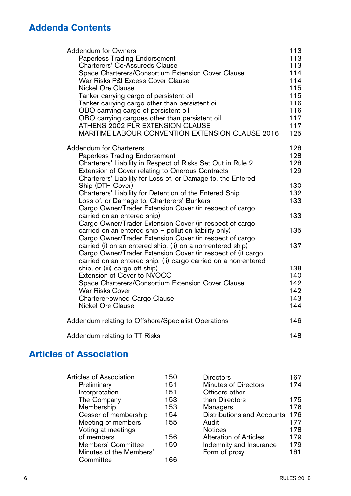# **Addenda Contents**

| <b>Addendum for Owners</b>                                      | 113 |
|-----------------------------------------------------------------|-----|
| Paperless Trading Endorsement                                   | 113 |
| Charterers' Co-Assureds Clause                                  | 113 |
| Space Charterers/Consortium Extension Cover Clause              | 114 |
| War Risks P&I Excess Cover Clause                               | 114 |
| Nickel Ore Clause                                               | 115 |
| Tanker carrying cargo of persistent oil                         | 115 |
| Tanker carrying cargo other than persistent oil                 | 116 |
| OBO carrying cargo of persistent oil                            | 116 |
| OBO carrying cargoes other than persistent oil                  | 117 |
| ATHENS 2002 PLR EXTENSION CLAUSE                                | 117 |
| <b>MARITIME LABOUR CONVENTION EXTENSION CLAUSE 2016</b>         | 125 |
| <b>Addendum for Charterers</b>                                  | 128 |
| Paperless Trading Endorsement                                   | 128 |
| Charterers' Liability in Respect of Risks Set Out in Rule 2     | 128 |
| <b>Extension of Cover relating to Onerous Contracts</b>         | 129 |
| Charterers' Liability for Loss of, or Damage to, the Entered    |     |
| Ship (DTH Cover)                                                | 130 |
| Charterers' Liability for Detention of the Entered Ship         | 132 |
| Loss of, or Damage to, Charterers' Bunkers                      | 133 |
| Cargo Owner/Trader Extension Cover (in respect of cargo         |     |
| carried on an entered ship)                                     | 133 |
| Cargo Owner/Trader Extension Cover (in respect of cargo         |     |
| carried on an entered ship - pollution liability only)          | 135 |
| Cargo Owner/Trader Extension Cover (in respect of cargo         |     |
| carried (i) on an entered ship, (ii) on a non-entered ship)     | 137 |
| Cargo Owner/Trader Extension Cover (in respect of (i) cargo     |     |
| carried on an entered ship, (ii) cargo carried on a non-entered |     |
| ship, or (iii) cargo off ship)                                  | 138 |
| Extension of Cover to NVOCC                                     | 140 |
| Space Charterers/Consortium Extension Cover Clause              | 142 |
| War Risks Cover                                                 | 142 |
| Charterer-owned Cargo Clause                                    | 143 |
| Nickel Ore Clause                                               | 144 |
| Addendum relating to Offshore/Specialist Operations             | 146 |
| Addendum relating to TT Risks                                   | 148 |

# **Articles of Association**

| Articles of Association | 150 | <b>Directors</b>           | 167 |
|-------------------------|-----|----------------------------|-----|
| Preliminary             | 151 | Minutes of Directors       | 174 |
| Interpretation          | 151 | Officers other             |     |
| The Company             | 153 | than Directors             | 175 |
| Membership              | 153 | Managers                   | 176 |
| Cesser of membership    | 154 | Distributions and Accounts | 176 |
| Meeting of members      | 155 | Audit                      | 177 |
| Voting at meetings      |     | <b>Notices</b>             | 178 |
| of members              | 156 | Alteration of Articles     | 179 |
| Members' Committee      | 159 | Indemnity and Insurance    | 179 |
| Minutes of the Members' |     | Form of proxy              | 181 |
| Committee               | 166 |                            |     |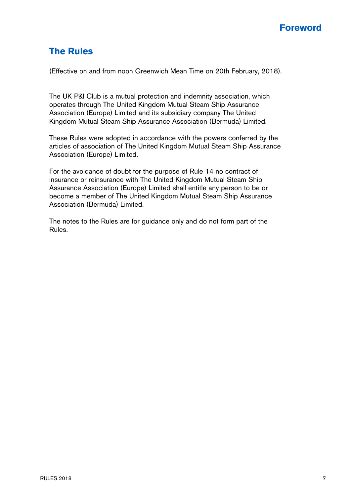# **The Rules**

(Effective on and from noon Greenwich Mean Time on 20th February, 2018).

The UK P&I Club is a mutual protection and indemnity association, which operates through The United Kingdom Mutual Steam Ship Assurance Association (Europe) Limited and its subsidiary company The United Kingdom Mutual Steam Ship Assurance Association (Bermuda) Limited.

These Rules were adopted in accordance with the powers conferred by the articles of association of The United Kingdom Mutual Steam Ship Assurance Association (Europe) Limited.

For the avoidance of doubt for the purpose of Rule 14 no contract of insurance or reinsurance with The United Kingdom Mutual Steam Ship Assurance Association (Europe) Limited shall entitle any person to be or become a member of The United Kingdom Mutual Steam Ship Assurance Association (Bermuda) Limited.

The notes to the Rules are for guidance only and do not form part of the Rules.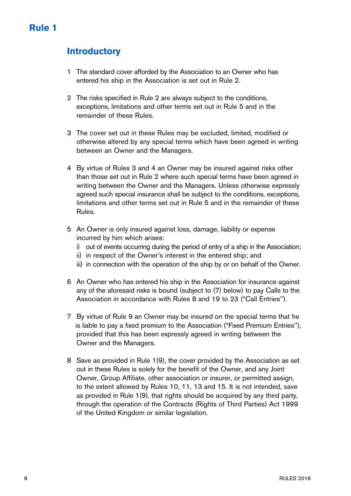# **Introductory**

- 1 The standard cover afforded by the Association to an Owner who has entered his ship in the Association is set out in Rule 2.
- 2 The risks specified in Rule 2 are always subject to the conditions, exceptions, limitations and other terms set out in Rule 5 and in the remainder of these Rules.
- 3 The cover set out in these Rules may be excluded, limited, modified or otherwise altered by any special terms which have been agreed in writing between an Owner and the Managers.
- 4 By virtue of Rules 3 and 4 an Owner may be insured against risks other than those set out in Rule 2 where such special terms have been agreed in writing between the Owner and the Managers. Unless otherwise expressly agreed such special insurance shall be subject to the conditions, exceptions, limitations and other terms set out in Rule 5 and in the remainder of these Rules.
- 5 An Owner is only insured against loss, damage, liability or expense incurred by him which arises:
	- i) out of events occurring during the period of entry of a ship in the Association;
	- ii) in respect of the Owner's interest in the entered ship; and
	- iii) in connection with the operation of the ship by or on behalf of the Owner.
- 6 An Owner who has entered his ship in the Association for insurance against any of the aforesaid risks is bound (subject to (7) below) to pay Calls to the Association in accordance with Rules 8 and 19 to 23 ("Call Entries'').
- 7 By virtue of Rule 9 an Owner may be insured on the special terms that he is liable to pay a fixed premium to the Association ("Fixed Premium Entries''), provided that this has been expressly agreed in writing between the Owner and the Managers.
- 8 Save as provided in Rule 1(9), the cover provided by the Association as set out in these Rules is solely for the benefit of the Owner, and any Joint Owner, Group Affiliate, other association or insurer, or permitted assign, to the extent allowed by Rules 10, 11, 13 and 15. It is not intended, save as provided in Rule 1(9), that rights should be acquired by any third party, through the operation of the Contracts (Rights of Third Parties) Act 1999 of the United Kingdom or similar legislation.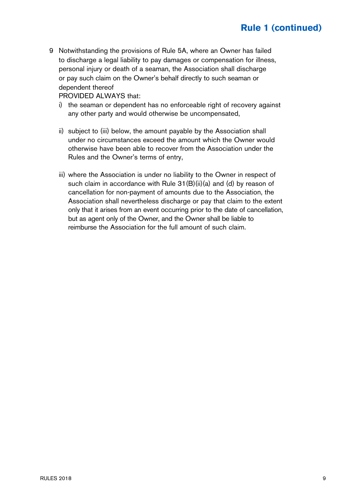9 Notwithstanding the provisions of Rule 5A, where an Owner has failed to discharge a legal liability to pay damages or compensation for illness, personal injury or death of a seaman, the Association shall discharge or pay such claim on the Owner's behalf directly to such seaman or dependent thereof

PROVIDED ALWAYS that:

- i) the seaman or dependent has no enforceable right of recovery against any other party and would otherwise be uncompensated,
- ii) subject to (iii) below, the amount payable by the Association shall under no circumstances exceed the amount which the Owner would otherwise have been able to recover from the Association under the Rules and the Owner's terms of entry,
- iii) where the Association is under no liability to the Owner in respect of such claim in accordance with Rule  $31(B)(ii)(a)$  and (d) by reason of cancellation for non-payment of amounts due to the Association, the Association shall nevertheless discharge or pay that claim to the extent only that it arises from an event occurring prior to the date of cancellation, but as agent only of the Owner, and the Owner shall be liable to reimburse the Association for the full amount of such claim.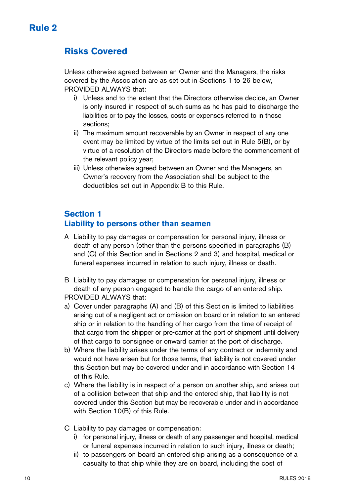# **Risks Covered**

Unless otherwise agreed between an Owner and the Managers, the risks covered by the Association are as set out in Sections 1 to 26 below, PROVIDED ALWAYS that:

- i) Unless and to the extent that the Directors otherwise decide, an Owner is only insured in respect of such sums as he has paid to discharge the liabilities or to pay the losses, costs or expenses referred to in those sections;
- ii) The maximum amount recoverable by an Owner in respect of any one event may be limited by virtue of the limits set out in Rule 5(B), or by virtue of a resolution of the Directors made before the commencement of the relevant policy year;
- iii) Unless otherwise agreed between an Owner and the Managers, an Owner's recovery from the Association shall be subject to the deductibles set out in Appendix B to this Rule.

## **Section 1 Liability to persons other than seamen**

- A Liability to pay damages or compensation for personal injury, illness or death of any person (other than the persons specified in paragraphs (B) and (C) of this Section and in Sections 2 and 3) and hospital, medical or funeral expenses incurred in relation to such injury, illness or death.
- B Liability to pay damages or compensation for personal injury, illness or death of any person engaged to handle the cargo of an entered ship. PROVIDED ALWAYS that:
- a) Cover under paragraphs (A) and (B) of this Section is limited to liabilities arising out of a negligent act or omission on board or in relation to an entered ship or in relation to the handling of her cargo from the time of receipt of that cargo from the shipper or pre-carrier at the port of shipment until delivery of that cargo to consignee or onward carrier at the port of discharge.
- b) Where the liability arises under the terms of any contract or indemnity and would not have arisen but for those terms, that liability is not covered under this Section but may be covered under and in accordance with Section 14 of this Rule.
- c) Where the liability is in respect of a person on another ship, and arises out of a collision between that ship and the entered ship, that liability is not covered under this Section but may be recoverable under and in accordance with Section 10(B) of this Rule.
- C Liability to pay damages or compensation:
	- i) for personal injury, illness or death of any passenger and hospital, medical or funeral expenses incurred in relation to such injury, illness or death;
	- ii) to passengers on board an entered ship arising as a consequence of a casualty to that ship while they are on board, including the cost of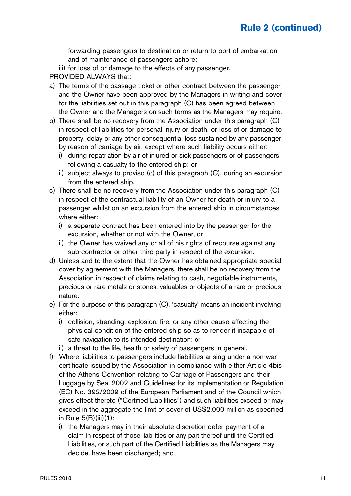forwarding passengers to destination or return to port of embarkation and of maintenance of passengers ashore;

iii) for loss of or damage to the effects of any passenger.

PROVIDED ALWAYS that:

- a) The terms of the passage ticket or other contract between the passenger and the Owner have been approved by the Managers in writing and cover for the liabilities set out in this paragraph (C) has been agreed between the Owner and the Managers on such terms as the Managers may require.
- b) There shall be no recovery from the Association under this paragraph (C) in respect of liabilities for personal injury or death, or loss of or damage to property, delay or any other consequential loss sustained by any passenger by reason of carriage by air, except where such liability occurs either:
	- i) during repatriation by air of injured or sick passengers or of passengers following a casualty to the entered ship; or
	- ii) subject always to proviso (c) of this paragraph (C), during an excursion from the entered ship.
- c) There shall be no recovery from the Association under this paragraph (C) in respect of the contractual liability of an Owner for death or injury to a passenger whilst on an excursion from the entered ship in circumstances where either:
	- i) a separate contract has been entered into by the passenger for the excursion, whether or not with the Owner, or
	- ii) the Owner has waived any or all of his rights of recourse against any sub-contractor or other third party in respect of the excursion.
- d) Unless and to the extent that the Owner has obtained appropriate special cover by agreement with the Managers, there shall be no recovery from the Association in respect of claims relating to cash, negotiable instruments, precious or rare metals or stones, valuables or objects of a rare or precious nature.
- e) For the purpose of this paragraph (C), 'casualty' means an incident involving either:
	- i) collision, stranding, explosion, fire, or any other cause affecting the physical condition of the entered ship so as to render it incapable of safe navigation to its intended destination; or
	- ii) a threat to the life, health or safety of passengers in general.
- f) Where liabilities to passengers include liabilities arising under a non-war certificate issued by the Association in compliance with either Article 4bis of the Athens Convention relating to Carriage of Passengers and their Luggage by Sea, 2002 and Guidelines for its implementation or Regulation (EC) No. 392/2009 of the European Parliament and of the Council which gives effect thereto ("Certified Liabilities") and such liabilities exceed or may exceed in the aggregate the limit of cover of US\$2,000 million as specified in Rule 5(B)(iii)(1):
	- i) the Managers may in their absolute discretion defer payment of a claim in respect of those liabilities or any part thereof until the Certified Liabilities, or such part of the Certified Liabilities as the Managers may decide, have been discharged; and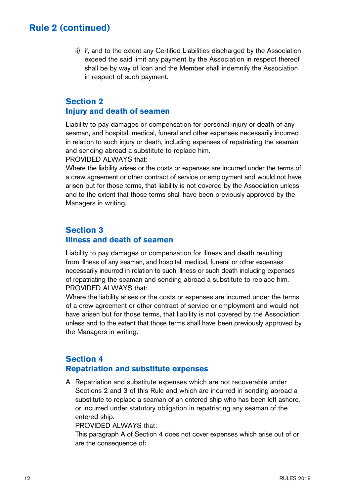ii) if, and to the extent any Certified Liabilities discharged by the Association exceed the said limit any payment by the Association in respect thereof shall be by way of loan and the Member shall indemnify the Association in respect of such payment.

### **Section 2 Injury and death of seamen**

Liability to pay damages or compensation for personal injury or death of any seaman, and hospital, medical, funeral and other expenses necessarily incurred in relation to such injury or death, including expenses of repatriating the seaman and sending abroad a substitute to replace him.

PROVIDED ALWAYS that:

Where the liability arises or the costs or expenses are incurred under the terms of a crew agreement or other contract of service or employment and would not have arisen but for those terms, that liability is not covered by the Association unless and to the extent that those terms shall have been previously approved by the Managers in writing.

### **Section 3 Illness and death of seamen**

Liability to pay damages or compensation for illness and death resulting from illness of any seaman, and hospital, medical, funeral or other expenses necessarily incurred in relation to such illness or such death including expenses of repatriating the seaman and sending abroad a substitute to replace him. PROVIDED ALWAYS that:

Where the liability arises or the costs or expenses are incurred under the terms of a crew agreement or other contract of service or employment and would not have arisen but for those terms, that liability is not covered by the Association unless and to the extent that those terms shall have been previously approved by the Managers in writing.

### **Section 4 Repatriation and substitute expenses**

A Repatriation and substitute expenses which are not recoverable under Sections 2 and 3 of this Rule and which are incurred in sending abroad a substitute to replace a seaman of an entered ship who has been left ashore, or incurred under statutory obligation in repatriating any seaman of the entered ship.

PROVIDED ALWAYS that:

This paragraph A of Section 4 does not cover expenses which arise out of or are the consequence of: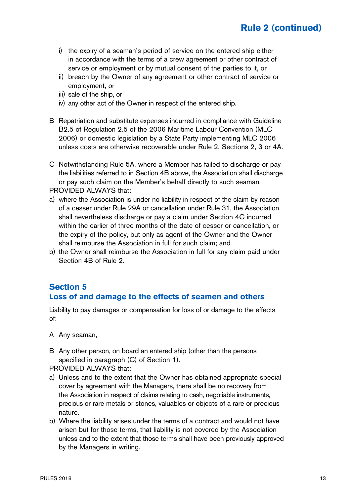- i) the expiry of a seaman's period of service on the entered ship either in accordance with the terms of a crew agreement or other contract of service or employment or by mutual consent of the parties to it, or
- ii) breach by the Owner of any agreement or other contract of service or employment, or
- iii) sale of the ship, or
- iv) any other act of the Owner in respect of the entered ship.
- B Repatriation and substitute expenses incurred in compliance with Guideline B2.5 of Regulation 2.5 of the 2006 Maritime Labour Convention (MLC 2006) or domestic legislation by a State Party implementing MLC 2006 unless costs are otherwise recoverable under Rule 2, Sections 2, 3 or 4A.
- C Notwithstanding Rule 5A, where a Member has failed to discharge or pay the liabilities referred to in Section 4B above, the Association shall discharge or pay such claim on the Member's behalf directly to such seaman. PROVIDED ALWAYS that:
- a) where the Association is under no liability in respect of the claim by reason of a cesser under Rule 29A or cancellation under Rule 31, the Association shall nevertheless discharge or pay a claim under Section 4C incurred within the earlier of three months of the date of cesser or cancellation, or the expiry of the policy, but only as agent of the Owner and the Owner shall reimburse the Association in full for such claim; and
- b) the Owner shall reimburse the Association in full for any claim paid under Section 4B of Rule 2.

### **Section 5 Loss of and damage to the effects of seamen and others**

Liability to pay damages or compensation for loss of or damage to the effects of:

A Any seaman,

B Any other person, on board an entered ship (other than the persons specified in paragraph (C) of Section 1).

PROVIDED ALWAYS that:

- a) Unless and to the extent that the Owner has obtained appropriate special cover by agreement with the Managers, there shall be no recovery from the Association in respect of claims relating to cash, negotiable instruments, precious or rare metals or stones, valuables or objects of a rare or precious nature.
- b) Where the liability arises under the terms of a contract and would not have arisen but for those terms, that liability is not covered by the Association unless and to the extent that those terms shall have been previously approved by the Managers in writing.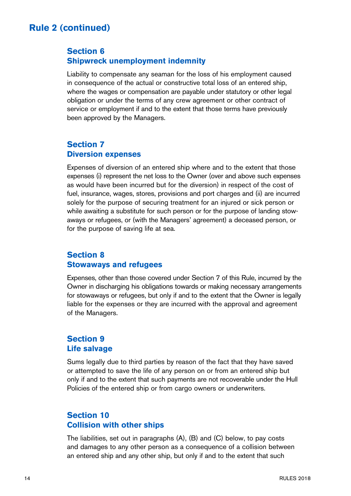### **Section 6 Shipwreck unemployment indemnity**

Liability to compensate any seaman for the loss of his employment caused in consequence of the actual or constructive total loss of an entered ship, where the wages or compensation are payable under statutory or other legal obligation or under the terms of any crew agreement or other contract of service or employment if and to the extent that those terms have previously been approved by the Managers.

### **Section 7 Diversion expenses**

Expenses of diversion of an entered ship where and to the extent that those expenses (i) represent the net loss to the Owner (over and above such expenses as would have been incurred but for the diversion) in respect of the cost of fuel, insurance, wages, stores, provisions and port charges and (ii) are incurred solely for the purpose of securing treatment for an injured or sick person or while awaiting a substitute for such person or for the purpose of landing stowaways or refugees, or (with the Managers' agreement) a deceased person, or for the purpose of saving life at sea.

### **Section 8 Stowaways and refugees**

Expenses, other than those covered under Section 7 of this Rule, incurred by the Owner in discharging his obligations towards or making necessary arrangements for stowaways or refugees, but only if and to the extent that the Owner is legally liable for the expenses or they are incurred with the approval and agreement of the Managers.

### **Section 9 Life salvage**

Sums legally due to third parties by reason of the fact that they have saved or attempted to save the life of any person on or from an entered ship but only if and to the extent that such payments are not recoverable under the Hull Policies of the entered ship or from cargo owners or underwriters.

### **Section 10 Collision with other ships**

The liabilities, set out in paragraphs (A), (B) and (C) below, to pay costs and damages to any other person as a consequence of a collision between an entered ship and any other ship, but only if and to the extent that such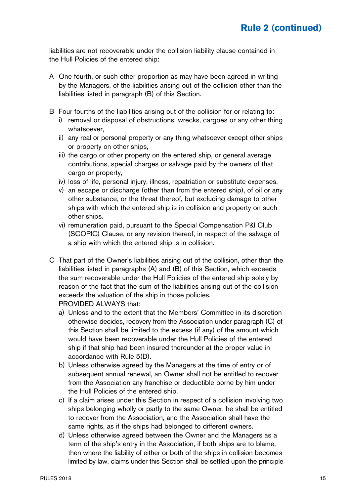liabilities are not recoverable under the collision liability clause contained in the Hull Policies of the entered ship:

- A One fourth, or such other proportion as may have been agreed in writing by the Managers, of the liabilities arising out of the collision other than the liabilities listed in paragraph (B) of this Section.
- B Four fourths of the liabilities arising out of the collision for or relating to: i) removal or disposal of obstructions, wrecks, cargoes or any other thing whatsoever,
	- ii) any real or personal property or any thing whatsoever except other ships or property on other ships,
	- iii) the cargo or other property on the entered ship, or general average contributions, special charges or salvage paid by the owners of that cargo or property,
	- iv) loss of life, personal injury, illness, repatriation or substitute expenses,
	- v) an escape or discharge (other than from the entered ship), of oil or any other substance, or the threat thereof, but excluding damage to other ships with which the entered ship is in collision and property on such other ships.
	- vi) remuneration paid, pursuant to the Special Compensation P&I Club (SCOPIC) Clause, or any revision thereof, in respect of the salvage of a ship with which the entered ship is in collision.
- C That part of the Owner's liabilities arising out of the collision, other than the liabilities listed in paragraphs (A) and (B) of this Section, which exceeds the sum recoverable under the Hull Policies of the entered ship solely by reason of the fact that the sum of the liabilities arising out of the collision exceeds the valuation of the ship in those policies. PROVIDED ALWAYS that:
	- a) Unless and to the extent that the Members' Committee in its discretion otherwise decides, recovery from the Association under paragraph (C) of this Section shall be limited to the excess (if any) of the amount which would have been recoverable under the Hull Policies of the entered ship if that ship had been insured thereunder at the proper value in accordance with Rule 5(D).
	- b) Unless otherwise agreed by the Managers at the time of entry or of subsequent annual renewal, an Owner shall not be entitled to recover from the Association any franchise or deductible borne by him under the Hull Policies of the entered ship.
	- c) If a claim arises under this Section in respect of a collision involving two ships belonging wholly or partly to the same Owner, he shall be entitled to recover from the Association, and the Association shall have the same rights, as if the ships had belonged to different owners.
	- d) Unless otherwise agreed between the Owner and the Managers as a term of the ship's entry in the Association, if both ships are to blame, then where the liability of either or both of the ships in collision becomes limited by law, claims under this Section shall be settled upon the principle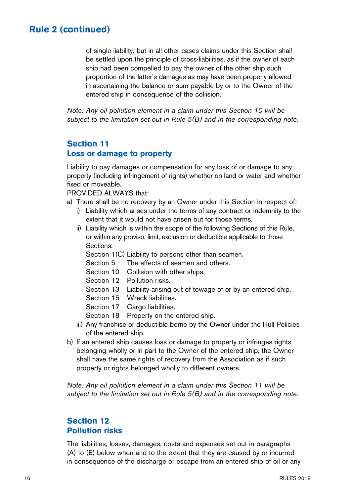of single liability, but in all other cases claims under this Section shall be settled upon the principle of cross-liabilities, as if the owner of each ship had been compelled to pay the owner of the other ship such proportion of the latter's damages as may have been properly allowed in ascertaining the balance or sum payable by or to the Owner of the entered ship in consequence of the collision.

Note: Any oil pollution element in a claim under this Section 10 will be subject to the limitation set out in Rule 5(B) and in the corresponding note.

### **Section 11 Loss or damage to property**

Liability to pay damages or compensation for any loss of or damage to any property (including infringement of rights) whether on land or water and whether fixed or moveable.

PROVIDED ALWAYS that:

- a) There shall be no recovery by an Owner under this Section in respect of:
	- i) Liability which arises under the terms of any contract or indemnity to the extent that it would not have arisen but for those terms.
	- ii) Liability which is within the scope of the following Sections of this Rule, or within any proviso, limit, exclusion or deductible applicable to those Sections:

Section 1(C) Liability to persons other than seamen.

- Section 5 The effects of seamen and others.
- Section 10 Collision with other ships.
- Section 12 Pollution risks.
- Section 13 Liability arising out of towage of or by an entered ship.
- Section 15 Wreck liabilities.
- Section 17 Cargo liabilities.
- Section 18 Property on the entered ship.
- iii) Any franchise or deductible borne by the Owner under the Hull Policies of the entered ship.
- b) If an entered ship causes loss or damage to property or infringes rights belonging wholly or in part to the Owner of the entered ship, the Owner shall have the same rights of recovery from the Association as if such property or rights belonged wholly to different owners.

Note: Any oil pollution element in a claim under this Section 11 will be subject to the limitation set out in Rule 5(B) and in the corresponding note.

### **Section 12 Pollution risks**

The liabilities, losses, damages, costs and expenses set out in paragraphs (A) to (E) below when and to the extent that they are caused by or incurred in consequence of the discharge or escape from an entered ship of oil or any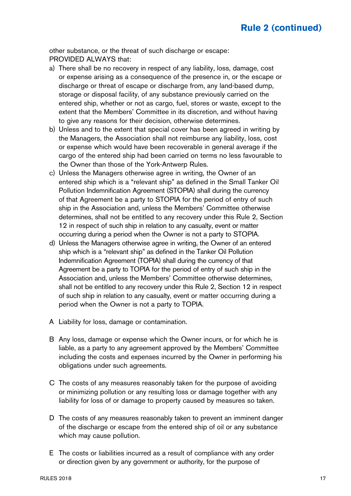other substance, or the threat of such discharge or escape: PROVIDED ALWAYS that:

- a) There shall be no recovery in respect of any liability, loss, damage, cost or expense arising as a consequence of the presence in, or the escape or discharge or threat of escape or discharge from, any land-based dump, storage or disposal facility, of any substance previously carried on the entered ship, whether or not as cargo, fuel, stores or waste, except to the extent that the Members' Committee in its discretion, and without having to give any reasons for their decision, otherwise determines.
- b) Unless and to the extent that special cover has been agreed in writing by the Managers, the Association shall not reimburse any liability, loss, cost or expense which would have been recoverable in general average if the cargo of the entered ship had been carried on terms no less favourable to the Owner than those of the York-Antwerp Rules.
- c) Unless the Managers otherwise agree in writing, the Owner of an entered ship which is a "relevant ship" as defined in the Small Tanker Oil Pollution Indemnification Agreement (STOPIA) shall during the currency of that Agreement be a party to STOPIA for the period of entry of such ship in the Association and, unless the Members' Committee otherwise determines, shall not be entitled to any recovery under this Rule 2, Section 12 in respect of such ship in relation to any casualty, event or matter occurring during a period when the Owner is not a party to STOPIA.
- d) Unless the Managers otherwise agree in writing, the Owner of an entered ship which is a "relevant ship" as defined in the Tanker Oil Pollution Indemnification Agreement (TOPIA) shall during the currency of that Agreement be a party to TOPIA for the period of entry of such ship in the Association and, unless the Members' Committee otherwise determines, shall not be entitled to any recovery under this Rule 2, Section 12 in respect of such ship in relation to any casualty, event or matter occurring during a period when the Owner is not a party to TOPIA.
- A Liability for loss, damage or contamination.
- B Any loss, damage or expense which the Owner incurs, or for which he is liable, as a party to any agreement approved by the Members' Committee including the costs and expenses incurred by the Owner in performing his obligations under such agreements.
- C The costs of any measures reasonably taken for the purpose of avoiding or minimizing pollution or any resulting loss or damage together with any liability for loss of or damage to property caused by measures so taken.
- D The costs of any measures reasonably taken to prevent an imminent danger of the discharge or escape from the entered ship of oil or any substance which may cause pollution.
- E The costs or liabilities incurred as a result of compliance with any order or direction given by any government or authority, for the purpose of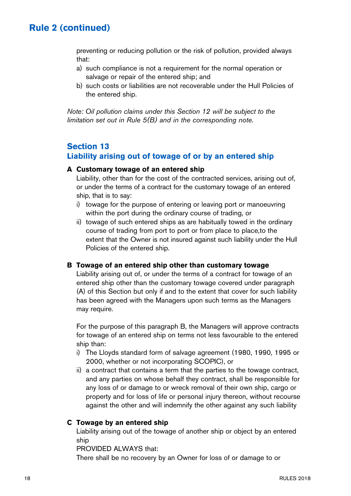preventing or reducing pollution or the risk of pollution, provided always that:

- a) such compliance is not a requirement for the normal operation or salvage or repair of the entered ship; and
- b) such costs or liabilities are not recoverable under the Hull Policies of the entered ship.

Note: Oil pollution claims under this Section 12 will be subject to the limitation set out in Rule 5(B) and in the corresponding note.

### **Section 13 Liability arising out of towage of or by an entered ship**

#### **A Customary towage of an entered ship**

Liability, other than for the cost of the contracted services, arising out of, or under the terms of a contract for the customary towage of an entered ship, that is to say:

- i) towage for the purpose of entering or leaving port or manoeuvring within the port during the ordinary course of trading, or
- ii) towage of such entered ships as are habitually towed in the ordinary course of trading from port to port or from place to place,to the extent that the Owner is not insured against such liability under the Hull Policies of the entered ship.

#### **B Towage of an entered ship other than customary towage**

Liability arising out of, or under the terms of a contract for towage of an entered ship other than the customary towage covered under paragraph (A) of this Section but only if and to the extent that cover for such liability has been agreed with the Managers upon such terms as the Managers may require.

For the purpose of this paragraph B, the Managers will approve contracts for towage of an entered ship on terms not less favourable to the entered ship than:

- i) The Lloyds standard form of salvage agreement (1980, 1990, 1995 or 2000, whether or not incorporating SCOPIC), or
- ii) a contract that contains a term that the parties to the towage contract, and any parties on whose behalf they contract, shall be responsible for any loss of or damage to or wreck removal of their own ship, cargo or property and for loss of life or personal injury thereon, without recourse against the other and will indemnify the other against any such liability

#### **C Towage by an entered ship**

Liability arising out of the towage of another ship or object by an entered ship

PROVIDED ALWAYS that:

There shall be no recovery by an Owner for loss of or damage to or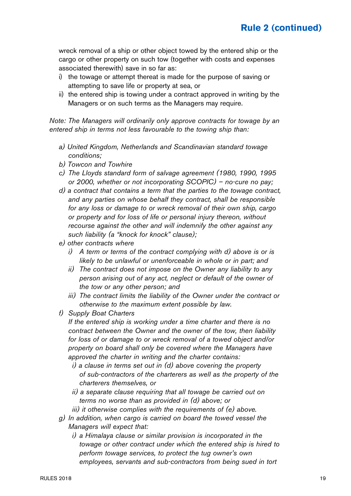wreck removal of a ship or other object towed by the entered ship or the cargo or other property on such tow (together with costs and expenses associated therewith) save in so far as:

- i) the towage or attempt thereat is made for the purpose of saving or attempting to save life or property at sea, or
- ii) the entered ship is towing under a contract approved in writing by the Managers or on such terms as the Managers may require.

Note: The Managers will ordinarily only approve contracts for towage by an entered ship in terms not less favourable to the towing ship than:

- a) United Kingdom, Netherlands and Scandinavian standard towage conditions;
- b) Towcon and Towhire
- c) The Lloyds standard form of salvage agreement (1980, 1990, 1995 or 2000, whether or not incorporating SCOPIC) – no-cure no pay;
- d) a contract that contains a term that the parties to the towage contract, and any parties on whose behalf they contract, shall be responsible for any loss or damage to or wreck removal of their own ship, cargo or property and for loss of life or personal injury thereon, without recourse against the other and will indemnify the other against any such liability (a "knock for knock" clause);
- e) other contracts where
	- i) A term or terms of the contract complying with d) above is or is likely to be unlawful or unenforceable in whole or in part; and
	- ii) The contract does not impose on the Owner any liability to any person arising out of any act, neglect or default of the owner of the tow or any other person; and
	- iii) The contract limits the liability of the Owner under the contract or otherwise to the maximum extent possible by law.
- f) Supply Boat Charters

 If the entered ship is working under a time charter and there is no contract between the Owner and the owner of the tow, then liability for loss of or damage to or wreck removal of a towed object and/or property on board shall only be covered where the Managers have approved the charter in writing and the charter contains:

- i) a clause in terms set out in (d) above covering the property of sub-contractors of the charterers as well as the property of the charterers themselves, or
- ii) a separate clause requiring that all towage be carried out on terms no worse than as provided in (d) above; or
- iii) it otherwise complies with the requirements of (e) above.
- g) In addition, when cargo is carried on board the towed vessel the Managers will expect that:
	- i) a Himalaya clause or similar provision is incorporated in the towage or other contract under which the entered ship is hired to perform towage services, to protect the tug owner's own employees, servants and sub-contractors from being sued in tort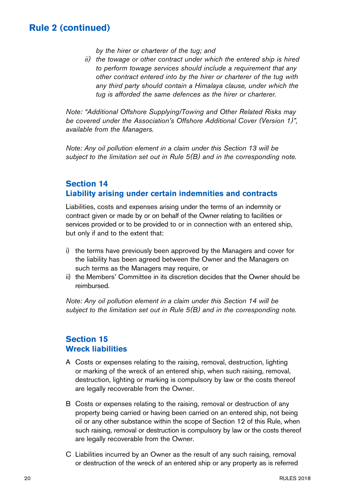by the hirer or charterer of the tug; and

 ii) the towage or other contract under which the entered ship is hired to perform towage services should include a requirement that any other contract entered into by the hirer or charterer of the tug with any third party should contain a Himalaya clause, under which the tug is afforded the same defences as the hirer or charterer.

Note: "Additional Offshore Supplying/Towing and Other Related Risks may be covered under the Association's Offshore Additional Cover (Version 1)", available from the Managers.

Note: Any oil pollution element in a claim under this Section 13 will be subject to the limitation set out in Rule 5(B) and in the corresponding note.

### **Section 14 Liability arising under certain indemnities and contracts**

Liabilities, costs and expenses arising under the terms of an indemnity or contract given or made by or on behalf of the Owner relating to facilities or services provided or to be provided to or in connection with an entered ship, but only if and to the extent that:

- i) the terms have previously been approved by the Managers and cover for the liability has been agreed between the Owner and the Managers on such terms as the Managers may require, or
- ii) the Members' Committee in its discretion decides that the Owner should be reimbursed.

Note: Any oil pollution element in a claim under this Section 14 will be subject to the limitation set out in Rule 5(B) and in the corresponding note.

### **Section 15 Wreck liabilities**

- A Costs or expenses relating to the raising, removal, destruction, lighting or marking of the wreck of an entered ship, when such raising, removal, destruction, lighting or marking is compulsory by law or the costs thereof are legally recoverable from the Owner.
- B Costs or expenses relating to the raising, removal or destruction of any property being carried or having been carried on an entered ship, not being oil or any other substance within the scope of Section 12 of this Rule, when such raising, removal or destruction is compulsory by law or the costs thereof are legally recoverable from the Owner.
- C Liabilities incurred by an Owner as the result of any such raising, removal or destruction of the wreck of an entered ship or any property as is referred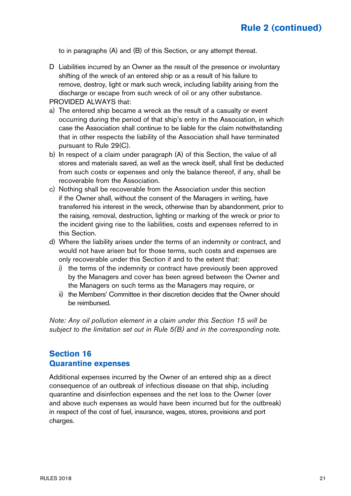to in paragraphs (A) and (B) of this Section, or any attempt thereat.

D Liabilities incurred by an Owner as the result of the presence or involuntary shifting of the wreck of an entered ship or as a result of his failure to remove, destroy, light or mark such wreck, including liability arising from the discharge or escape from such wreck of oil or any other substance.

PROVIDED ALWAYS that:

- a) The entered ship became a wreck as the result of a casualty or event occurring during the period of that ship's entry in the Association, in which case the Association shall continue to be liable for the claim notwithstanding that in other respects the liability of the Association shall have terminated pursuant to Rule 29(C).
- b) In respect of a claim under paragraph (A) of this Section, the value of all stores and materials saved, as well as the wreck itself, shall first be deducted from such costs or expenses and only the balance thereof, if any, shall be recoverable from the Association.
- c) Nothing shall be recoverable from the Association under this section if the Owner shall, without the consent of the Managers in writing, have transferred his interest in the wreck, otherwise than by abandonment, prior to the raising, removal, destruction, lighting or marking of the wreck or prior to the incident giving rise to the liabilities, costs and expenses referred to in this Section.
- d) Where the liability arises under the terms of an indemnity or contract, and would not have arisen but for those terms, such costs and expenses are only recoverable under this Section if and to the extent that:
	- i) the terms of the indemnity or contract have previously been approved by the Managers and cover has been agreed between the Owner and the Managers on such terms as the Managers may require, or
	- ii) the Members' Committee in their discretion decides that the Owner should be reimbursed.

Note: Any oil pollution element in a claim under this Section 15 will be subject to the limitation set out in Rule 5(B) and in the corresponding note.

### **Section 16 Quarantine expenses**

Additional expenses incurred by the Owner of an entered ship as a direct consequence of an outbreak of infectious disease on that ship, including quarantine and disinfection expenses and the net loss to the Owner (over and above such expenses as would have been incurred but for the outbreak) in respect of the cost of fuel, insurance, wages, stores, provisions and port charges.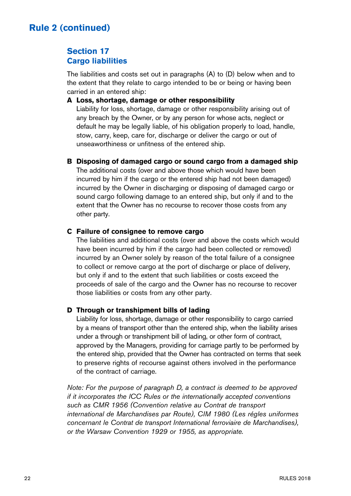## **Section 17 Cargo liabilities**

The liabilities and costs set out in paragraphs (A) to (D) below when and to the extent that they relate to cargo intended to be or being or having been carried in an entered ship:

#### **A Loss, shortage, damage or other responsibility**

Liability for loss, shortage, damage or other responsibility arising out of any breach by the Owner, or by any person for whose acts, neglect or default he may be legally liable, of his obligation properly to load, handle, stow, carry, keep, care for, discharge or deliver the cargo or out of unseaworthiness or unfitness of the entered ship.

#### **B Disposing of damaged cargo or sound cargo from a damaged ship**

The additional costs (over and above those which would have been incurred by him if the cargo or the entered ship had not been damaged) incurred by the Owner in discharging or disposing of damaged cargo or sound cargo following damage to an entered ship, but only if and to the extent that the Owner has no recourse to recover those costs from any other party.

#### **C Failure of consignee to remove cargo**

The liabilities and additional costs (over and above the costs which would have been incurred by him if the cargo had been collected or removed) incurred by an Owner solely by reason of the total failure of a consignee to collect or remove cargo at the port of discharge or place of delivery. but only if and to the extent that such liabilities or costs exceed the proceeds of sale of the cargo and the Owner has no recourse to recover those liabilities or costs from any other party.

#### **D Through or transhipment bills of lading**

Liability for loss, shortage, damage or other responsibility to cargo carried by a means of transport other than the entered ship, when the liability arises under a through or transhipment bill of lading, or other form of contract, approved by the Managers, providing for carriage partly to be performed by the entered ship, provided that the Owner has contracted on terms that seek to preserve rights of recourse against others involved in the performance of the contract of carriage.

Note: For the purpose of paragraph D, a contract is deemed to be approved if it incorporates the ICC Rules or the internationally accepted conventions such as CMR 1956 (Convention relative au Contrat de transport international de Marchandises par Route), CIM 1980 (Les régles uniformes concernant le Contrat de transport International ferroviaire de Marchandises), or the Warsaw Convention 1929 or 1955, as appropriate.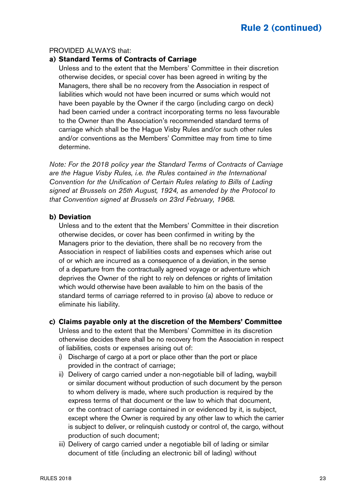#### PROVIDED ALWAYS that:

#### **a) Standard Terms of Contracts of Carriage**

Unless and to the extent that the Members' Committee in their discretion otherwise decides, or special cover has been agreed in writing by the Managers, there shall be no recovery from the Association in respect of liabilities which would not have been incurred or sums which would not have been payable by the Owner if the cargo (including cargo on deck) had been carried under a contract incorporating terms no less favourable to the Owner than the Association's recommended standard terms of carriage which shall be the Hague Visby Rules and/or such other rules and/or conventions as the Members' Committee may from time to time determine.

Note: For the 2018 policy year the Standard Terms of Contracts of Carriage are the Hague Visby Rules, i.e. the Rules contained in the International Convention for the Unification of Certain Rules relating to Bills of Lading signed at Brussels on 25th August, 1924, as amended by the Protocol to that Convention signed at Brussels on 23rd February, 1968.

#### **b) Deviation**

Unless and to the extent that the Members' Committee in their discretion otherwise decides, or cover has been confirmed in writing by the Managers prior to the deviation, there shall be no recovery from the Association in respect of liabilities costs and expenses which arise out of or which are incurred as a consequence of a deviation, in the sense of a departure from the contractually agreed voyage or adventure which deprives the Owner of the right to rely on defences or rights of limitation which would otherwise have been available to him on the basis of the standard terms of carriage referred to in proviso (a) above to reduce or eliminate his liability.

#### **c) Claims payable only at the discretion of the Members' Committee**

Unless and to the extent that the Members' Committee in its discretion otherwise decides there shall be no recovery from the Association in respect of liabilities, costs or expenses arising out of:

- i) Discharge of cargo at a port or place other than the port or place provided in the contract of carriage;
- ii) Delivery of cargo carried under a non-negotiable bill of lading, waybill or similar document without production of such document by the person to whom delivery is made, where such production is required by the express terms of that document or the law to which that document, or the contract of carriage contained in or evidenced by it, is subject, except where the Owner is required by any other law to which the carrier is subject to deliver, or relinquish custody or control of, the cargo, without production of such document;
- iii) Delivery of cargo carried under a negotiable bill of lading or similar document of title (including an electronic bill of lading) without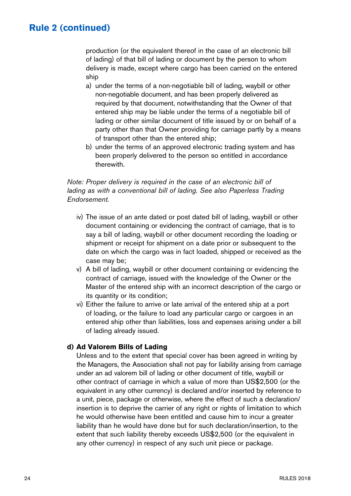production (or the equivalent thereof in the case of an electronic bill of lading) of that bill of lading or document by the person to whom delivery is made, except where cargo has been carried on the entered ship

- a) under the terms of a non-negotiable bill of lading, waybill or other non-negotiable document, and has been properly delivered as required by that document, notwithstanding that the Owner of that entered ship may be liable under the terms of a negotiable bill of lading or other similar document of title issued by or on behalf of a party other than that Owner providing for carriage partly by a means of transport other than the entered ship;
- b) under the terms of an approved electronic trading system and has been properly delivered to the person so entitled in accordance therewith.

#### Note: Proper delivery is required in the case of an electronic bill of lading as with a conventional bill of lading. See also Paperless Trading Endorsement.

- iv) The issue of an ante dated or post dated bill of lading, waybill or other document containing or evidencing the contract of carriage, that is to say a bill of lading, waybill or other document recording the loading or shipment or receipt for shipment on a date prior or subsequent to the date on which the cargo was in fact loaded, shipped or received as the case may be;
- v) A bill of lading, waybill or other document containing or evidencing the contract of carriage, issued with the knowledge of the Owner or the Master of the entered ship with an incorrect description of the cargo or its quantity or its condition;
- vi) Either the failure to arrive or late arrival of the entered ship at a port of loading, or the failure to load any particular cargo or cargoes in an entered ship other than liabilities, loss and expenses arising under a bill of lading already issued.

#### **d) Ad Valorem Bills of Lading**

Unless and to the extent that special cover has been agreed in writing by the Managers, the Association shall not pay for liability arising from carriage under an ad valorem bill of lading or other document of title, waybill or other contract of carriage in which a value of more than US\$2,500 (or the equivalent in any other currency) is declared and/or inserted by reference to a unit, piece, package or otherwise, where the effect of such a declaration/ insertion is to deprive the carrier of any right or rights of limitation to which he would otherwise have been entitled and cause him to incur a greater liability than he would have done but for such declaration/insertion, to the extent that such liability thereby exceeds US\$2,500 (or the equivalent in any other currency) in respect of any such unit piece or package.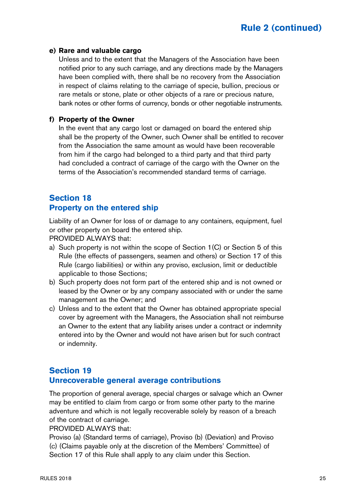#### **e) Rare and valuable cargo**

Unless and to the extent that the Managers of the Association have been notified prior to any such carriage, and any directions made by the Managers have been complied with, there shall be no recovery from the Association in respect of claims relating to the carriage of specie, bullion, precious or rare metals or stone, plate or other objects of a rare or precious nature, bank notes or other forms of currency, bonds or other negotiable instruments.

#### **f) Property of the Owner**

In the event that any cargo lost or damaged on board the entered ship shall be the property of the Owner, such Owner shall be entitled to recover from the Association the same amount as would have been recoverable from him if the cargo had belonged to a third party and that third party had concluded a contract of carriage of the cargo with the Owner on the terms of the Association's recommended standard terms of carriage.

### **Section 18 Property on the entered ship**

Liability of an Owner for loss of or damage to any containers, equipment, fuel or other property on board the entered ship.

PROVIDED ALWAYS that:

- a) Such property is not within the scope of Section 1(C) or Section 5 of this Rule (the effects of passengers, seamen and others) or Section 17 of this Rule (cargo liabilities) or within any proviso, exclusion, limit or deductible applicable to those Sections;
- b) Such property does not form part of the entered ship and is not owned or leased by the Owner or by any company associated with or under the same management as the Owner; and
- c) Unless and to the extent that the Owner has obtained appropriate special cover by agreement with the Managers, the Association shall not reimburse an Owner to the extent that any liability arises under a contract or indemnity entered into by the Owner and would not have arisen but for such contract or indemnity.

### **Section 19 Unrecoverable general average contributions**

The proportion of general average, special charges or salvage which an Owner may be entitled to claim from cargo or from some other party to the marine adventure and which is not legally recoverable solely by reason of a breach of the contract of carriage.

#### PROVIDED ALWAYS that:

Proviso (a) (Standard terms of carriage), Proviso (b) (Deviation) and Proviso (c) (Claims payable only at the discretion of the Members' Committee) of Section 17 of this Rule shall apply to any claim under this Section.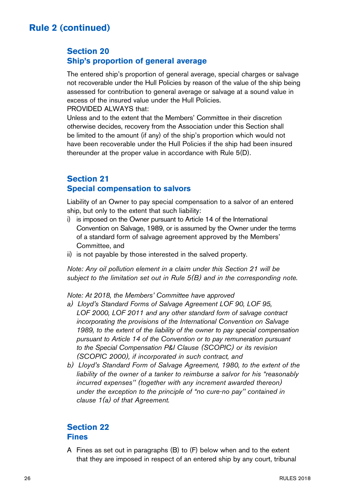### **Section 20 Ship's proportion of general average**

The entered ship's proportion of general average, special charges or salvage not recoverable under the Hull Policies by reason of the value of the ship being assessed for contribution to general average or salvage at a sound value in excess of the insured value under the Hull Policies.

PROVIDED ALWAYS that:

Unless and to the extent that the Members' Committee in their discretion otherwise decides, recovery from the Association under this Section shall be limited to the amount (if any) of the ship's proportion which would not have been recoverable under the Hull Policies if the ship had been insured thereunder at the proper value in accordance with Rule 5(D).

### **Section 21 Special compensation to salvors**

Liability of an Owner to pay special compensation to a salvor of an entered ship, but only to the extent that such liability:

- i) is imposed on the Owner pursuant to Article 14 of the International Convention on Salvage, 1989, or is assumed by the Owner under the terms of a standard form of salvage agreement approved by the Members' Committee, and
- ii) is not payable by those interested in the salved property.

Note: Any oil pollution element in a claim under this Section 21 will be subject to the limitation set out in Rule  $5(B)$  and in the corresponding note.

Note: At 2018, the Members' Committee have approved

- a) Lloyd's Standard Forms of Salvage Agreement LOF 90, LOF 95, LOF 2000, LOF 2011 and any other standard form of salvage contract incorporating the provisions of the International Convention on Salvage 1989, to the extent of the liability of the owner to pay special compensation pursuant to Article 14 of the Convention or to pay remuneration pursuant to the Special Compensation P&I Clause (SCOPIC) or its revision (SCOPIC 2000), if incorporated in such contract, and
- b) Lloyd's Standard Form of Salvage Agreement, 1980, to the extent of the liability of the owner of a tanker to reimburse a salvor for his "reasonably incurred expenses'' (together with any increment awarded thereon) under the exception to the principle of "no cure-no pay'' contained in clause 1(a) of that Agreement.

### **Section 22 Fines**

A Fines as set out in paragraphs (B) to (F) below when and to the extent that they are imposed in respect of an entered ship by any court, tribunal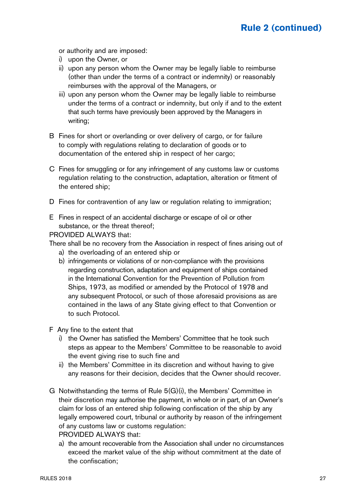or authority and are imposed:

- i) upon the Owner, or
- ii) upon any person whom the Owner may be legally liable to reimburse (other than under the terms of a contract or indemnity) or reasonably reimburses with the approval of the Managers, or
- iii) upon any person whom the Owner may be legally liable to reimburse under the terms of a contract or indemnity, but only if and to the extent that such terms have previously been approved by the Managers in writing;
- B Fines for short or overlanding or over delivery of cargo, or for failure to comply with regulations relating to declaration of goods or to documentation of the entered ship in respect of her cargo;
- C Fines for smuggling or for any infringement of any customs law or customs regulation relating to the construction, adaptation, alteration or fitment of the entered ship;
- D Fines for contravention of any law or regulation relating to immigration;
- E Fines in respect of an accidental discharge or escape of oil or other substance, or the threat thereof;

PROVIDED ALWAYS that:

There shall be no recovery from the Association in respect of fines arising out of

- a) the overloading of an entered ship or
- b) infringements or violations of or non-compliance with the provisions regarding construction, adaptation and equipment of ships contained in the International Convention for the Prevention of Pollution from Ships, 1973, as modified or amended by the Protocol of 1978 and any subsequent Protocol, or such of those aforesaid provisions as are contained in the laws of any State giving effect to that Convention or to such Protocol.
- F Any fine to the extent that
	- i) the Owner has satisfied the Members' Committee that he took such steps as appear to the Members' Committee to be reasonable to avoid the event giving rise to such fine and
	- ii) the Members' Committee in its discretion and without having to give any reasons for their decision, decides that the Owner should recover.
- G Notwithstanding the terms of Rule 5(G)(i), the Members' Committee in their discretion may authorise the payment, in whole or in part, of an Owner's claim for loss of an entered ship following confiscation of the ship by any legally empowered court, tribunal or authority by reason of the infringement of any customs law or customs regulation: PROVIDED ALWAYS that:
	- a) the amount recoverable from the Association shall under no circumstances exceed the market value of the ship without commitment at the date of the confiscation;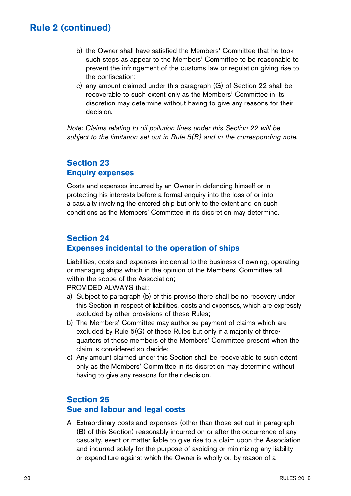- b) the Owner shall have satisfied the Members' Committee that he took such steps as appear to the Members' Committee to be reasonable to prevent the infringement of the customs law or regulation giving rise to the confiscation;
- c) any amount claimed under this paragraph (G) of Section 22 shall be recoverable to such extent only as the Members' Committee in its discretion may determine without having to give any reasons for their decision.

Note: Claims relating to oil pollution fines under this Section 22 will be subject to the limitation set out in Rule  $5(B)$  and in the corresponding note.

### **Section 23 Enquiry expenses**

Costs and expenses incurred by an Owner in defending himself or in protecting his interests before a formal enquiry into the loss of or into a casualty involving the entered ship but only to the extent and on such conditions as the Members' Committee in its discretion may determine.

## **Section 24 Expenses incidental to the operation of ships**

Liabilities, costs and expenses incidental to the business of owning, operating or managing ships which in the opinion of the Members' Committee fall within the scope of the Association;

PROVIDED AI WAYS that:

- a) Subject to paragraph (b) of this proviso there shall be no recovery under this Section in respect of liabilities, costs and expenses, which are expressly excluded by other provisions of these Rules;
- b) The Members' Committee may authorise payment of claims which are excluded by Rule 5(G) of these Rules but only if a majority of threequarters of those members of the Members' Committee present when the claim is considered so decide;
- c) Any amount claimed under this Section shall be recoverable to such extent only as the Members' Committee in its discretion may determine without having to give any reasons for their decision.

### **Section 25**

### **Sue and labour and legal costs**

A Extraordinary costs and expenses (other than those set out in paragraph (B) of this Section) reasonably incurred on or after the occurrence of any casualty, event or matter liable to give rise to a claim upon the Association and incurred solely for the purpose of avoiding or minimizing any liability or expenditure against which the Owner is wholly or, by reason of a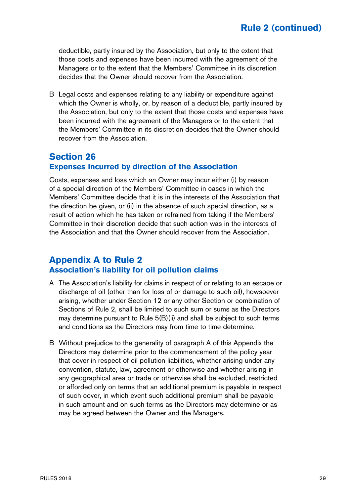deductible, partly insured by the Association, but only to the extent that those costs and expenses have been incurred with the agreement of the Managers or to the extent that the Members' Committee in its discretion decides that the Owner should recover from the Association.

B Legal costs and expenses relating to any liability or expenditure against which the Owner is wholly, or, by reason of a deductible, partly insured by the Association, but only to the extent that those costs and expenses have been incurred with the agreement of the Managers or to the extent that the Members' Committee in its discretion decides that the Owner should recover from the Association.

### **Section 26 Expenses incurred by direction of the Association**

Costs, expenses and loss which an Owner may incur either (i) by reason of a special direction of the Members' Committee in cases in which the Members' Committee decide that it is in the interests of the Association that the direction be given, or (ii) in the absence of such special direction, as a result of action which he has taken or refrained from taking if the Members' Committee in their discretion decide that such action was in the interests of the Association and that the Owner should recover from the Association.

### **Appendix A to Rule 2 Association's liability for oil pollution claims**

- A The Association's liability for claims in respect of or relating to an escape or discharge of oil (other than for loss of or damage to such oil), howsoever arising, whether under Section 12 or any other Section or combination of Sections of Rule 2, shall be limited to such sum or sums as the Directors may determine pursuant to Rule 5(B)(ii) and shall be subject to such terms and conditions as the Directors may from time to time determine.
- B Without prejudice to the generality of paragraph A of this Appendix the Directors may determine prior to the commencement of the policy year that cover in respect of oil pollution liabilities, whether arising under any convention, statute, law, agreement or otherwise and whether arising in any geographical area or trade or otherwise shall be excluded, restricted or afforded only on terms that an additional premium is payable in respect of such cover, in which event such additional premium shall be payable in such amount and on such terms as the Directors may determine or as may be agreed between the Owner and the Managers.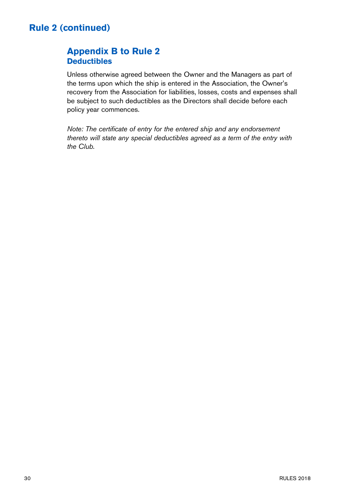# **Appendix B to Rule 2 Deductibles**

Unless otherwise agreed between the Owner and the Managers as part of the terms upon which the ship is entered in the Association, the Owner's recovery from the Association for liabilities, losses, costs and expenses shall be subject to such deductibles as the Directors shall decide before each policy year commences.

Note: The certificate of entry for the entered ship and any endorsement thereto will state any special deductibles agreed as a term of the entry with the Club.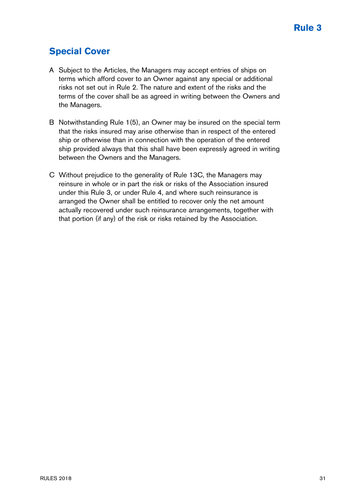# **Special Cover**

- A Subject to the Articles, the Managers may accept entries of ships on terms which afford cover to an Owner against any special or additional risks not set out in Rule 2. The nature and extent of the risks and the terms of the cover shall be as agreed in writing between the Owners and the Managers.
- B Notwithstanding Rule 1(5), an Owner may be insured on the special term that the risks insured may arise otherwise than in respect of the entered ship or otherwise than in connection with the operation of the entered ship provided always that this shall have been expressly agreed in writing between the Owners and the Managers.
- C Without prejudice to the generality of Rule 13C, the Managers may reinsure in whole or in part the risk or risks of the Association insured under this Rule 3, or under Rule 4, and where such reinsurance is arranged the Owner shall be entitled to recover only the net amount actually recovered under such reinsurance arrangements, together with that portion (if any) of the risk or risks retained by the Association.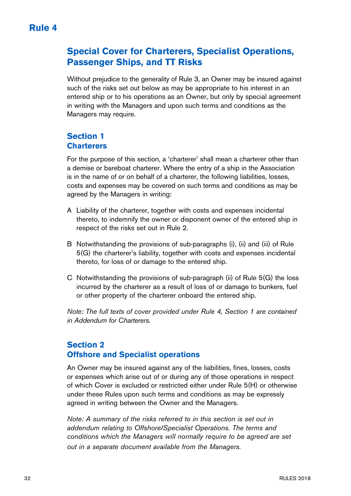# **Special Cover for Charterers, Specialist Operations, Passenger Ships, and TT Risks**

Without prejudice to the generality of Rule 3, an Owner may be insured against such of the risks set out below as may be appropriate to his interest in an entered ship or to his operations as an Owner, but only by special agreement in writing with the Managers and upon such terms and conditions as the Managers may require.

# **Section 1 Charterers**

For the purpose of this section, a 'charterer' shall mean a charterer other than a demise or bareboat charterer. Where the entry of a ship in the Association is in the name of or on behalf of a charterer, the following liabilities, losses, costs and expenses may be covered on such terms and conditions as may be agreed by the Managers in writing:

- A Liability of the charterer, together with costs and expenses incidental thereto, to indemnify the owner or disponent owner of the entered ship in respect of the risks set out in Rule 2.
- B Notwithstanding the provisions of sub-paragraphs (i), (ii) and (iii) of Rule 5(G) the charterer's liability, together with costs and expenses incidental thereto, for loss of or damage to the entered ship.
- C Notwithstanding the provisions of sub-paragraph (ii) of Rule 5(G) the loss incurred by the charterer as a result of loss of or damage to bunkers, fuel or other property of the charterer onboard the entered ship.

Note: The full texts of cover provided under Rule 4, Section 1 are contained in Addendum for Charterers.

### **Section 2 Offshore and Specialist operations**

An Owner may be insured against any of the liabilities, fines, losses, costs or expenses which arise out of or during any of those operations in respect of which Cover is excluded or restricted either under Rule 5(H) or otherwise under these Rules upon such terms and conditions as may be expressly agreed in writing between the Owner and the Managers.

Note: A summary of the risks referred to in this section is set out in addendum relating to Offshore/Specialist Operations. The terms and conditions which the Managers will normally require to be agreed are set out in a separate document available from the Managers.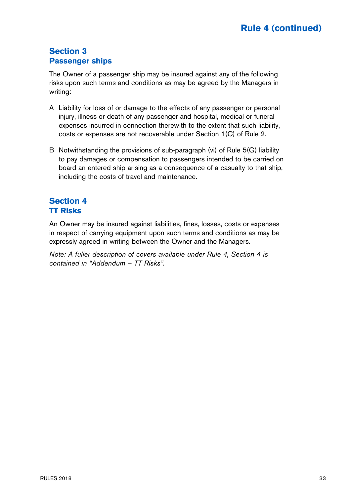# **Section 3 Passenger ships**

The Owner of a passenger ship may be insured against any of the following risks upon such terms and conditions as may be agreed by the Managers in writing:

- A Liability for loss of or damage to the effects of any passenger or personal injury, illness or death of any passenger and hospital, medical or funeral expenses incurred in connection therewith to the extent that such liability, costs or expenses are not recoverable under Section 1(C) of Rule 2.
- B Notwithstanding the provisions of sub-paragraph (vi) of Rule 5(G) liability to pay damages or compensation to passengers intended to be carried on board an entered ship arising as a consequence of a casualty to that ship, including the costs of travel and maintenance.

# **Section 4 TT Risks**

An Owner may be insured against liabilities, fines, losses, costs or expenses in respect of carrying equipment upon such terms and conditions as may be expressly agreed in writing between the Owner and the Managers.

Note: A fuller description of covers available under Rule 4, Section 4 is contained in "Addendum – TT Risks".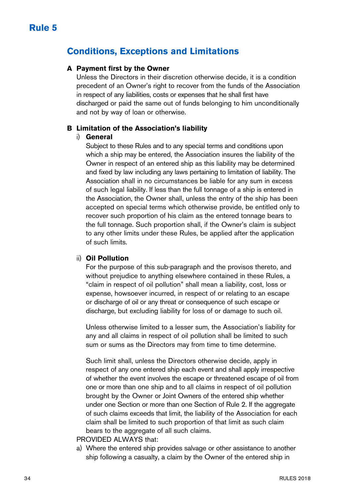# **Conditions, Exceptions and Limitations**

#### **A Payment first by the Owner**

Unless the Directors in their discretion otherwise decide, it is a condition precedent of an Owner's right to recover from the funds of the Association in respect of any liabilities, costs or expenses that he shall first have discharged or paid the same out of funds belonging to him unconditionally and not by way of loan or otherwise.

#### **B Limitation of the Association's liability**

#### i) **General**

 Subject to these Rules and to any special terms and conditions upon which a ship may be entered, the Association insures the liability of the Owner in respect of an entered ship as this liability may be determined and fixed by law including any laws pertaining to limitation of liability. The Association shall in no circumstances be liable for any sum in excess of such legal liability. If less than the full tonnage of a ship is entered in the Association, the Owner shall, unless the entry of the ship has been accepted on special terms which otherwise provide, be entitled only to recover such proportion of his claim as the entered tonnage bears to the full tonnage. Such proportion shall, if the Owner's claim is subject to any other limits under these Rules, be applied after the application of such limits.

#### ii) **Oil Pollution**

 For the purpose of this sub-paragraph and the provisos thereto, and without prejudice to anything elsewhere contained in these Rules, a "claim in respect of oil pollution" shall mean a liability, cost, loss or expense, howsoever incurred, in respect of or relating to an escape or discharge of oil or any threat or consequence of such escape or discharge, but excluding liability for loss of or damage to such oil.

 Unless otherwise limited to a lesser sum, the Association's liability for any and all claims in respect of oil pollution shall be limited to such sum or sums as the Directors may from time to time determine.

 Such limit shall, unless the Directors otherwise decide, apply in respect of any one entered ship each event and shall apply irrespective of whether the event involves the escape or threatened escape of oil from one or more than one ship and to all claims in respect of oil pollution brought by the Owner or Joint Owners of the entered ship whether under one Section or more than one Section of Rule 2. If the aggregate of such claims exceeds that limit, the liability of the Association for each claim shall be limited to such proportion of that limit as such claim bears to the aggregate of all such claims.

#### PROVIDED ALWAYS that:

a) Where the entered ship provides salvage or other assistance to another ship following a casualty, a claim by the Owner of the entered ship in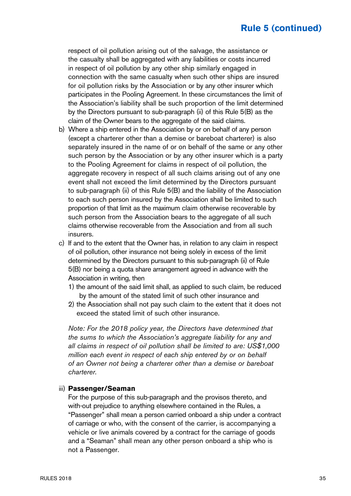respect of oil pollution arising out of the salvage, the assistance or the casualty shall be aggregated with any liabilities or costs incurred in respect of oil pollution by any other ship similarly engaged in connection with the same casualty when such other ships are insured for oil pollution risks by the Association or by any other insurer which participates in the Pooling Agreement. In these circumstances the limit of the Association's liability shall be such proportion of the limit determined by the Directors pursuant to sub-paragraph (ii) of this Rule 5(B) as the claim of the Owner bears to the aggregate of the said claims.

- b) Where a ship entered in the Association by or on behalf of any person (except a charterer other than a demise or bareboat charterer) is also separately insured in the name of or on behalf of the same or any other such person by the Association or by any other insurer which is a party to the Pooling Agreement for claims in respect of oil pollution, the aggregate recovery in respect of all such claims arising out of any one event shall not exceed the limit determined by the Directors pursuant to sub-paragraph (ii) of this Rule 5(B) and the liability of the Association to each such person insured by the Association shall be limited to such proportion of that limit as the maximum claim otherwise recoverable by such person from the Association bears to the aggregate of all such claims otherwise recoverable from the Association and from all such insurers.
- c) If and to the extent that the Owner has, in relation to any claim in respect of oil pollution, other insurance not being solely in excess of the limit determined by the Directors pursuant to this sub-paragraph (ii) of Rule 5(B) nor being a quota share arrangement agreed in advance with the Association in writing, then
	- 1) the amount of the said limit shall, as applied to such claim, be reduced by the amount of the stated limit of such other insurance and
	- 2) the Association shall not pay such claim to the extent that it does not exceed the stated limit of such other insurance.

 Note: For the 2018 policy year, the Directors have determined that the sums to which the Association's aggregate liability for any and all claims in respect of oil pollution shall be limited to are: US\$1,000 million each event in respect of each ship entered by or on behalf of an Owner not being a charterer other than a demise or bareboat charterer.

#### iii) **Passenger/Seaman**

 For the purpose of this sub-paragraph and the provisos thereto, and with-out prejudice to anything elsewhere contained in the Rules, a "Passenger" shall mean a person carried onboard a ship under a contract of carriage or who, with the consent of the carrier, is accompanying a vehicle or live animals covered by a contract for the carriage of goods and a "Seaman" shall mean any other person onboard a ship who is not a Passenger.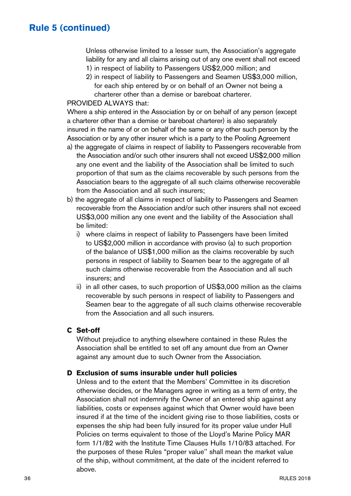Unless otherwise limited to a lesser sum, the Association's aggregate liability for any and all claims arising out of any one event shall not exceed 1) in respect of liability to Passengers US\$2,000 million; and

2) in respect of liability to Passengers and Seamen US\$3,000 million, for each ship entered by or on behalf of an Owner not being a charterer other than a demise or bareboat charterer.

#### PROVIDED ALWAYS that:

Where a ship entered in the Association by or on behalf of any person (except a charterer other than a demise or bareboat charterer) is also separately insured in the name of or on behalf of the same or any other such person by the Association or by any other insurer which is a party to the Pooling Agreement

- a) the aggregate of claims in respect of liability to Passengers recoverable from the Association and/or such other insurers shall not exceed US\$2,000 million any one event and the liability of the Association shall be limited to such proportion of that sum as the claims recoverable by such persons from the Association bears to the aggregate of all such claims otherwise recoverable from the Association and all such insurers;
- b) the aggregate of all claims in respect of liability to Passengers and Seamen recoverable from the Association and/or such other insurers shall not exceed US\$3,000 million any one event and the liability of the Association shall be limited:
	- i) where claims in respect of liability to Passengers have been limited to US\$2,000 million in accordance with proviso (a) to such proportion of the balance of US\$1,000 million as the claims recoverable by such persons in respect of liability to Seamen bear to the aggregate of all such claims otherwise recoverable from the Association and all such insurers; and
	- ii) in all other cases, to such proportion of US\$3,000 million as the claims recoverable by such persons in respect of liability to Passengers and Seamen bear to the aggregate of all such claims otherwise recoverable from the Association and all such insurers.

### **C Set-off**

Without prejudice to anything elsewhere contained in these Rules the Association shall be entitled to set off any amount due from an Owner against any amount due to such Owner from the Association.

#### **D Exclusion of sums insurable under hull policies**

Unless and to the extent that the Members' Committee in its discretion otherwise decides, or the Managers agree in writing as a term of entry, the Association shall not indemnify the Owner of an entered ship against any liabilities, costs or expenses against which that Owner would have been insured if at the time of the incident giving rise to those liabilities, costs or expenses the ship had been fully insured for its proper value under Hull Policies on terms equivalent to those of the Lloyd's Marine Policy MAR form 1/1/82 with the Institute Time Clauses Hulls 1/10/83 attached. For the purposes of these Rules "proper value'' shall mean the market value of the ship, without commitment, at the date of the incident referred to above.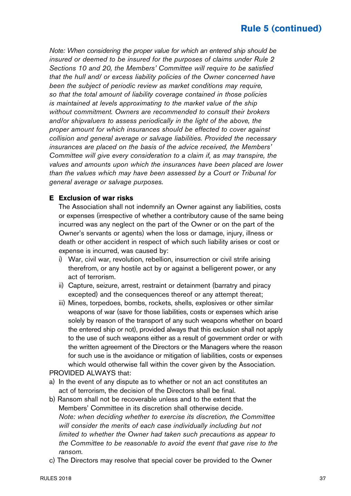Note: When considering the proper value for which an entered ship should be insured or deemed to be insured for the purposes of claims under Rule 2 Sections 10 and 20, the Members' Committee will require to be satisfied that the hull and/ or excess liability policies of the Owner concerned have been the subject of periodic review as market conditions may require, so that the total amount of liability coverage contained in those policies is maintained at levels approximating to the market value of the ship without commitment. Owners are recommended to consult their brokers and/or shipvaluers to assess periodically in the light of the above, the proper amount for which insurances should be effected to cover against collision and general average or salvage liabilities. Provided the necessary insurances are placed on the basis of the advice received, the Members' Committee will give every consideration to a claim if, as may transpire, the values and amounts upon which the insurances have been placed are lower than the values which may have been assessed by a Court or Tribunal for general average or salvage purposes.

#### **E Exclusion of war risks**

The Association shall not indemnify an Owner against any liabilities, costs or expenses (irrespective of whether a contributory cause of the same being incurred was any neglect on the part of the Owner or on the part of the Owner's servants or agents) when the loss or damage, injury, illness or death or other accident in respect of which such liability arises or cost or expense is incurred, was caused by:

- i) War, civil war, revolution, rebellion, insurrection or civil strife arising therefrom, or any hostile act by or against a belligerent power, or any act of terrorism.
- ii) Capture, seizure, arrest, restraint or detainment (barratry and piracy excepted) and the consequences thereof or any attempt thereat;
- iii) Mines, torpedoes, bombs, rockets, shells, explosives or other similar weapons of war (save for those liabilities, costs or expenses which arise solely by reason of the transport of any such weapons whether on board the entered ship or not), provided always that this exclusion shall not apply to the use of such weapons either as a result of government order or with the written agreement of the Directors or the Managers where the reason for such use is the avoidance or mitigation of liabilities, costs or expenses which would otherwise fall within the cover given by the Association. PROVIDED ALWAYS that:

### a) In the event of any dispute as to whether or not an act constitutes an act of terrorism, the decision of the Directors shall be final.

- b) Ransom shall not be recoverable unless and to the extent that the Members' Committee in its discretion shall otherwise decide. Note: when deciding whether to exercise its discretion, the Committee will consider the merits of each case individually including but not limited to whether the Owner had taken such precautions as appear to the Committee to be reasonable to avoid the event that gave rise to the ransom.
- c) The Directors may resolve that special cover be provided to the Owner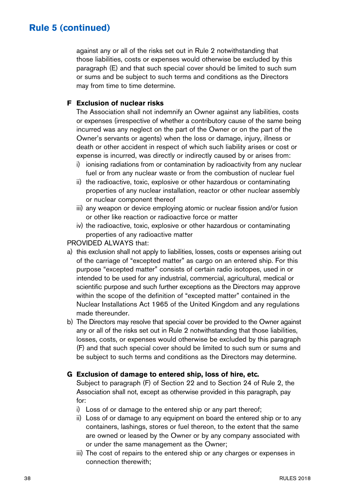against any or all of the risks set out in Rule 2 notwithstanding that those liabilities, costs or expenses would otherwise be excluded by this paragraph (E) and that such special cover should be limited to such sum or sums and be subject to such terms and conditions as the Directors may from time to time determine.

### **F Exclusion of nuclear risks**

The Association shall not indemnify an Owner against any liabilities, costs or expenses (irrespective of whether a contributory cause of the same being incurred was any neglect on the part of the Owner or on the part of the Owner's servants or agents) when the loss or damage, injury, illness or death or other accident in respect of which such liability arises or cost or expense is incurred, was directly or indirectly caused by or arises from:

- i) ionising radiations from or contamination by radioactivity from any nuclear fuel or from any nuclear waste or from the combustion of nuclear fuel
- ii) the radioactive, toxic, explosive or other hazardous or contaminating properties of any nuclear installation, reactor or other nuclear assembly or nuclear component thereof
- iii) any weapon or device employing atomic or nuclear fission and/or fusion or other like reaction or radioactive force or matter
- iv) the radioactive, toxic, explosive or other hazardous or contaminating properties of any radioactive matter

PROVIDED ALWAYS that:

- a) this exclusion shall not apply to liabilities, losses, costs or expenses arising out of the carriage of "excepted matter" as cargo on an entered ship. For this purpose "excepted matter" consists of certain radio isotopes, used in or intended to be used for any industrial, commercial, agricultural, medical or scientific purpose and such further exceptions as the Directors may approve within the scope of the definition of "excepted matter" contained in the Nuclear Installations Act 1965 of the United Kingdom and any regulations made thereunder.
- b) The Directors may resolve that special cover be provided to the Owner against any or all of the risks set out in Rule 2 notwithstanding that those liabilities, losses, costs, or expenses would otherwise be excluded by this paragraph (F) and that such special cover should be limited to such sum or sums and be subject to such terms and conditions as the Directors may determine.

#### **G Exclusion of damage to entered ship, loss of hire, etc.**

Subject to paragraph (F) of Section 22 and to Section 24 of Rule 2, the Association shall not, except as otherwise provided in this paragraph, pay for:

- i) Loss of or damage to the entered ship or any part thereof;
- ii) Loss of or damage to any equipment on board the entered ship or to any containers, lashings, stores or fuel thereon, to the extent that the same are owned or leased by the Owner or by any company associated with or under the same management as the Owner;
- iii) The cost of repairs to the entered ship or any charges or expenses in connection therewith;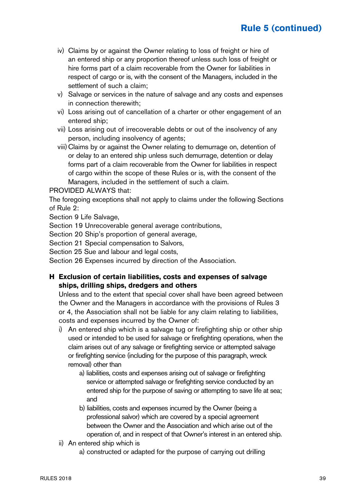- iv) Claims by or against the Owner relating to loss of freight or hire of an entered ship or any proportion thereof unless such loss of freight or hire forms part of a claim recoverable from the Owner for liabilities in respect of cargo or is, with the consent of the Managers, included in the settlement of such a claim;
- v) Salvage or services in the nature of salvage and any costs and expenses in connection therewith;
- vi) Loss arising out of cancellation of a charter or other engagement of an entered ship;
- vii) Loss arising out of irrecoverable debts or out of the insolvency of any person, including insolvency of agents;
- viii)Claims by or against the Owner relating to demurrage on, detention of or delay to an entered ship unless such demurrage, detention or delay forms part of a claim recoverable from the Owner for liabilities in respect of cargo within the scope of these Rules or is, with the consent of the Managers, included in the settlement of such a claim.

#### PROVIDED ALWAYS that:

The foregoing exceptions shall not apply to claims under the following Sections of Rule 2:

Section 9 Life Salvage,

Section 19 Unrecoverable general average contributions,

Section 20 Ship's proportion of general average,

Section 21 Special compensation to Salvors,

Section 25 Sue and labour and legal costs,

Section 26 Expenses incurred by direction of the Association.

### **H Exclusion of certain liabilities, costs and expenses of salvage ships, drilling ships, dredgers and others**

Unless and to the extent that special cover shall have been agreed between the Owner and the Managers in accordance with the provisions of Rules 3 or 4, the Association shall not be liable for any claim relating to liabilities, costs and expenses incurred by the Owner of:

- i) An entered ship which is a salvage tug or firefighting ship or other ship used or intended to be used for salvage or firefighting operations, when the claim arises out of any salvage or firefighting service or attempted salvage or firefighting service (including for the purpose of this paragraph, wreck removal) other than
	- a) liabilities, costs and expenses arising out of salvage or firefighting service or attempted salvage or firefighting service conducted by an entered ship for the purpose of saving or attempting to save life at sea; and
	- b) liabilities, costs and expenses incurred by the Owner (being a professional salvor) which are covered by a special agreement between the Owner and the Association and which arise out of the operation of, and in respect of that Owner's interest in an entered ship.
- ii) An entered ship which is
	- a) constructed or adapted for the purpose of carrying out drilling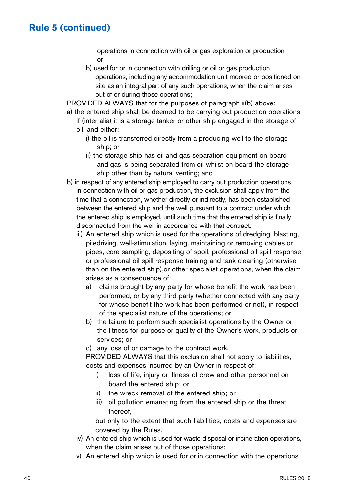operations in connection with oil or gas exploration or production, or

 b) used for or in connection with drilling or oil or gas production operations, including any accommodation unit moored or positioned on site as an integral part of any such operations, when the claim arises out of or during those operations;

PROVIDED ALWAYS that for the purposes of paragraph  $ii(b)$  above:

- a) the entered ship shall be deemed to be carrying out production operations if (inter alia) it is a storage tanker or other ship engaged in the storage of oil, and either:
	- i) the oil is transferred directly from a producing well to the storage ship; or
	- ii) the storage ship has oil and gas separation equipment on board and gas is being separated from oil whilst on board the storage ship other than by natural venting; and
- b) in respect of any entered ship employed to carry out production operations in connection with oil or gas production, the exclusion shall apply from the time that a connection, whether directly or indirectly, has been established between the entered ship and the well pursuant to a contract under which the entered ship is employed, until such time that the entered ship is finally disconnected from the well in accordance with that contract.
	- iii) An entered ship which is used for the operations of dredging, blasting, piledriving, well-stimulation, laying, maintaining or removing cables or pipes, core sampling, depositing of spoil, professional oil spill response or professional oil spill response training and tank cleaning (otherwise than on the entered ship),or other specialist operations, when the claim arises as a consequence of:
		- a) claims brought by any party for whose benefit the work has been performed, or by any third party (whether connected with any party for whose benefit the work has been performed or not), in respect of the specialist nature of the operations; or
		- b) the failure to perform such specialist operations by the Owner or the fitness for purpose or quality of the Owner's work, products or services; or
		- c) any loss of or damage to the contract work.

 PROVIDED ALWAYS that this exclusion shall not apply to liabilities, costs and expenses incurred by an Owner in respect of:

- i) loss of life, injury or illness of crew and other personnel on board the entered ship; or
- ii) the wreck removal of the entered ship; or
- iii) oil pollution emanating from the entered ship or the threat thereof,

 but only to the extent that such liabilities, costs and expenses are covered by the Rules.

- iv) An entered ship which is used for waste disposal or incineration operations, when the claim arises out of those operations:
- v) An entered ship which is used for or in connection with the operations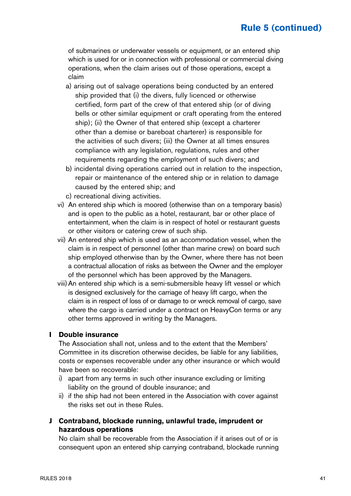of submarines or underwater vessels or equipment, or an entered ship which is used for or in connection with professional or commercial diving operations, when the claim arises out of those operations, except a claim

- a) arising out of salvage operations being conducted by an entered ship provided that (i) the divers, fully licenced or otherwise certified, form part of the crew of that entered ship (or of diving bells or other similar equipment or craft operating from the entered ship); (ii) the Owner of that entered ship (except a charterer other than a demise or bareboat charterer) is responsible for the activities of such divers; (iii) the Owner at all times ensures compliance with any legislation, regulations, rules and other requirements regarding the employment of such divers; and
- b) incidental diving operations carried out in relation to the inspection, repair or maintenance of the entered ship or in relation to damage caused by the entered ship; and
- c) recreational diving activities.
- vi) An entered ship which is moored (otherwise than on a temporary basis) and is open to the public as a hotel, restaurant, bar or other place of entertainment, when the claim is in respect of hotel or restaurant guests or other visitors or catering crew of such ship.
- vii) An entered ship which is used as an accommodation vessel, when the claim is in respect of personnel (other than marine crew) on board such ship employed otherwise than by the Owner, where there has not been a contractual allocation of risks as between the Owner and the employer of the personnel which has been approved by the Managers.
- viii)An entered ship which is a semi-submersible heavy lift vessel or which is designed exclusively for the carriage of heavy lift cargo, when the claim is in respect of loss of or damage to or wreck removal of cargo, save where the cargo is carried under a contract on HeavyCon terms or any other terms approved in writing by the Managers.

#### **I Double insurance**

The Association shall not, unless and to the extent that the Members' Committee in its discretion otherwise decides, be liable for any liabilities, costs or expenses recoverable under any other insurance or which would have been so recoverable:

- i) apart from any terms in such other insurance excluding or limiting liability on the ground of double insurance; and
- ii) if the ship had not been entered in the Association with cover against the risks set out in these Rules.
- **J Contraband, blockade running, unlawful trade, imprudent or hazardous operations**

No claim shall be recoverable from the Association if it arises out of or is consequent upon an entered ship carrying contraband, blockade running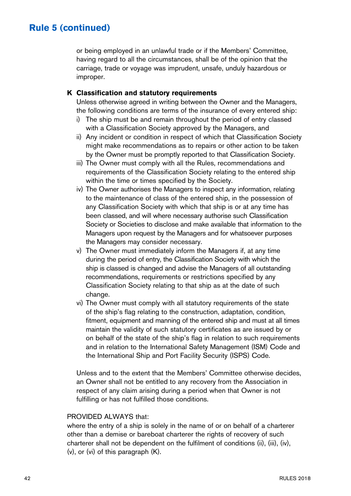or being employed in an unlawful trade or if the Members' Committee, having regard to all the circumstances, shall be of the opinion that the carriage, trade or voyage was imprudent, unsafe, unduly hazardous or improper.

#### **K Classification and statutory requirements**

Unless otherwise agreed in writing between the Owner and the Managers, the following conditions are terms of the insurance of every entered ship:

- i) The ship must be and remain throughout the period of entry classed with a Classification Society approved by the Managers, and
- ii) Any incident or condition in respect of which that Classification Society might make recommendations as to repairs or other action to be taken by the Owner must be promptly reported to that Classification Society.
- iii) The Owner must comply with all the Rules, recommendations and requirements of the Classification Society relating to the entered ship within the time or times specified by the Society.
- iv) The Owner authorises the Managers to inspect any information, relating to the maintenance of class of the entered ship, in the possession of any Classification Society with which that ship is or at any time has been classed, and will where necessary authorise such Classification Society or Societies to disclose and make available that information to the Managers upon request by the Managers and for whatsoever purposes the Managers may consider necessary.
- v) The Owner must immediately inform the Managers if, at any time during the period of entry, the Classification Society with which the ship is classed is changed and advise the Managers of all outstanding recommendations, requirements or restrictions specified by any Classification Society relating to that ship as at the date of such change.
- vi) The Owner must comply with all statutory requirements of the state of the ship's flag relating to the construction, adaptation, condition, fitment, equipment and manning of the entered ship and must at all times maintain the validity of such statutory certificates as are issued by or on behalf of the state of the ship's flag in relation to such requirements and in relation to the International Safety Management (ISM) Code and the International Ship and Port Facility Security (ISPS) Code.

Unless and to the extent that the Members' Committee otherwise decides, an Owner shall not be entitled to any recovery from the Association in respect of any claim arising during a period when that Owner is not fulfilling or has not fulfilled those conditions.

#### PROVIDED ALWAYS that:

where the entry of a ship is solely in the name of or on behalf of a charterer other than a demise or bareboat charterer the rights of recovery of such charterer shall not be dependent on the fulfilment of conditions (ii), (iii), (iv), (v), or (vi) of this paragraph (K).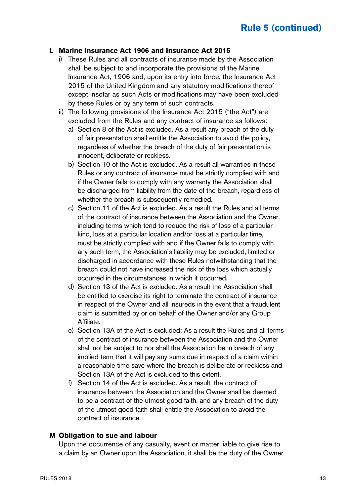#### **L Marine Insurance Act 1906 and Insurance Act 2015**

- i) These Rules and all contracts of insurance made by the Association shall be subject to and incorporate the provisions of the Marine Insurance Act, 1906 and, upon its entry into force, the Insurance Act 2015 of the United Kingdom and any statutory modifications thereof except insofar as such Acts or modifications may have been excluded by these Rules or by any term of such contracts.
- ii) The following provisions of the Insurance Act 2015 ("the Act") are excluded from the Rules and any contract of insurance as follows:
	- a) Section 8 of the Act is excluded. As a result any breach of the duty of fair presentation shall entitle the Association to avoid the policy, regardless of whether the breach of the duty of fair presentation is innocent, deliberate or reckless.
	- b) Section 10 of the Act is excluded. As a result all warranties in these Rules or any contract of insurance must be strictly complied with and if the Owner fails to comply with any warranty the Association shall be discharged from liability from the date of the breach, regardless of whether the breach is subsequently remedied.
	- c) Section 11 of the Act is excluded. As a result the Rules and all terms of the contract of insurance between the Association and the Owner, including terms which tend to reduce the risk of loss of a particular kind, loss at a particular location and/or loss at a particular time, must be strictly complied with and if the Owner fails to comply with any such term, the Association's liability may be excluded, limited or discharged in accordance with these Rules notwithstanding that the breach could not have increased the risk of the loss which actually occurred in the circumstances in which it occurred.
	- d) Section 13 of the Act is excluded. As a result the Association shall be entitled to exercise its right to terminate the contract of insurance in respect of the Owner and all insureds in the event that a fraudulent claim is submitted by or on behalf of the Owner and/or any Group Affiliate.
	- e) Section 13A of the Act is excluded: As a result the Rules and all terms of the contract of insurance between the Association and the Owner shall not be subject to nor shall the Association be in breach of any implied term that it will pay any sums due in respect of a claim within a reasonable time save where the breach is deliberate or reckless and Section 13A of the Act is excluded to this extent.
	- f) Section 14 of the Act is excluded. As a result, the contract of insurance between the Association and the Owner shall be deemed to be a contract of the utmost good faith, and any breach of the duty of the utmost good faith shall entitle the Association to avoid the contract of insurance.

#### **M Obligation to sue and labour**

Upon the occurrence of any casualty, event or matter liable to give rise to a claim by an Owner upon the Association, it shall be the duty of the Owner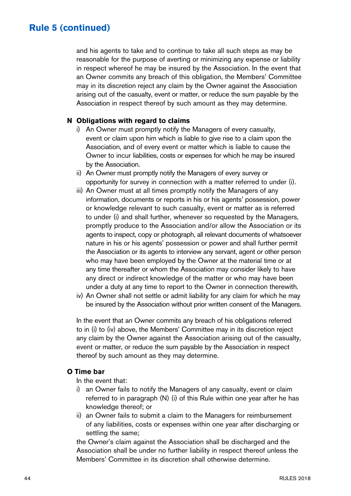and his agents to take and to continue to take all such steps as may be reasonable for the purpose of averting or minimizing any expense or liability in respect whereof he may be insured by the Association. In the event that an Owner commits any breach of this obligation, the Members' Committee may in its discretion reject any claim by the Owner against the Association arising out of the casualty, event or matter, or reduce the sum payable by the Association in respect thereof by such amount as they may determine.

#### **N Obligations with regard to claims**

- i) An Owner must promptly notify the Managers of every casualty, event or claim upon him which is liable to give rise to a claim upon the Association, and of every event or matter which is liable to cause the Owner to incur liabilities, costs or expenses for which he may be insured by the Association.
- ii) An Owner must promptly notify the Managers of every survey or opportunity for survey in connection with a matter referred to under (i).
- iii) An Owner must at all times promptly notify the Managers of any information, documents or reports in his or his agents' possession, power or knowledge relevant to such casualty, event or matter as is referred to under (i) and shall further, whenever so requested by the Managers, promptly produce to the Association and/or allow the Association or its agents to inspect, copy or photograph, all relevant documents of whatsoever nature in his or his agents' possession or power and shall further permit the Association or its agents to interview any servant, agent or other person who may have been employed by the Owner at the material time or at any time thereafter or whom the Association may consider likely to have any direct or indirect knowledge of the matter or who may have been under a duty at any time to report to the Owner in connection therewith.
- iv) An Owner shall not settle or admit liability for any claim for which he may be insured by the Association without prior written consent of the Managers.

In the event that an Owner commits any breach of his obligations referred to in (i) to (iv) above, the Members' Committee may in its discretion reject any claim by the Owner against the Association arising out of the casualty, event or matter, or reduce the sum payable by the Association in respect thereof by such amount as they may determine.

### **O Time bar**

- In the event that:
- i) an Owner fails to notify the Managers of any casualty, event or claim referred to in paragraph (N) (i) of this Rule within one year after he has knowledge thereof; or
- ii) an Owner fails to submit a claim to the Managers for reimbursement of any liabilities, costs or expenses within one year after discharging or settling the same;

the Owner's claim against the Association shall be discharged and the Association shall be under no further liability in respect thereof unless the Members' Committee in its discretion shall otherwise determine.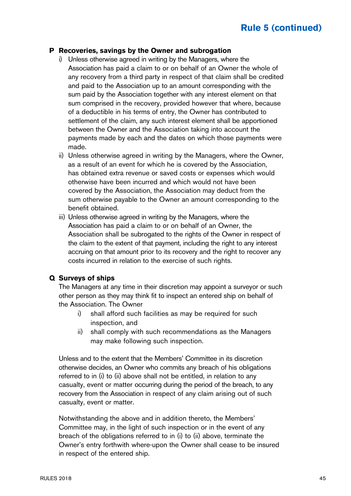#### **P Recoveries, savings by the Owner and subrogation**

- i) Unless otherwise agreed in writing by the Managers, where the Association has paid a claim to or on behalf of an Owner the whole of any recovery from a third party in respect of that claim shall be credited and paid to the Association up to an amount corresponding with the sum paid by the Association together with any interest element on that sum comprised in the recovery, provided however that where, because of a deductible in his terms of entry, the Owner has contributed to settlement of the claim, any such interest element shall be apportioned between the Owner and the Association taking into account the payments made by each and the dates on which those payments were made.
- ii) Unless otherwise agreed in writing by the Managers, where the Owner, as a result of an event for which he is covered by the Association, has obtained extra revenue or saved costs or expenses which would otherwise have been incurred and which would not have been covered by the Association, the Association may deduct from the sum otherwise payable to the Owner an amount corresponding to the benefit obtained.
- iii) Unless otherwise agreed in writing by the Managers, where the Association has paid a claim to or on behalf of an Owner, the Association shall be subrogated to the rights of the Owner in respect of the claim to the extent of that payment, including the right to any interest accruing on that amount prior to its recovery and the right to recover any costs incurred in relation to the exercise of such rights.

#### **Q Surveys of ships**

The Managers at any time in their discretion may appoint a surveyor or such other person as they may think fit to inspect an entered ship on behalf of the Association. The Owner

- i) shall afford such facilities as may be required for such inspection, and
- ii) shall comply with such recommendations as the Managers may make following such inspection.

Unless and to the extent that the Members' Committee in its discretion otherwise decides, an Owner who commits any breach of his obligations referred to in (i) to (ii) above shall not be entitled, in relation to any casualty, event or matter occurring during the period of the breach, to any recovery from the Association in respect of any claim arising out of such casualty, event or matter.

Notwithstanding the above and in addition thereto, the Members' Committee may, in the light of such inspection or in the event of any breach of the obligations referred to in (i) to (ii) above, terminate the Owner's entry forthwith where-upon the Owner shall cease to be insured in respect of the entered ship.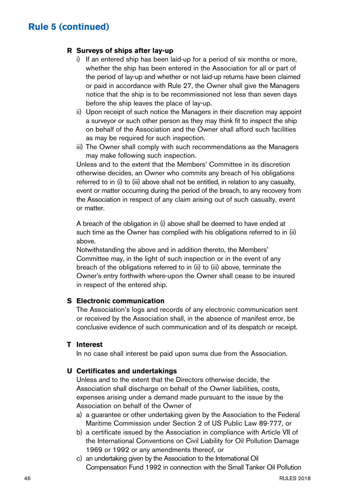### **R Surveys of ships after lay-up**

- i) If an entered ship has been laid-up for a period of six months or more, whether the ship has been entered in the Association for all or part of the period of lay-up and whether or not laid-up returns have been claimed or paid in accordance with Rule 27, the Owner shall give the Managers notice that the ship is to be recommissioned not less than seven days before the ship leaves the place of lay-up.
- ii) Upon receipt of such notice the Managers in their discretion may appoint a surveyor or such other person as they may think fit to inspect the ship on behalf of the Association and the Owner shall afford such facilities as may be required for such inspection.
- iii) The Owner shall comply with such recommendations as the Managers may make following such inspection.

Unless and to the extent that the Members' Committee in its discretion otherwise decides, an Owner who commits any breach of his obligations referred to in (i) to (iii) above shall not be entitled, in relation to any casualty, event or matter occurring during the period of the breach, to any recovery from the Association in respect of any claim arising out of such casualty, event or matter.

A breach of the obligation in (i) above shall be deemed to have ended at such time as the Owner has complied with his obligations referred to in (ii) above.

Notwithstanding the above and in addition thereto, the Members' Committee may, in the light of such inspection or in the event of any breach of the obligations referred to in (ii) to (iii) above, terminate the Owner's entry forthwith where-upon the Owner shall cease to be insured in respect of the entered ship.

#### **S Electronic communication**

The Association's logs and records of any electronic communication sent or received by the Association shall, in the absence of manifest error, be conclusive evidence of such communication and of its despatch or receipt.

#### **T Interest**

In no case shall interest be paid upon sums due from the Association.

#### **U Certificates and undertakings**

Unless and to the extent that the Directors otherwise decide, the Association shall discharge on behalf of the Owner liabilities, costs, expenses arising under a demand made pursuant to the issue by the Association on behalf of the Owner of

- a) a guarantee or other undertaking given by the Association to the Federal Maritime Commission under Section 2 of US Public Law 89-777, or
- b) a certificate issued by the Association in compliance with Article VII of the International Conventions on Civil Liability for Oil Pollution Damage 1969 or 1992 or any amendments thereof, or
- c) an undertaking given by the Association to the International Oil Compensation Fund 1992 in connection with the Small Tanker Oil Pollution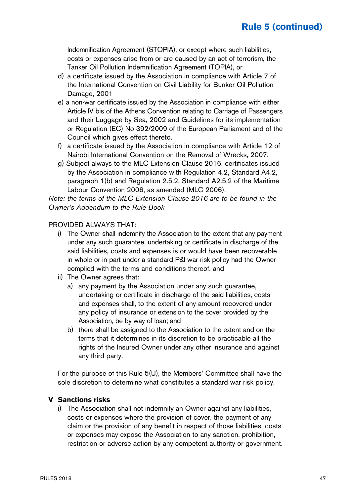Indemnification Agreement (STOPIA), or except where such liabilities, costs or expenses arise from or are caused by an act of terrorism, the Tanker Oil Pollution Indemnification Agreement (TOPIA), or

- d) a certificate issued by the Association in compliance with Article 7 of the International Convention on Civil Liability for Bunker Oil Pollution Damage, 2001
- e) a non-war certificate issued by the Association in compliance with either Article IV bis of the Athens Convention relating to Carriage of Passengers and their Luggage by Sea, 2002 and Guidelines for its implementation or Regulation (EC) No 392/2009 of the European Parliament and of the Council which gives effect thereto.
- f) a certificate issued by the Association in compliance with Article 12 of Nairobi International Convention on the Removal of Wrecks, 2007.
- g) Subject always to the MLC Extension Clause 2016, certificates issued by the Association in compliance with Regulation 4.2, Standard A4.2, paragraph 1(b) and Regulation 2.5.2, Standard A2.5.2 of the Maritime Labour Convention 2006, as amended (MLC 2006).

Note: the terms of the MLC Extension Clause 2016 are to be found in the Owner's Addendum to the Rule Book

#### PROVIDED ALWAYS THAT:

- i) The Owner shall indemnify the Association to the extent that any payment under any such guarantee, undertaking or certificate in discharge of the said liabilities, costs and expenses is or would have been recoverable in whole or in part under a standard P&I war risk policy had the Owner complied with the terms and conditions thereof, and
- ii) The Owner agrees that:
	- a) any payment by the Association under any such guarantee, undertaking or certificate in discharge of the said liabilities, costs and expenses shall, to the extent of any amount recovered under any policy of insurance or extension to the cover provided by the Association, be by way of loan; and
	- b) there shall be assigned to the Association to the extent and on the terms that it determines in its discretion to be practicable all the rights of the Insured Owner under any other insurance and against any third party.

For the purpose of this Rule 5(U), the Members' Committee shall have the sole discretion to determine what constitutes a standard war risk policy.

#### **V Sanctions risks**

i) The Association shall not indemnify an Owner against any liabilities, costs or expenses where the provision of cover, the payment of any claim or the provision of any benefit in respect of those liabilities, costs or expenses may expose the Association to any sanction, prohibition, restriction or adverse action by any competent authority or government.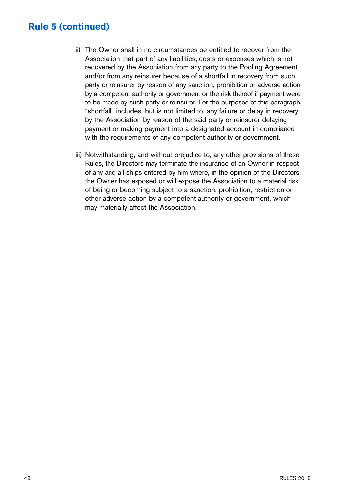- ii) The Owner shall in no circumstances be entitled to recover from the Association that part of any liabilities, costs or expenses which is not recovered by the Association from any party to the Pooling Agreement and/or from any reinsurer because of a shortfall in recovery from such party or reinsurer by reason of any sanction, prohibition or adverse action by a competent authority or government or the risk thereof if payment were to be made by such party or reinsurer. For the purposes of this paragraph, "shortfall" includes, but is not limited to, any failure or delay in recovery by the Association by reason of the said party or reinsurer delaying payment or making payment into a designated account in compliance with the requirements of any competent authority or government.
- iii) Notwithstanding, and without prejudice to, any other provisions of these Rules, the Directors may terminate the insurance of an Owner in respect of any and all ships entered by him where, in the opinion of the Directors, the Owner has exposed or will expose the Association to a material risk of being or becoming subject to a sanction, prohibition, restriction or other adverse action by a competent authority or government, which may materially affect the Association.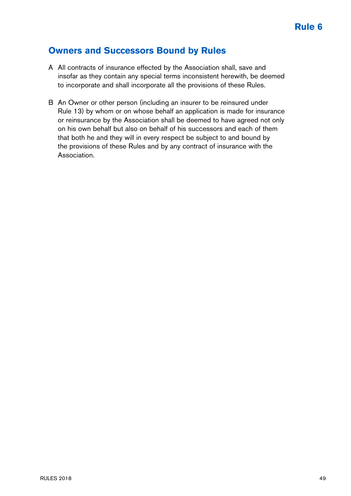### **Owners and Successors Bound by Rules**

- A All contracts of insurance effected by the Association shall, save and insofar as they contain any special terms inconsistent herewith, be deemed to incorporate and shall incorporate all the provisions of these Rules.
- B An Owner or other person (including an insurer to be reinsured under Rule 13) by whom or on whose behalf an application is made for insurance or reinsurance by the Association shall be deemed to have agreed not only on his own behalf but also on behalf of his successors and each of them that both he and they will in every respect be subject to and bound by the provisions of these Rules and by any contract of insurance with the Association.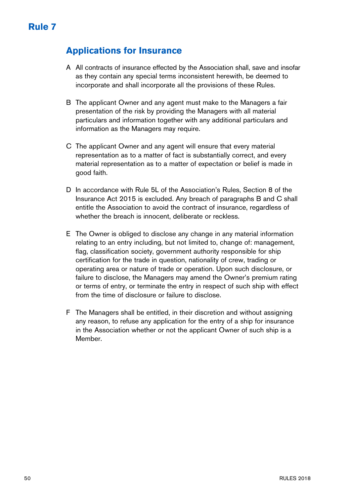### **Applications for Insurance**

- A All contracts of insurance effected by the Association shall, save and insofar as they contain any special terms inconsistent herewith, be deemed to incorporate and shall incorporate all the provisions of these Rules.
- B The applicant Owner and any agent must make to the Managers a fair presentation of the risk by providing the Managers with all material particulars and information together with any additional particulars and information as the Managers may require.
- C The applicant Owner and any agent will ensure that every material representation as to a matter of fact is substantially correct, and every material representation as to a matter of expectation or belief is made in good faith.
- D In accordance with Rule 5L of the Association's Rules, Section 8 of the Insurance Act 2015 is excluded. Any breach of paragraphs B and C shall entitle the Association to avoid the contract of insurance, regardless of whether the breach is innocent, deliberate or reckless.
- E The Owner is obliged to disclose any change in any material information relating to an entry including, but not limited to, change of: management, flag, classification society, government authority responsible for ship certification for the trade in question, nationality of crew, trading or operating area or nature of trade or operation. Upon such disclosure, or failure to disclose, the Managers may amend the Owner's premium rating or terms of entry, or terminate the entry in respect of such ship with effect from the time of disclosure or failure to disclose.
- F The Managers shall be entitled, in their discretion and without assigning any reason, to refuse any application for the entry of a ship for insurance in the Association whether or not the applicant Owner of such ship is a Member.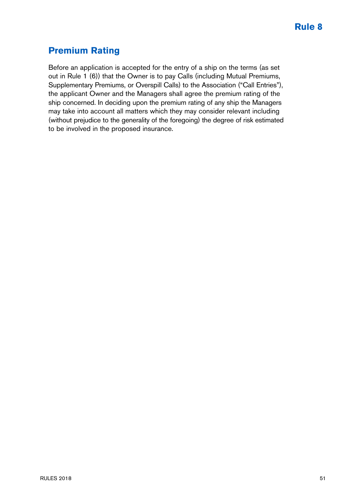# **Premium Rating**

Before an application is accepted for the entry of a ship on the terms (as set out in Rule 1 (6)) that the Owner is to pay Calls (including Mutual Premiums, Supplementary Premiums, or Overspill Calls) to the Association ("Call Entries"), the applicant Owner and the Managers shall agree the premium rating of the ship concerned. In deciding upon the premium rating of any ship the Managers may take into account all matters which they may consider relevant including (without prejudice to the generality of the foregoing) the degree of risk estimated to be involved in the proposed insurance.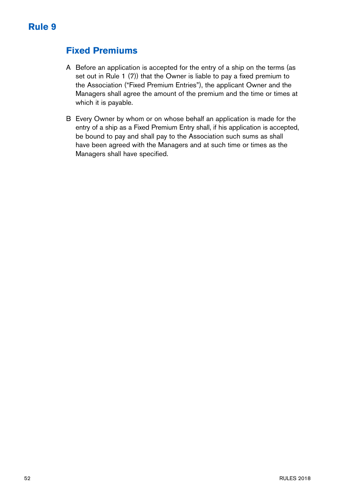### **Fixed Premiums**

- A Before an application is accepted for the entry of a ship on the terms (as set out in Rule 1 (7)) that the Owner is liable to pay a fixed premium to the Association ("Fixed Premium Entries"), the applicant Owner and the Managers shall agree the amount of the premium and the time or times at which it is payable.
- B Every Owner by whom or on whose behalf an application is made for the entry of a ship as a Fixed Premium Entry shall, if his application is accepted, be bound to pay and shall pay to the Association such sums as shall have been agreed with the Managers and at such time or times as the Managers shall have specified.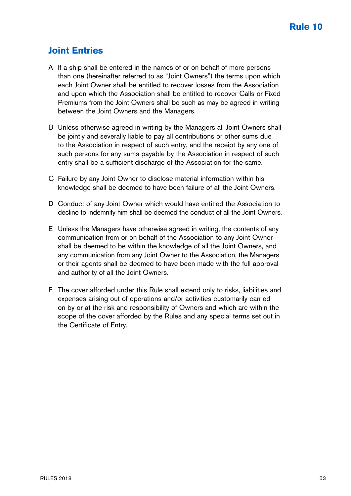## **Joint Entries**

- A If a ship shall be entered in the names of or on behalf of more persons than one (hereinafter referred to as "Joint Owners") the terms upon which each Joint Owner shall be entitled to recover losses from the Association and upon which the Association shall be entitled to recover Calls or Fixed Premiums from the Joint Owners shall be such as may be agreed in writing between the Joint Owners and the Managers.
- B Unless otherwise agreed in writing by the Managers all Joint Owners shall be jointly and severally liable to pay all contributions or other sums due to the Association in respect of such entry, and the receipt by any one of such persons for any sums payable by the Association in respect of such entry shall be a sufficient discharge of the Association for the same.
- C Failure by any Joint Owner to disclose material information within his knowledge shall be deemed to have been failure of all the Joint Owners.
- D Conduct of any Joint Owner which would have entitled the Association to decline to indemnify him shall be deemed the conduct of all the Joint Owners.
- E Unless the Managers have otherwise agreed in writing, the contents of any communication from or on behalf of the Association to any Joint Owner shall be deemed to be within the knowledge of all the Joint Owners, and any communication from any Joint Owner to the Association, the Managers or their agents shall be deemed to have been made with the full approval and authority of all the Joint Owners.
- F The cover afforded under this Rule shall extend only to risks, liabilities and expenses arising out of operations and/or activities customarily carried on by or at the risk and responsibility of Owners and which are within the scope of the cover afforded by the Rules and any special terms set out in the Certificate of Entry.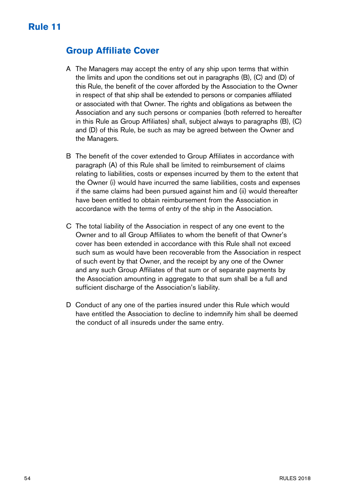### **Group Affiliate Cover**

- A The Managers may accept the entry of any ship upon terms that within the limits and upon the conditions set out in paragraphs (B), (C) and (D) of this Rule, the benefit of the cover afforded by the Association to the Owner in respect of that ship shall be extended to persons or companies affiliated or associated with that Owner. The rights and obligations as between the Association and any such persons or companies (both referred to hereafter in this Rule as Group Affiliates) shall, subject always to paragraphs (B), (C) and (D) of this Rule, be such as may be agreed between the Owner and the Managers.
- B The benefit of the cover extended to Group Affiliates in accordance with paragraph (A) of this Rule shall be limited to reimbursement of claims relating to liabilities, costs or expenses incurred by them to the extent that the Owner (i) would have incurred the same liabilities, costs and expenses if the same claims had been pursued against him and (ii) would thereafter have been entitled to obtain reimbursement from the Association in accordance with the terms of entry of the ship in the Association.
- C The total liability of the Association in respect of any one event to the Owner and to all Group Affiliates to whom the benefit of that Owner's cover has been extended in accordance with this Rule shall not exceed such sum as would have been recoverable from the Association in respect of such event by that Owner, and the receipt by any one of the Owner and any such Group Affiliates of that sum or of separate payments by the Association amounting in aggregate to that sum shall be a full and sufficient discharge of the Association's liability.
- D Conduct of any one of the parties insured under this Rule which would have entitled the Association to decline to indemnify him shall be deemed the conduct of all insureds under the same entry.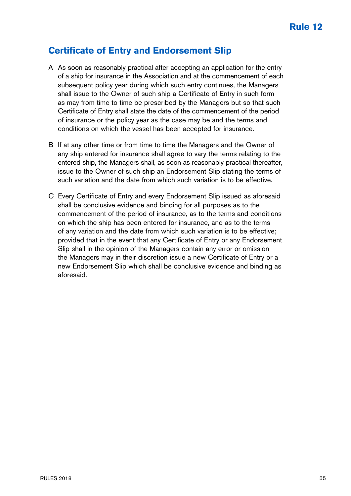### **Certificate of Entry and Endorsement Slip**

- A As soon as reasonably practical after accepting an application for the entry of a ship for insurance in the Association and at the commencement of each subsequent policy year during which such entry continues, the Managers shall issue to the Owner of such ship a Certificate of Entry in such form as may from time to time be prescribed by the Managers but so that such Certificate of Entry shall state the date of the commencement of the period of insurance or the policy year as the case may be and the terms and conditions on which the vessel has been accepted for insurance.
- B If at any other time or from time to time the Managers and the Owner of any ship entered for insurance shall agree to vary the terms relating to the entered ship, the Managers shall, as soon as reasonably practical thereafter, issue to the Owner of such ship an Endorsement Slip stating the terms of such variation and the date from which such variation is to be effective.
- C Every Certificate of Entry and every Endorsement Slip issued as aforesaid shall be conclusive evidence and binding for all purposes as to the commencement of the period of insurance, as to the terms and conditions on which the ship has been entered for insurance, and as to the terms of any variation and the date from which such variation is to be effective; provided that in the event that any Certificate of Entry or any Endorsement Slip shall in the opinion of the Managers contain any error or omission the Managers may in their discretion issue a new Certificate of Entry or a new Endorsement Slip which shall be conclusive evidence and binding as aforesaid.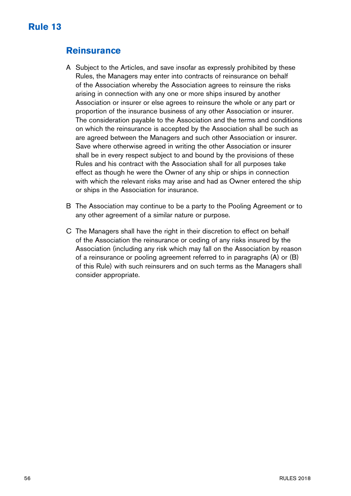### **Reinsurance**

- A Subject to the Articles, and save insofar as expressly prohibited by these Rules, the Managers may enter into contracts of reinsurance on behalf of the Association whereby the Association agrees to reinsure the risks arising in connection with any one or more ships insured by another Association or insurer or else agrees to reinsure the whole or any part or proportion of the insurance business of any other Association or insurer. The consideration payable to the Association and the terms and conditions on which the reinsurance is accepted by the Association shall be such as are agreed between the Managers and such other Association or insurer. Save where otherwise agreed in writing the other Association or insurer shall be in every respect subject to and bound by the provisions of these Rules and his contract with the Association shall for all purposes take effect as though he were the Owner of any ship or ships in connection with which the relevant risks may arise and had as Owner entered the ship or ships in the Association for insurance.
- B The Association may continue to be a party to the Pooling Agreement or to any other agreement of a similar nature or purpose.
- C The Managers shall have the right in their discretion to effect on behalf of the Association the reinsurance or ceding of any risks insured by the Association (including any risk which may fall on the Association by reason of a reinsurance or pooling agreement referred to in paragraphs (A) or (B) of this Rule) with such reinsurers and on such terms as the Managers shall consider appropriate.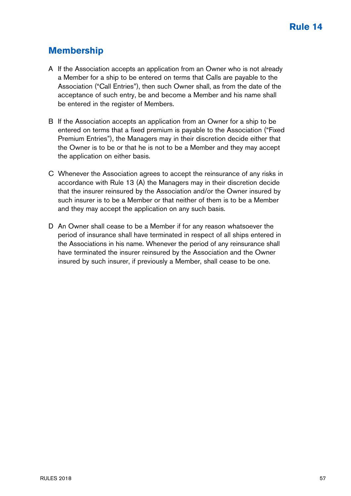# **Membership**

- A If the Association accepts an application from an Owner who is not already a Member for a ship to be entered on terms that Calls are payable to the Association ("Call Entries"), then such Owner shall, as from the date of the acceptance of such entry, be and become a Member and his name shall be entered in the register of Members.
- B If the Association accepts an application from an Owner for a ship to be entered on terms that a fixed premium is payable to the Association ("Fixed Premium Entries"), the Managers may in their discretion decide either that the Owner is to be or that he is not to be a Member and they may accept the application on either basis.
- C Whenever the Association agrees to accept the reinsurance of any risks in accordance with Rule 13 (A) the Managers may in their discretion decide that the insurer reinsured by the Association and/or the Owner insured by such insurer is to be a Member or that neither of them is to be a Member and they may accept the application on any such basis.
- D An Owner shall cease to be a Member if for any reason whatsoever the period of insurance shall have terminated in respect of all ships entered in the Associations in his name. Whenever the period of any reinsurance shall have terminated the insurer reinsured by the Association and the Owner insured by such insurer, if previously a Member, shall cease to be one.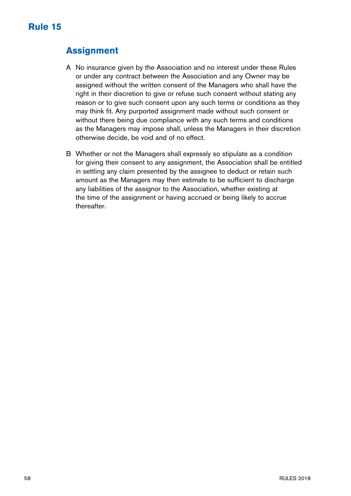# **Assignment**

- A No insurance given by the Association and no interest under these Rules or under any contract between the Association and any Owner may be assigned without the written consent of the Managers who shall have the right in their discretion to give or refuse such consent without stating any reason or to give such consent upon any such terms or conditions as they may think fit. Any purported assignment made without such consent or without there being due compliance with any such terms and conditions as the Managers may impose shall, unless the Managers in their discretion otherwise decide, be void and of no effect.
- B Whether or not the Managers shall expressly so stipulate as a condition for giving their consent to any assignment, the Association shall be entitled in settling any claim presented by the assignee to deduct or retain such amount as the Managers may then estimate to be sufficient to discharge any liabilities of the assignor to the Association, whether existing at the time of the assignment or having accrued or being likely to accrue thereafter.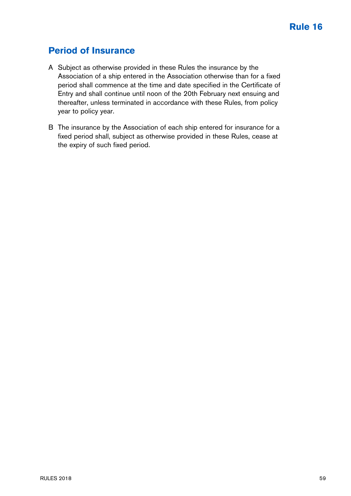### **Period of Insurance**

- A Subject as otherwise provided in these Rules the insurance by the Association of a ship entered in the Association otherwise than for a fixed period shall commence at the time and date specified in the Certificate of Entry and shall continue until noon of the 20th February next ensuing and thereafter, unless terminated in accordance with these Rules, from policy year to policy year.
- B The insurance by the Association of each ship entered for insurance for a fixed period shall, subject as otherwise provided in these Rules, cease at the expiry of such fixed period.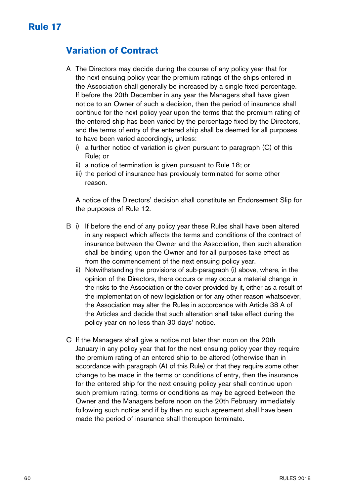# **Variation of Contract**

- A The Directors may decide during the course of any policy year that for the next ensuing policy year the premium ratings of the ships entered in the Association shall generally be increased by a single fixed percentage. If before the 20th December in any year the Managers shall have given notice to an Owner of such a decision, then the period of insurance shall continue for the next policy year upon the terms that the premium rating of the entered ship has been varied by the percentage fixed by the Directors, and the terms of entry of the entered ship shall be deemed for all purposes to have been varied accordingly, unless:
	- i) a further notice of variation is given pursuant to paragraph (C) of this Rule; or
	- ii) a notice of termination is given pursuant to Rule 18; or
	- iii) the period of insurance has previously terminated for some other reason.

A notice of the Directors' decision shall constitute an Endorsement Slip for the purposes of Rule 12.

- B i) If before the end of any policy year these Rules shall have been altered in any respect which affects the terms and conditions of the contract of insurance between the Owner and the Association, then such alteration shall be binding upon the Owner and for all purposes take effect as from the commencement of the next ensuing policy year.
	- ii) Notwithstanding the provisions of sub-paragraph (i) above, where, in the opinion of the Directors, there occurs or may occur a material change in the risks to the Association or the cover provided by it, either as a result of the implementation of new legislation or for any other reason whatsoever, the Association may alter the Rules in accordance with Article 38 A of the Articles and decide that such alteration shall take effect during the policy year on no less than 30 days' notice.
- C If the Managers shall give a notice not later than noon on the 20th January in any policy year that for the next ensuing policy year they require the premium rating of an entered ship to be altered (otherwise than in accordance with paragraph (A) of this Rule) or that they require some other change to be made in the terms or conditions of entry, then the insurance for the entered ship for the next ensuing policy year shall continue upon such premium rating, terms or conditions as may be agreed between the Owner and the Managers before noon on the 20th February immediately following such notice and if by then no such agreement shall have been made the period of insurance shall thereupon terminate.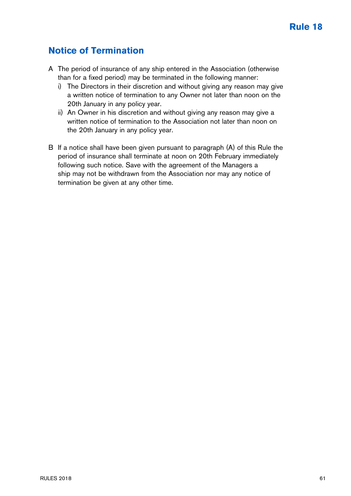### **Notice of Termination**

- A The period of insurance of any ship entered in the Association (otherwise than for a fixed period) may be terminated in the following manner:
	- i) The Directors in their discretion and without giving any reason may give a written notice of termination to any Owner not later than noon on the 20th January in any policy year.
	- ii) An Owner in his discretion and without giving any reason may give a written notice of termination to the Association not later than noon on the 20th January in any policy year.
- B If a notice shall have been given pursuant to paragraph (A) of this Rule the period of insurance shall terminate at noon on 20th February immediately following such notice. Save with the agreement of the Managers a ship may not be withdrawn from the Association nor may any notice of termination be given at any other time.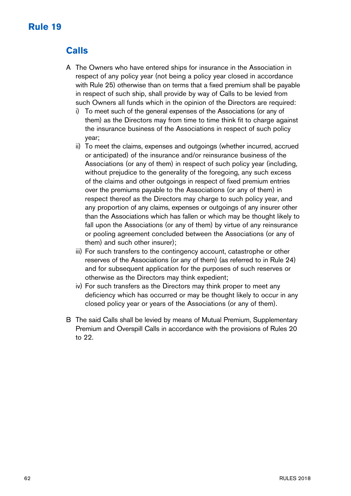# **Rule 19**

# **Calls**

- A The Owners who have entered ships for insurance in the Association in respect of any policy year (not being a policy year closed in accordance with Rule 25) otherwise than on terms that a fixed premium shall be payable in respect of such ship, shall provide by way of Calls to be levied from such Owners all funds which in the opinion of the Directors are required:
	- i) To meet such of the general expenses of the Associations (or any of them) as the Directors may from time to time think fit to charge against the insurance business of the Associations in respect of such policy year;
	- ii) To meet the claims, expenses and outgoings (whether incurred, accrued or anticipated) of the insurance and/or reinsurance business of the Associations (or any of them) in respect of such policy year (including, without prejudice to the generality of the foregoing, any such excess of the claims and other outgoings in respect of fixed premium entries over the premiums payable to the Associations (or any of them) in respect thereof as the Directors may charge to such policy year, and any proportion of any claims, expenses or outgoings of any insurer other than the Associations which has fallen or which may be thought likely to fall upon the Associations (or any of them) by virtue of any reinsurance or pooling agreement concluded between the Associations (or any of them) and such other insurer);
	- iii) For such transfers to the contingency account, catastrophe or other reserves of the Associations (or any of them) (as referred to in Rule 24) and for subsequent application for the purposes of such reserves or otherwise as the Directors may think expedient;
	- iv) For such transfers as the Directors may think proper to meet any deficiency which has occurred or may be thought likely to occur in any closed policy year or years of the Associations (or any of them).
- B The said Calls shall be levied by means of Mutual Premium, Supplementary Premium and Overspill Calls in accordance with the provisions of Rules 20 to 22.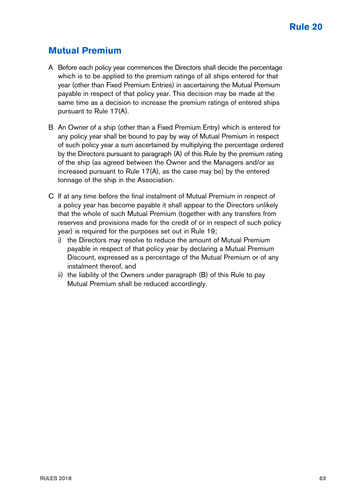### **Mutual Premium**

- A Before each policy year commences the Directors shall decide the percentage which is to be applied to the premium ratings of all ships entered for that year (other than Fixed Premium Entries) in ascertaining the Mutual Premium payable in respect of that policy year. This decision may be made at the same time as a decision to increase the premium ratings of entered ships pursuant to Rule 17(A).
- B An Owner of a ship (other than a Fixed Premium Entry) which is entered for any policy year shall be bound to pay by way of Mutual Premium in respect of such policy year a sum ascertained by multiplying the percentage ordered by the Directors pursuant to paragraph (A) of this Rule by the premium rating of the ship (as agreed between the Owner and the Managers and/or as increased pursuant to Rule 17(A), as the case may be) by the entered tonnage of the ship in the Association.
- C If at any time before the final instalment of Mutual Premium in respect of a policy year has become payable it shall appear to the Directors unlikely that the whole of such Mutual Premium (together with any transfers from reserves and provisions made for the credit of or in respect of such policy year) is required for the purposes set out in Rule 19;
	- i) the Directors may resolve to reduce the amount of Mutual Premium payable in respect of that policy year by declaring a Mutual Premium Discount, expressed as a percentage of the Mutual Premium or of any instalment thereof, and
	- ii) the liability of the Owners under paragraph (B) of this Rule to pay Mutual Premium shall be reduced accordingly.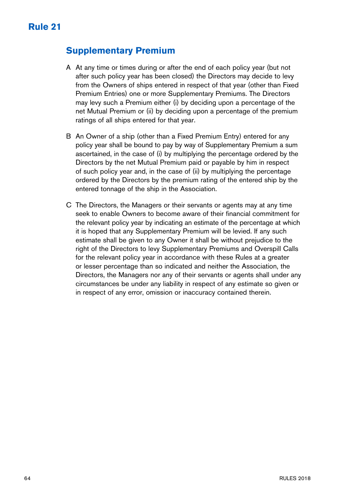### **Supplementary Premium**

- A At any time or times during or after the end of each policy year (but not after such policy year has been closed) the Directors may decide to levy from the Owners of ships entered in respect of that year (other than Fixed Premium Entries) one or more Supplementary Premiums. The Directors may levy such a Premium either (i) by deciding upon a percentage of the net Mutual Premium or (ii) by deciding upon a percentage of the premium ratings of all ships entered for that year.
- B An Owner of a ship (other than a Fixed Premium Entry) entered for any policy year shall be bound to pay by way of Supplementary Premium a sum ascertained, in the case of (i) by multiplying the percentage ordered by the Directors by the net Mutual Premium paid or payable by him in respect of such policy year and, in the case of (ii) by multiplying the percentage ordered by the Directors by the premium rating of the entered ship by the entered tonnage of the ship in the Association.
- C The Directors, the Managers or their servants or agents may at any time seek to enable Owners to become aware of their financial commitment for the relevant policy year by indicating an estimate of the percentage at which it is hoped that any Supplementary Premium will be levied. If any such estimate shall be given to any Owner it shall be without prejudice to the right of the Directors to levy Supplementary Premiums and Overspill Calls for the relevant policy year in accordance with these Rules at a greater or lesser percentage than so indicated and neither the Association, the Directors, the Managers nor any of their servants or agents shall under any circumstances be under any liability in respect of any estimate so given or in respect of any error, omission or inaccuracy contained therein.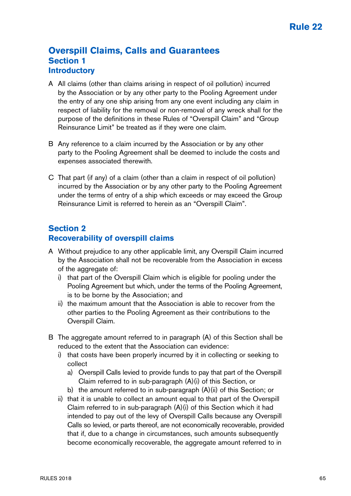### **Overspill Claims, Calls and Guarantees Section 1 Introductory**

- A All claims (other than claims arising in respect of oil pollution) incurred by the Association or by any other party to the Pooling Agreement under the entry of any one ship arising from any one event including any claim in respect of liability for the removal or non-removal of any wreck shall for the purpose of the definitions in these Rules of "Overspill Claim" and "Group Reinsurance Limit" be treated as if they were one claim.
- B Any reference to a claim incurred by the Association or by any other party to the Pooling Agreement shall be deemed to include the costs and expenses associated therewith.
- C That part (if any) of a claim (other than a claim in respect of oil pollution) incurred by the Association or by any other party to the Pooling Agreement under the terms of entry of a ship which exceeds or may exceed the Group Reinsurance Limit is referred to herein as an "Overspill Claim".

### **Section 2 Recoverability of overspill claims**

- A Without prejudice to any other applicable limit, any Overspill Claim incurred by the Association shall not be recoverable from the Association in excess of the aggregate of:
	- i) that part of the Overspill Claim which is eligible for pooling under the Pooling Agreement but which, under the terms of the Pooling Agreement, is to be borne by the Association; and
	- ii) the maximum amount that the Association is able to recover from the other parties to the Pooling Agreement as their contributions to the Overspill Claim.
- B The aggregate amount referred to in paragraph (A) of this Section shall be reduced to the extent that the Association can evidence:
	- i) that costs have been properly incurred by it in collecting or seeking to collect
		- a) Overspill Calls levied to provide funds to pay that part of the Overspill Claim referred to in sub-paragraph (A)(i) of this Section, or
		- b) the amount referred to in sub-paragraph  $(A)(ii)$  of this Section; or
	- ii) that it is unable to collect an amount equal to that part of the Overspill Claim referred to in sub-paragraph (A)(i) of this Section which it had intended to pay out of the levy of Overspill Calls because any Overspill Calls so levied, or parts thereof, are not economically recoverable, provided that if, due to a change in circumstances, such amounts subsequently become economically recoverable, the aggregate amount referred to in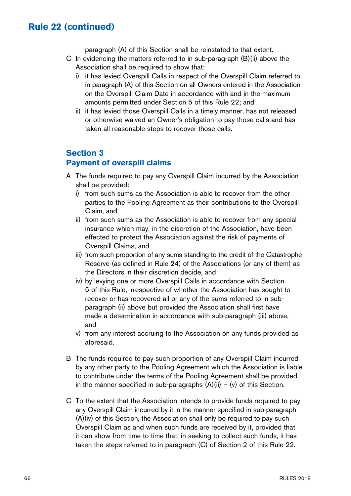paragraph (A) of this Section shall be reinstated to that extent.

- C In evidencing the matters referred to in sub-paragraph (B)(ii) above the Association shall be required to show that:
	- i) it has levied Overspill Calls in respect of the Overspill Claim referred to in paragraph (A) of this Section on all Owners entered in the Association on the Overspill Claim Date in accordance with and in the maximum amounts permitted under Section 5 of this Rule 22; and
	- ii) it has levied those Overspill Calls in a timely manner, has not released or otherwise waived an Owner's obligation to pay those calls and has taken all reasonable steps to recover those calls.

### **Section 3**

### **Payment of overspill claims**

- A The funds required to pay any Overspill Claim incurred by the Association shall be provided:
	- i) from such sums as the Association is able to recover from the other parties to the Pooling Agreement as their contributions to the Overspill Claim, and
	- ii) from such sums as the Association is able to recover from any special insurance which may, in the discretion of the Association, have been effected to protect the Association against the risk of payments of Overspill Claims, and
	- iii) from such proportion of any sums standing to the credit of the Catastrophe Reserve (as defined in Rule 24) of the Associations (or any of them) as the Directors in their discretion decide, and
	- iv) by levying one or more Overspill Calls in accordance with Section 5 of this Rule, irrespective of whether the Association has sought to recover or has recovered all or any of the sums referred to in subparagraph (ii) above but provided the Association shall first have made a determination in accordance with sub-paragraph (iii) above, and
	- v) from any interest accruing to the Association on any funds provided as aforesaid.
- B The funds required to pay such proportion of any Overspill Claim incurred by any other party to the Pooling Agreement which the Association is liable to contribute under the terms of the Pooling Agreement shall be provided in the manner specified in sub-paragraphs  $(A)(ii) - (v)$  of this Section.
- C To the extent that the Association intends to provide funds required to pay any Overspill Claim incurred by it in the manner specified in sub-paragraph (A)(iv) of this Section, the Association shall only be required to pay such Overspill Claim as and when such funds are received by it, provided that it can show from time to time that, in seeking to collect such funds, it has taken the steps referred to in paragraph (C) of Section 2 of this Rule 22.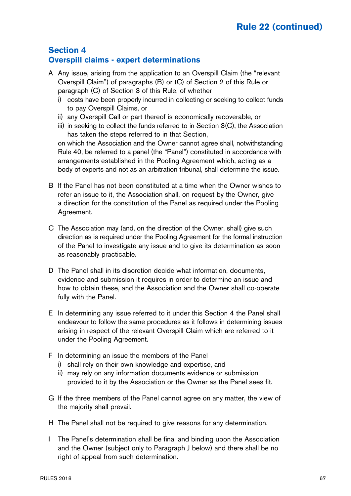### **Section 4 Overspill claims - expert determinations**

- A Any issue, arising from the application to an Overspill Claim (the "relevant Overspill Claim") of paragraphs (B) or (C) of Section 2 of this Rule or paragraph (C) of Section 3 of this Rule, of whether
	- i) costs have been properly incurred in collecting or seeking to collect funds to pay Overspill Claims, or
	- ii) any Overspill Call or part thereof is economically recoverable, or
	- iii) in seeking to collect the funds referred to in Section 3(C), the Association has taken the steps referred to in that Section,

on which the Association and the Owner cannot agree shall, notwithstanding Rule 40, be referred to a panel (the "Panel") constituted in accordance with arrangements established in the Pooling Agreement which, acting as a body of experts and not as an arbitration tribunal, shall determine the issue.

- B If the Panel has not been constituted at a time when the Owner wishes to refer an issue to it, the Association shall, on request by the Owner, give a direction for the constitution of the Panel as required under the Pooling Agreement.
- C The Association may (and, on the direction of the Owner, shall) give such direction as is required under the Pooling Agreement for the formal instruction of the Panel to investigate any issue and to give its determination as soon as reasonably practicable.
- D The Panel shall in its discretion decide what information, documents, evidence and submission it requires in order to determine an issue and how to obtain these, and the Association and the Owner shall co-operate fully with the Panel.
- E In determining any issue referred to it under this Section 4 the Panel shall endeavour to follow the same procedures as it follows in determining issues arising in respect of the relevant Overspill Claim which are referred to it under the Pooling Agreement.
- F In determining an issue the members of the Panel
	- i) shall rely on their own knowledge and expertise, and
	- ii) may rely on any information documents evidence or submission provided to it by the Association or the Owner as the Panel sees fit.
- G If the three members of the Panel cannot agree on any matter, the view of the majority shall prevail.
- H The Panel shall not be required to give reasons for any determination.
- I The Panel's determination shall be final and binding upon the Association and the Owner (subject only to Paragraph J below) and there shall be no right of appeal from such determination.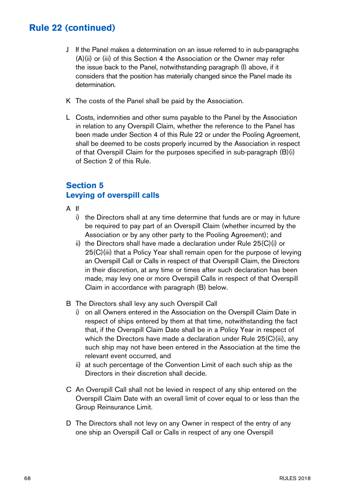- J If the Panel makes a determination on an issue referred to in sub-paragraphs (A)(ii) or (iii) of this Section 4 the Association or the Owner may refer the issue back to the Panel, notwithstanding paragraph (I) above, if it considers that the position has materially changed since the Panel made its determination.
- K The costs of the Panel shall be paid by the Association.
- L Costs, indemnities and other sums payable to the Panel by the Association in relation to any Overspill Claim, whether the reference to the Panel has been made under Section 4 of this Rule 22 or under the Pooling Agreement, shall be deemed to be costs properly incurred by the Association in respect of that Overspill Claim for the purposes specified in sub-paragraph (B)(i) of Section 2 of this Rule.

### **Section 5 Levying of overspill calls**

- A If
	- i) the Directors shall at any time determine that funds are or may in future be required to pay part of an Overspill Claim (whether incurred by the Association or by any other party to the Pooling Agreement); and
	- ii) the Directors shall have made a declaration under Rule 25(C)(i) or 25(C)(iii) that a Policy Year shall remain open for the purpose of levying an Overspill Call or Calls in respect of that Overspill Claim, the Directors in their discretion, at any time or times after such declaration has been made, may levy one or more Overspill Calls in respect of that Overspill Claim in accordance with paragraph (B) below.
- B The Directors shall levy any such Overspill Call
	- i) on all Owners entered in the Association on the Overspill Claim Date in respect of ships entered by them at that time, notwithstanding the fact that, if the Overspill Claim Date shall be in a Policy Year in respect of which the Directors have made a declaration under Rule 25(C)(iii), any such ship may not have been entered in the Association at the time the relevant event occurred, and
	- ii) at such percentage of the Convention Limit of each such ship as the Directors in their discretion shall decide.
- C An Overspill Call shall not be levied in respect of any ship entered on the Overspill Claim Date with an overall limit of cover equal to or less than the Group Reinsurance Limit.
- D The Directors shall not levy on any Owner in respect of the entry of any one ship an Overspill Call or Calls in respect of any one Overspill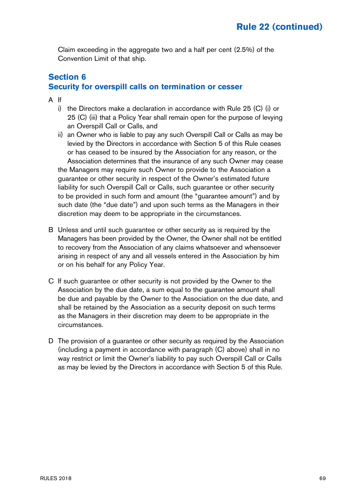Claim exceeding in the aggregate two and a half per cent (2.5%) of the Convention Limit of that ship.

### **Section 6 Security for overspill calls on termination or cesser**

- A If
	- i) the Directors make a declaration in accordance with Rule 25 (C) (i) or 25 (C) (iii) that a Policy Year shall remain open for the purpose of levying an Overspill Call or Calls, and
	- ii) an Owner who is liable to pay any such Overspill Call or Calls as may be levied by the Directors in accordance with Section 5 of this Rule ceases or has ceased to be insured by the Association for any reason, or the Association determines that the insurance of any such Owner may cease the Managers may require such Owner to provide to the Association a guarantee or other security in respect of the Owner's estimated future liability for such Overspill Call or Calls, such guarantee or other security to be provided in such form and amount (the "guarantee amount") and by such date (the "due date") and upon such terms as the Managers in their discretion may deem to be appropriate in the circumstances.
- B Unless and until such guarantee or other security as is required by the Managers has been provided by the Owner, the Owner shall not be entitled to recovery from the Association of any claims whatsoever and whensoever arising in respect of any and all vessels entered in the Association by him or on his behalf for any Policy Year.
- C If such guarantee or other security is not provided by the Owner to the Association by the due date, a sum equal to the guarantee amount shall be due and payable by the Owner to the Association on the due date, and shall be retained by the Association as a security deposit on such terms as the Managers in their discretion may deem to be appropriate in the circumstances.
- D The provision of a guarantee or other security as required by the Association (including a payment in accordance with paragraph (C) above) shall in no way restrict or limit the Owner's liability to pay such Overspill Call or Calls as may be levied by the Directors in accordance with Section 5 of this Rule.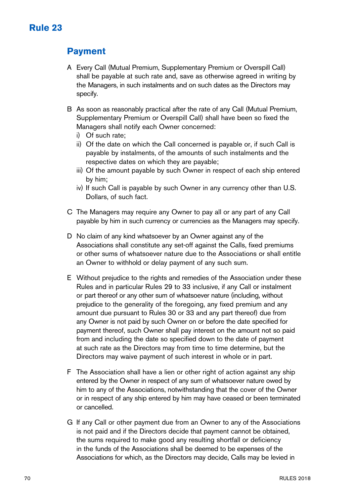### **Payment**

- A Every Call (Mutual Premium, Supplementary Premium or Overspill Call) shall be payable at such rate and, save as otherwise agreed in writing by the Managers, in such instalments and on such dates as the Directors may specify.
- B As soon as reasonably practical after the rate of any Call (Mutual Premium, Supplementary Premium or Overspill Call) shall have been so fixed the Managers shall notify each Owner concerned:
	- i) Of such rate;
	- ii) Of the date on which the Call concerned is payable or, if such Call is payable by instalments, of the amounts of such instalments and the respective dates on which they are payable;
	- iii) Of the amount payable by such Owner in respect of each ship entered by him;
	- iv) If such Call is payable by such Owner in any currency other than U.S. Dollars, of such fact.
- C The Managers may require any Owner to pay all or any part of any Call payable by him in such currency or currencies as the Managers may specify.
- D No claim of any kind whatsoever by an Owner against any of the Associations shall constitute any set-off against the Calls, fixed premiums or other sums of whatsoever nature due to the Associations or shall entitle an Owner to withhold or delay payment of any such sum.
- E Without prejudice to the rights and remedies of the Association under these Rules and in particular Rules 29 to 33 inclusive, if any Call or instalment or part thereof or any other sum of whatsoever nature (including, without prejudice to the generality of the foregoing, any fixed premium and any amount due pursuant to Rules 30 or 33 and any part thereof) due from any Owner is not paid by such Owner on or before the date specified for payment thereof, such Owner shall pay interest on the amount not so paid from and including the date so specified down to the date of payment at such rate as the Directors may from time to time determine, but the Directors may waive payment of such interest in whole or in part.
- F The Association shall have a lien or other right of action against any ship entered by the Owner in respect of any sum of whatsoever nature owed by him to any of the Associations, notwithstanding that the cover of the Owner or in respect of any ship entered by him may have ceased or been terminated or cancelled.
- G If any Call or other payment due from an Owner to any of the Associations is not paid and if the Directors decide that payment cannot be obtained, the sums required to make good any resulting shortfall or deficiency in the funds of the Associations shall be deemed to be expenses of the Associations for which, as the Directors may decide, Calls may be levied in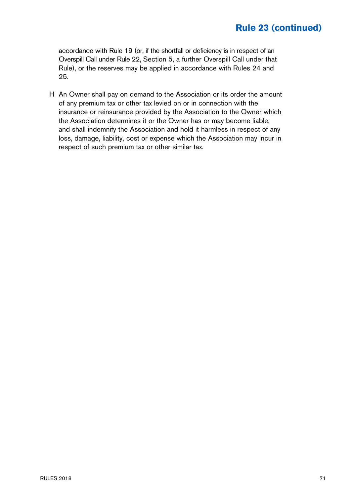## **Rule 23 (continued)**

accordance with Rule 19 (or, if the shortfall or deficiency is in respect of an Overspill Call under Rule 22, Section 5, a further Overspill Call under that Rule), or the reserves may be applied in accordance with Rules 24 and 25.

H An Owner shall pay on demand to the Association or its order the amount of any premium tax or other tax levied on or in connection with the insurance or reinsurance provided by the Association to the Owner which the Association determines it or the Owner has or may become liable, and shall indemnify the Association and hold it harmless in respect of any loss, damage, liability, cost or expense which the Association may incur in respect of such premium tax or other similar tax.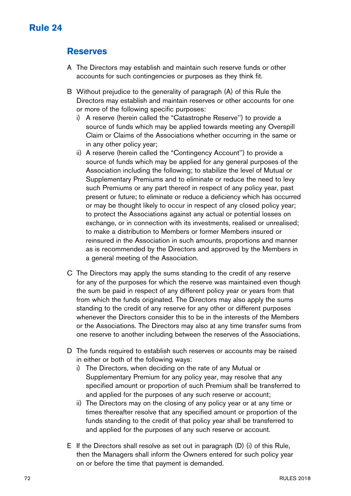#### **Reserves**

- A The Directors may establish and maintain such reserve funds or other accounts for such contingencies or purposes as they think fit.
- B Without prejudice to the generality of paragraph (A) of this Rule the Directors may establish and maintain reserves or other accounts for one or more of the following specific purposes:
	- i) A reserve (herein called the "Catastrophe Reserve'') to provide a source of funds which may be applied towards meeting any Overspill Claim or Claims of the Associations whether occurring in the same or in any other policy year;
	- ii) A reserve (herein called the "Contingency Account'') to provide a source of funds which may be applied for any general purposes of the Association including the following; to stabilize the level of Mutual or Supplementary Premiums and to eliminate or reduce the need to levy such Premiums or any part thereof in respect of any policy year, past present or future; to eliminate or reduce a deficiency which has occurred or may be thought likely to occur in respect of any closed policy year; to protect the Associations against any actual or potential losses on exchange, or in connection with its investments, realised or unrealised; to make a distribution to Members or former Members insured or reinsured in the Association in such amounts, proportions and manner as is recommended by the Directors and approved by the Members in a general meeting of the Association.
- C The Directors may apply the sums standing to the credit of any reserve for any of the purposes for which the reserve was maintained even though the sum be paid in respect of any different policy year or years from that from which the funds originated. The Directors may also apply the sums standing to the credit of any reserve for any other or different purposes whenever the Directors consider this to be in the interests of the Members or the Associations. The Directors may also at any time transfer sums from one reserve to another including between the reserves of the Associations.
- D The funds required to establish such reserves or accounts may be raised in either or both of the following ways:
	- i) The Directors, when deciding on the rate of any Mutual or Supplementary Premium for any policy year, may resolve that any specified amount or proportion of such Premium shall be transferred to and applied for the purposes of any such reserve or account;
	- ii) The Directors may on the closing of any policy year or at any time or times thereafter resolve that any specified amount or proportion of the funds standing to the credit of that policy year shall be transferred to and applied for the purposes of any such reserve or account.
- E If the Directors shall resolve as set out in paragraph (D) (i) of this Rule, then the Managers shall inform the Owners entered for such policy year on or before the time that payment is demanded.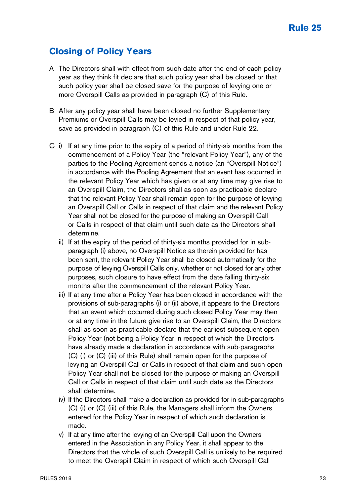## **Closing of Policy Years**

- A The Directors shall with effect from such date after the end of each policy year as they think fit declare that such policy year shall be closed or that such policy year shall be closed save for the purpose of levying one or more Overspill Calls as provided in paragraph (C) of this Rule.
- B After any policy year shall have been closed no further Supplementary Premiums or Overspill Calls may be levied in respect of that policy year, save as provided in paragraph (C) of this Rule and under Rule 22.
- C i) If at any time prior to the expiry of a period of thirty-six months from the commencement of a Policy Year (the "relevant Policy Year"), any of the parties to the Pooling Agreement sends a notice (an "Overspill Notice") in accordance with the Pooling Agreement that an event has occurred in the relevant Policy Year which has given or at any time may give rise to an Overspill Claim, the Directors shall as soon as practicable declare that the relevant Policy Year shall remain open for the purpose of levying an Overspill Call or Calls in respect of that claim and the relevant Policy Year shall not be closed for the purpose of making an Overspill Call or Calls in respect of that claim until such date as the Directors shall determine.
	- ii) If at the expiry of the period of thirty-six months provided for in subparagraph (i) above, no Overspill Notice as therein provided for has been sent, the relevant Policy Year shall be closed automatically for the purpose of levying Overspill Calls only, whether or not closed for any other purposes, such closure to have effect from the date falling thirty-six months after the commencement of the relevant Policy Year.
	- iii) If at any time after a Policy Year has been closed in accordance with the provisions of sub-paragraphs (i) or (ii) above, it appears to the Directors that an event which occurred during such closed Policy Year may then or at any time in the future give rise to an Overspill Claim, the Directors shall as soon as practicable declare that the earliest subsequent open Policy Year (not being a Policy Year in respect of which the Directors have already made a declaration in accordance with sub-paragraphs (C) (i) or (C) (iii) of this Rule) shall remain open for the purpose of levying an Overspill Call or Calls in respect of that claim and such open Policy Year shall not be closed for the purpose of making an Overspill Call or Calls in respect of that claim until such date as the Directors shall determine.
	- iv) If the Directors shall make a declaration as provided for in sub-paragraphs (C) (i) or (C) (iii) of this Rule, the Managers shall inform the Owners entered for the Policy Year in respect of which such declaration is made.
	- v) If at any time after the levying of an Overspill Call upon the Owners entered in the Association in any Policy Year, it shall appear to the Directors that the whole of such Overspill Call is unlikely to be required to meet the Overspill Claim in respect of which such Overspill Call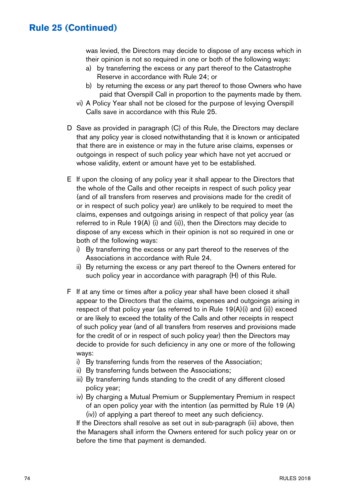#### **Rule 25 (Continued)**

was levied, the Directors may decide to dispose of any excess which in their opinion is not so required in one or both of the following ways:

- a) by transferring the excess or any part thereof to the Catastrophe Reserve in accordance with Rule 24; or
- b) by returning the excess or any part thereof to those Owners who have paid that Overspill Call in proportion to the payments made by them.
- vi) A Policy Year shall not be closed for the purpose of levying Overspill Calls save in accordance with this Rule 25.
- D Save as provided in paragraph (C) of this Rule, the Directors may declare that any policy year is closed notwithstanding that it is known or anticipated that there are in existence or may in the future arise claims, expenses or outgoings in respect of such policy year which have not yet accrued or whose validity, extent or amount have yet to be established.
- E If upon the closing of any policy year it shall appear to the Directors that the whole of the Calls and other receipts in respect of such policy year (and of all transfers from reserves and provisions made for the credit of or in respect of such policy year) are unlikely to be required to meet the claims, expenses and outgoings arising in respect of that policy year (as referred to in Rule 19(A) (i) and (ii)), then the Directors may decide to dispose of any excess which in their opinion is not so required in one or both of the following ways:
	- i) By transferring the excess or any part thereof to the reserves of the Associations in accordance with Rule 24.
	- ii) By returning the excess or any part thereof to the Owners entered for such policy year in accordance with paragraph (H) of this Rule.
- F If at any time or times after a policy year shall have been closed it shall appear to the Directors that the claims, expenses and outgoings arising in respect of that policy year (as referred to in Rule 19(A)(i) and (ii)) exceed or are likely to exceed the totality of the Calls and other receipts in respect of such policy year (and of all transfers from reserves and provisions made for the credit of or in respect of such policy year) then the Directors may decide to provide for such deficiency in any one or more of the following ways:
	- i) By transferring funds from the reserves of the Association;
	- ii) By transferring funds between the Associations;
	- iii) By transferring funds standing to the credit of any different closed policy year;
	- iv) By charging a Mutual Premium or Supplementary Premium in respect of an open policy year with the intention (as permitted by Rule 19 (A) (iv)) of applying a part thereof to meet any such deficiency.

If the Directors shall resolve as set out in sub-paragraph (iii) above, then the Managers shall inform the Owners entered for such policy year on or before the time that payment is demanded.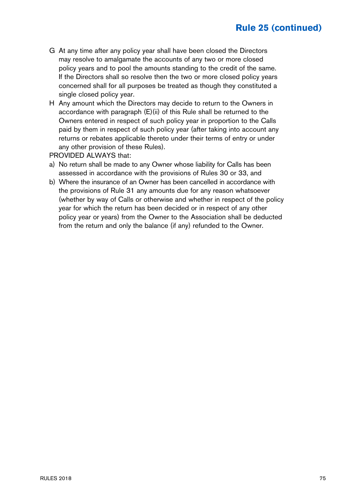## **Rule 25 (continued)**

- G At any time after any policy year shall have been closed the Directors may resolve to amalgamate the accounts of any two or more closed policy years and to pool the amounts standing to the credit of the same. If the Directors shall so resolve then the two or more closed policy years concerned shall for all purposes be treated as though they constituted a single closed policy year.
- H Any amount which the Directors may decide to return to the Owners in accordance with paragraph (E)(ii) of this Rule shall be returned to the Owners entered in respect of such policy year in proportion to the Calls paid by them in respect of such policy year (after taking into account any returns or rebates applicable thereto under their terms of entry or under any other provision of these Rules).

PROVIDED ALWAYS that:

- a) No return shall be made to any Owner whose liability for Calls has been assessed in accordance with the provisions of Rules 30 or 33, and
- b) Where the insurance of an Owner has been cancelled in accordance with the provisions of Rule 31 any amounts due for any reason whatsoever (whether by way of Calls or otherwise and whether in respect of the policy year for which the return has been decided or in respect of any other policy year or years) from the Owner to the Association shall be deducted from the return and only the balance (if any) refunded to the Owner.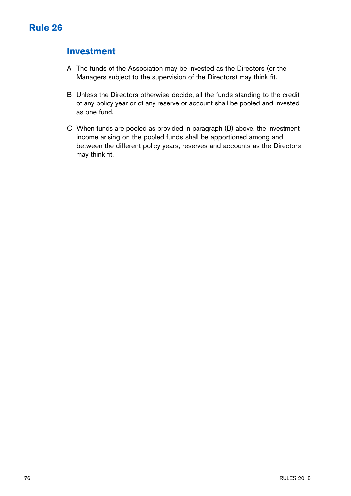## **Investment**

- A The funds of the Association may be invested as the Directors (or the Managers subject to the supervision of the Directors) may think fit.
- B Unless the Directors otherwise decide, all the funds standing to the credit of any policy year or of any reserve or account shall be pooled and invested as one fund.
- C When funds are pooled as provided in paragraph (B) above, the investment income arising on the pooled funds shall be apportioned among and between the different policy years, reserves and accounts as the Directors may think fit.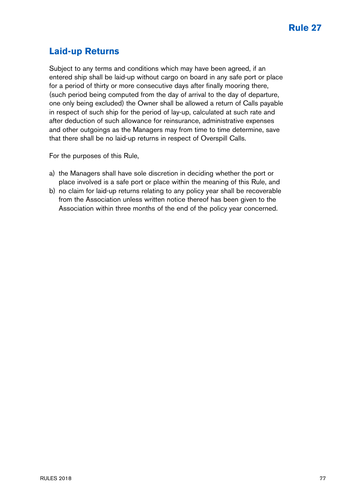## **Laid-up Returns**

Subject to any terms and conditions which may have been agreed, if an entered ship shall be laid-up without cargo on board in any safe port or place for a period of thirty or more consecutive days after finally mooring there, (such period being computed from the day of arrival to the day of departure, one only being excluded) the Owner shall be allowed a return of Calls payable in respect of such ship for the period of lay-up, calculated at such rate and after deduction of such allowance for reinsurance, administrative expenses and other outgoings as the Managers may from time to time determine, save that there shall be no laid-up returns in respect of Overspill Calls.

For the purposes of this Rule,

- a) the Managers shall have sole discretion in deciding whether the port or place involved is a safe port or place within the meaning of this Rule, and
- b) no claim for laid-up returns relating to any policy year shall be recoverable from the Association unless written notice thereof has been given to the Association within three months of the end of the policy year concerned.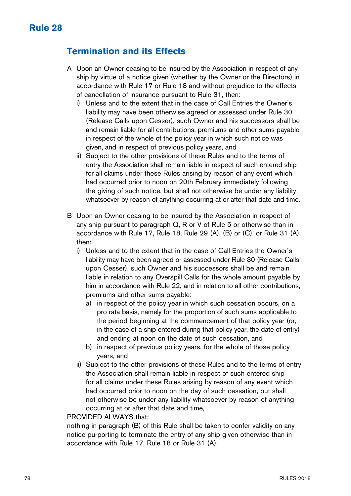## **Termination and its Effects**

- A Upon an Owner ceasing to be insured by the Association in respect of any ship by virtue of a notice given (whether by the Owner or the Directors) in accordance with Rule 17 or Rule 18 and without prejudice to the effects of cancellation of insurance pursuant to Rule 31, then:
	- i) Unless and to the extent that in the case of Call Entries the Owner's liability may have been otherwise agreed or assessed under Rule 30 (Release Calls upon Cesser), such Owner and his successors shall be and remain liable for all contributions, premiums and other sums payable in respect of the whole of the policy year in which such notice was given, and in respect of previous policy years, and
	- ii) Subject to the other provisions of these Rules and to the terms of entry the Association shall remain liable in respect of such entered ship for all claims under these Rules arising by reason of any event which had occurred prior to noon on 20th February immediately following the giving of such notice, but shall not otherwise be under any liability whatsoever by reason of anything occurring at or after that date and time.
- B Upon an Owner ceasing to be insured by the Association in respect of any ship pursuant to paragraph Q, R or V of Rule 5 or otherwise than in accordance with Rule 17, Rule 18, Rule 29 (A), (B) or (C), or Rule 31 (A), then:
	- i) Unless and to the extent that in the case of Call Entries the Owner's liability may have been agreed or assessed under Rule 30 (Release Calls upon Cesser), such Owner and his successors shall be and remain liable in relation to any Overspill Calls for the whole amount payable by him in accordance with Rule 22, and in relation to all other contributions, premiums and other sums payable:
		- a) in respect of the policy year in which such cessation occurs, on a pro rata basis, namely for the proportion of such sums applicable to the period beginning at the commencement of that policy year (or, in the case of a ship entered during that policy year, the date of entry) and ending at noon on the date of such cessation, and
		- b) in respect of previous policy years, for the whole of those policy years, and
	- ii) Subject to the other provisions of these Rules and to the terms of entry the Association shall remain liable in respect of such entered ship for all claims under these Rules arising by reason of any event which had occurred prior to noon on the day of such cessation, but shall not otherwise be under any liability whatsoever by reason of anything occurring at or after that date and time,

#### PROVIDED AI WAYS that:

nothing in paragraph (B) of this Rule shall be taken to confer validity on any notice purporting to terminate the entry of any ship given otherwise than in accordance with Rule 17, Rule 18 or Rule 31 (A).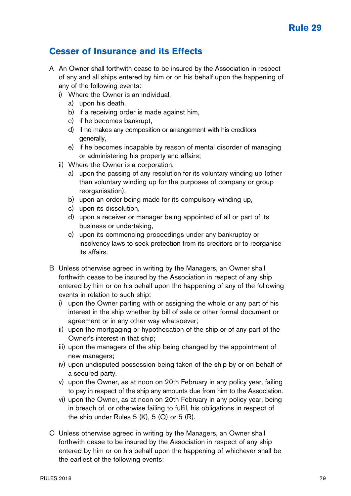## **Cesser of Insurance and its Effects**

- A An Owner shall forthwith cease to be insured by the Association in respect of any and all ships entered by him or on his behalf upon the happening of any of the following events:
	- i) Where the Owner is an individual,
		- a) upon his death,
		- b) if a receiving order is made against him,
		- c) if he becomes bankrupt,
		- d) if he makes any composition or arrangement with his creditors generally.
		- e) if he becomes incapable by reason of mental disorder of managing or administering his property and affairs;
	- ii) Where the Owner is a corporation,
		- a) upon the passing of any resolution for its voluntary winding up (other than voluntary winding up for the purposes of company or group reorganisation).
		- b) upon an order being made for its compulsory winding up,
		- c) upon its dissolution,
		- d) upon a receiver or manager being appointed of all or part of its business or undertaking,
		- e) upon its commencing proceedings under any bankruptcy or insolvency laws to seek protection from its creditors or to reorganise its affairs.
- B Unless otherwise agreed in writing by the Managers, an Owner shall forthwith cease to be insured by the Association in respect of any ship entered by him or on his behalf upon the happening of any of the following events in relation to such ship:
	- i) upon the Owner parting with or assigning the whole or any part of his interest in the ship whether by bill of sale or other formal document or agreement or in any other way whatsoever;
	- ii) upon the mortgaging or hypothecation of the ship or of any part of the Owner's interest in that ship;
	- iii) upon the managers of the ship being changed by the appointment of new managers;
	- iv) upon undisputed possession being taken of the ship by or on behalf of a secured party.
	- v) upon the Owner, as at noon on 20th February in any policy year, failing to pay in respect of the ship any amounts due from him to the Association.
	- vi) upon the Owner, as at noon on 20th February in any policy year, being in breach of, or otherwise failing to fulfil, his obligations in respect of the ship under Rules  $5$  (K),  $5$  (Q) or  $5$  (R).
- C Unless otherwise agreed in writing by the Managers, an Owner shall forthwith cease to be insured by the Association in respect of any ship entered by him or on his behalf upon the happening of whichever shall be the earliest of the following events: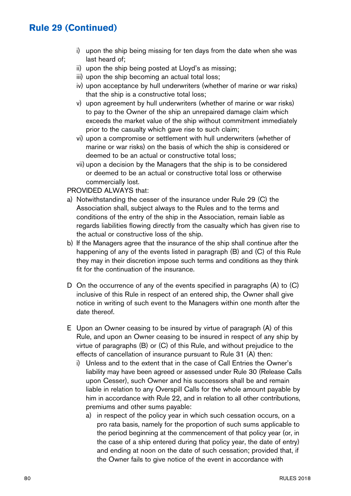## **Rule 29 (Continued)**

- i) upon the ship being missing for ten days from the date when she was last heard of;
- ii) upon the ship being posted at Lloyd's as missing;
- iii) upon the ship becoming an actual total loss;
- iv) upon acceptance by hull underwriters (whether of marine or war risks) that the ship is a constructive total loss;
- v) upon agreement by hull underwriters (whether of marine or war risks) to pay to the Owner of the ship an unrepaired damage claim which exceeds the market value of the ship without commitment immediately prior to the casualty which gave rise to such claim;
- vi) upon a compromise or settlement with hull underwriters (whether of marine or war risks) on the basis of which the ship is considered or deemed to be an actual or constructive total loss;
- vii) upon a decision by the Managers that the ship is to be considered or deemed to be an actual or constructive total loss or otherwise commercially lost.

#### PROVIDED ALWAYS that:

- a) Notwithstanding the cesser of the insurance under Rule 29 (C) the Association shall, subject always to the Rules and to the terms and conditions of the entry of the ship in the Association, remain liable as regards liabilities flowing directly from the casualty which has given rise to the actual or constructive loss of the ship.
- b) If the Managers agree that the insurance of the ship shall continue after the happening of any of the events listed in paragraph (B) and (C) of this Rule they may in their discretion impose such terms and conditions as they think fit for the continuation of the insurance.
- D On the occurrence of any of the events specified in paragraphs (A) to (C) inclusive of this Rule in respect of an entered ship, the Owner shall give notice in writing of such event to the Managers within one month after the date thereof.
- E Upon an Owner ceasing to be insured by virtue of paragraph (A) of this Rule, and upon an Owner ceasing to be insured in respect of any ship by virtue of paragraphs (B) or (C) of this Rule, and without prejudice to the effects of cancellation of insurance pursuant to Rule 31 (A) then:
	- i) Unless and to the extent that in the case of Call Entries the Owner's liability may have been agreed or assessed under Rule 30 (Release Calls upon Cesser), such Owner and his successors shall be and remain liable in relation to any Overspill Calls for the whole amount payable by him in accordance with Rule 22, and in relation to all other contributions, premiums and other sums payable:
		- a) in respect of the policy year in which such cessation occurs, on a pro rata basis, namely for the proportion of such sums applicable to the period beginning at the commencement of that policy year (or, in the case of a ship entered during that policy year, the date of entry) and ending at noon on the date of such cessation; provided that, if the Owner fails to give notice of the event in accordance with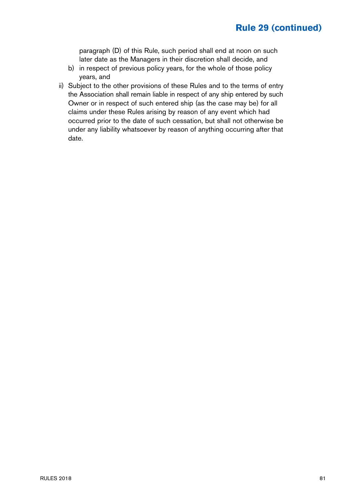## **Rule 29 (continued)**

paragraph (D) of this Rule, such period shall end at noon on such later date as the Managers in their discretion shall decide, and

- b) in respect of previous policy years, for the whole of those policy years, and
- ii) Subject to the other provisions of these Rules and to the terms of entry the Association shall remain liable in respect of any ship entered by such Owner or in respect of such entered ship (as the case may be) for all claims under these Rules arising by reason of any event which had occurred prior to the date of such cessation, but shall not otherwise be under any liability whatsoever by reason of anything occurring after that date.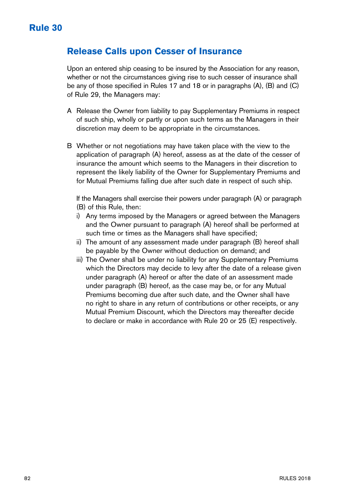#### **Release Calls upon Cesser of Insurance**

Upon an entered ship ceasing to be insured by the Association for any reason, whether or not the circumstances giving rise to such cesser of insurance shall be any of those specified in Rules 17 and 18 or in paragraphs (A), (B) and (C) of Rule 29, the Managers may:

- A Release the Owner from liability to pay Supplementary Premiums in respect of such ship, wholly or partly or upon such terms as the Managers in their discretion may deem to be appropriate in the circumstances.
- B Whether or not negotiations may have taken place with the view to the application of paragraph (A) hereof, assess as at the date of the cesser of insurance the amount which seems to the Managers in their discretion to represent the likely liability of the Owner for Supplementary Premiums and for Mutual Premiums falling due after such date in respect of such ship.

If the Managers shall exercise their powers under paragraph (A) or paragraph (B) of this Rule, then:

- i) Any terms imposed by the Managers or agreed between the Managers and the Owner pursuant to paragraph (A) hereof shall be performed at such time or times as the Managers shall have specified;
- ii) The amount of any assessment made under paragraph (B) hereof shall be payable by the Owner without deduction on demand; and
- iii) The Owner shall be under no liability for any Supplementary Premiums which the Directors may decide to levy after the date of a release given under paragraph (A) hereof or after the date of an assessment made under paragraph (B) hereof, as the case may be, or for any Mutual Premiums becoming due after such date, and the Owner shall have no right to share in any return of contributions or other receipts, or any Mutual Premium Discount, which the Directors may thereafter decide to declare or make in accordance with Rule 20 or 25 (E) respectively.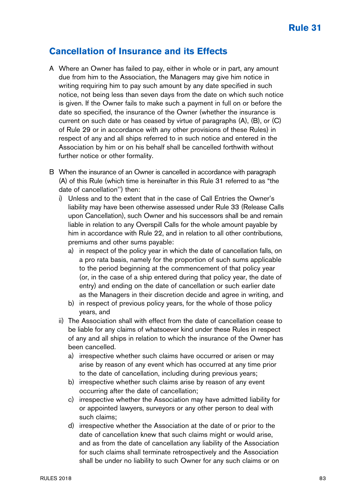## **Cancellation of Insurance and its Effects**

- A Where an Owner has failed to pay, either in whole or in part, any amount due from him to the Association, the Managers may give him notice in writing requiring him to pay such amount by any date specified in such notice, not being less than seven days from the date on which such notice is given. If the Owner fails to make such a payment in full on or before the date so specified, the insurance of the Owner (whether the insurance is current on such date or has ceased by virtue of paragraphs (A), (B), or (C) of Rule 29 or in accordance with any other provisions of these Rules) in respect of any and all ships referred to in such notice and entered in the Association by him or on his behalf shall be cancelled forthwith without further notice or other formality.
- B When the insurance of an Owner is cancelled in accordance with paragraph (A) of this Rule (which time is hereinafter in this Rule 31 referred to as "the date of cancellation'') then:
	- i) Unless and to the extent that in the case of Call Entries the Owner's liability may have been otherwise assessed under Rule 33 (Release Calls upon Cancellation), such Owner and his successors shall be and remain liable in relation to any Overspill Calls for the whole amount payable by him in accordance with Rule 22, and in relation to all other contributions, premiums and other sums payable:
		- a) in respect of the policy year in which the date of cancellation falls, on a pro rata basis, namely for the proportion of such sums applicable to the period beginning at the commencement of that policy year (or, in the case of a ship entered during that policy year, the date of entry) and ending on the date of cancellation or such earlier date as the Managers in their discretion decide and agree in writing, and
		- b) in respect of previous policy years, for the whole of those policy years, and
	- ii) The Association shall with effect from the date of cancellation cease to be liable for any claims of whatsoever kind under these Rules in respect of any and all ships in relation to which the insurance of the Owner has been cancelled.
		- a) irrespective whether such claims have occurred or arisen or may arise by reason of any event which has occurred at any time prior to the date of cancellation, including during previous years;
		- b) irrespective whether such claims arise by reason of any event occurring after the date of cancellation;
		- c) irrespective whether the Association may have admitted liability for or appointed lawyers, surveyors or any other person to deal with such claims;
		- d) irrespective whether the Association at the date of or prior to the date of cancellation knew that such claims might or would arise, and as from the date of cancellation any liability of the Association for such claims shall terminate retrospectively and the Association shall be under no liability to such Owner for any such claims or on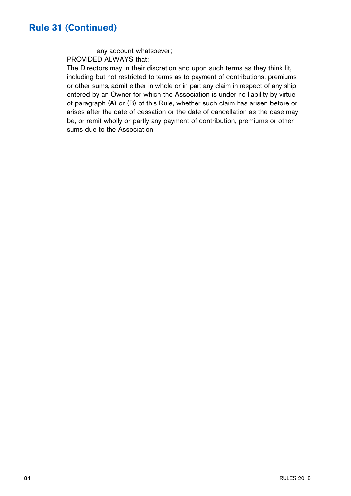#### **Rule 31 (Continued)**

any account whatsoever; PROVIDED ALWAYS that:

The Directors may in their discretion and upon such terms as they think fit, including but not restricted to terms as to payment of contributions, premiums or other sums, admit either in whole or in part any claim in respect of any ship entered by an Owner for which the Association is under no liability by virtue of paragraph (A) or (B) of this Rule, whether such claim has arisen before or arises after the date of cessation or the date of cancellation as the case may be, or remit wholly or partly any payment of contribution, premiums or other sums due to the Association.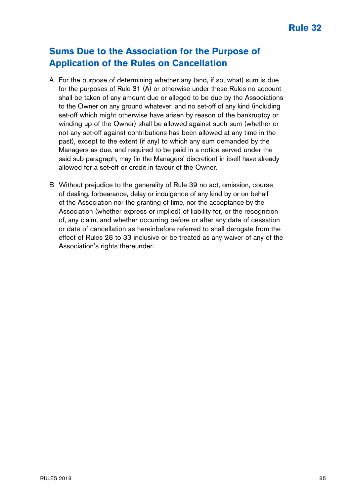## **Sums Due to the Association for the Purpose of Application of the Rules on Cancellation**

- A For the purpose of determining whether any (and, if so, what) sum is due for the purposes of Rule 31 (A) or otherwise under these Rules no account shall be taken of any amount due or alleged to be due by the Associations to the Owner on any ground whatever, and no set-off of any kind (including set-off which might otherwise have arisen by reason of the bankruptcy or winding up of the Owner) shall be allowed against such sum (whether or not any set-off against contributions has been allowed at any time in the past), except to the extent (if any) to which any sum demanded by the Managers as due, and required to be paid in a notice served under the said sub-paragraph, may (in the Managers' discretion) in itself have already allowed for a set-off or credit in favour of the Owner.
- B Without prejudice to the generality of Rule 39 no act, omission, course of dealing, forbearance, delay or indulgence of any kind by or on behalf of the Association nor the granting of time, nor the acceptance by the Association (whether express or implied) of liability for, or the recognition of, any claim, and whether occurring before or after any date of cessation or date of cancellation as hereinbefore referred to shall derogate from the effect of Rules 28 to 33 inclusive or be treated as any waiver of any of the Association's rights thereunder.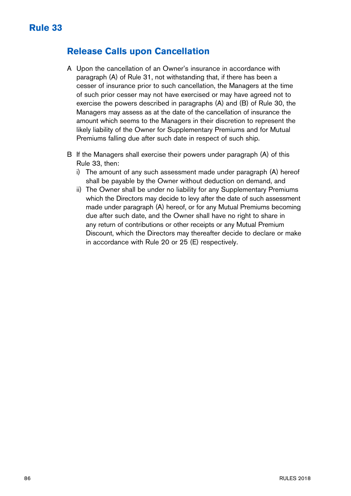## **Release Calls upon Cancellation**

- A Upon the cancellation of an Owner's insurance in accordance with paragraph (A) of Rule 31, not withstanding that, if there has been a cesser of insurance prior to such cancellation, the Managers at the time of such prior cesser may not have exercised or may have agreed not to exercise the powers described in paragraphs (A) and (B) of Rule 30, the Managers may assess as at the date of the cancellation of insurance the amount which seems to the Managers in their discretion to represent the likely liability of the Owner for Supplementary Premiums and for Mutual Premiums falling due after such date in respect of such ship.
- B If the Managers shall exercise their powers under paragraph (A) of this Rule 33, then:
	- i) The amount of any such assessment made under paragraph (A) hereof shall be payable by the Owner without deduction on demand, and
	- ii) The Owner shall be under no liability for any Supplementary Premiums which the Directors may decide to levy after the date of such assessment made under paragraph (A) hereof, or for any Mutual Premiums becoming due after such date, and the Owner shall have no right to share in any return of contributions or other receipts or any Mutual Premium Discount, which the Directors may thereafter decide to declare or make in accordance with Rule 20 or 25 (E) respectively.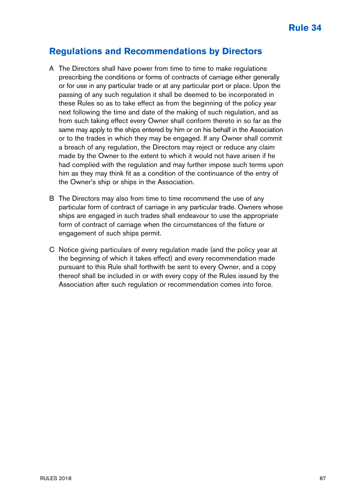## **Regulations and Recommendations by Directors**

- A The Directors shall have power from time to time to make regulations prescribing the conditions or forms of contracts of carriage either generally or for use in any particular trade or at any particular port or place. Upon the passing of any such regulation it shall be deemed to be incorporated in these Rules so as to take effect as from the beginning of the policy year next following the time and date of the making of such regulation, and as from such taking effect every Owner shall conform thereto in so far as the same may apply to the ships entered by him or on his behalf in the Association or to the trades in which they may be engaged. If any Owner shall commit a breach of any regulation, the Directors may reject or reduce any claim made by the Owner to the extent to which it would not have arisen if he had complied with the regulation and may further impose such terms upon him as they may think fit as a condition of the continuance of the entry of the Owner's ship or ships in the Association.
- B The Directors may also from time to time recommend the use of any particular form of contract of carriage in any particular trade. Owners whose ships are engaged in such trades shall endeavour to use the appropriate form of contract of carriage when the circumstances of the fixture or engagement of such ships permit.
- C Notice giving particulars of every regulation made (and the policy year at the beginning of which it takes effect) and every recommendation made pursuant to this Rule shall forthwith be sent to every Owner, and a copy thereof shall be included in or with every copy of the Rules issued by the Association after such regulation or recommendation comes into force.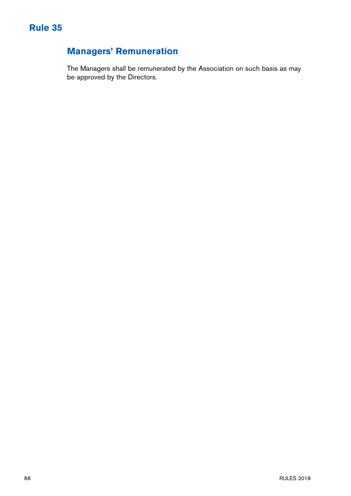# **Managers' Remuneration**

The Managers shall be remunerated by the Association on such basis as may be approved by the Directors.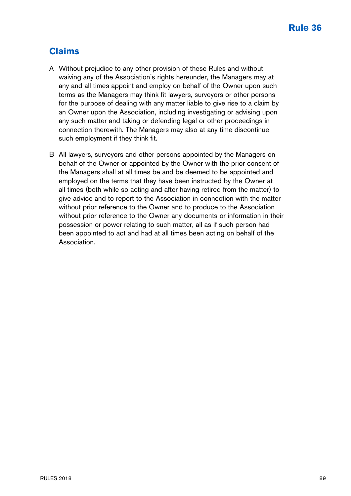## **Claims**

- A Without prejudice to any other provision of these Rules and without waiving any of the Association's rights hereunder, the Managers may at any and all times appoint and employ on behalf of the Owner upon such terms as the Managers may think fit lawyers, surveyors or other persons for the purpose of dealing with any matter liable to give rise to a claim by an Owner upon the Association, including investigating or advising upon any such matter and taking or defending legal or other proceedings in connection therewith. The Managers may also at any time discontinue such employment if they think fit.
- B All lawyers, surveyors and other persons appointed by the Managers on behalf of the Owner or appointed by the Owner with the prior consent of the Managers shall at all times be and be deemed to be appointed and employed on the terms that they have been instructed by the Owner at all times (both while so acting and after having retired from the matter) to give advice and to report to the Association in connection with the matter without prior reference to the Owner and to produce to the Association without prior reference to the Owner any documents or information in their possession or power relating to such matter, all as if such person had been appointed to act and had at all times been acting on behalf of the Association.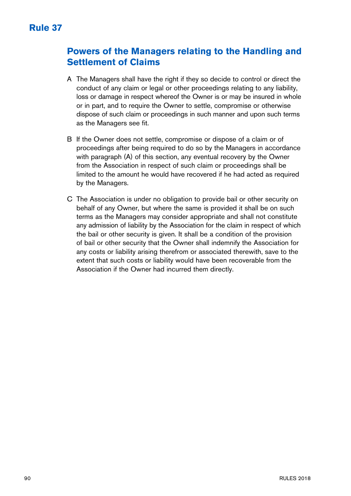## **Powers of the Managers relating to the Handling and Settlement of Claims**

- A The Managers shall have the right if they so decide to control or direct the conduct of any claim or legal or other proceedings relating to any liability, loss or damage in respect whereof the Owner is or may be insured in whole or in part, and to require the Owner to settle, compromise or otherwise dispose of such claim or proceedings in such manner and upon such terms as the Managers see fit.
- B If the Owner does not settle, compromise or dispose of a claim or of proceedings after being required to do so by the Managers in accordance with paragraph (A) of this section, any eventual recovery by the Owner from the Association in respect of such claim or proceedings shall be limited to the amount he would have recovered if he had acted as required by the Managers.
- C The Association is under no obligation to provide bail or other security on behalf of any Owner, but where the same is provided it shall be on such terms as the Managers may consider appropriate and shall not constitute any admission of liability by the Association for the claim in respect of which the bail or other security is given. It shall be a condition of the provision of bail or other security that the Owner shall indemnify the Association for any costs or liability arising therefrom or associated therewith, save to the extent that such costs or liability would have been recoverable from the Association if the Owner had incurred them directly.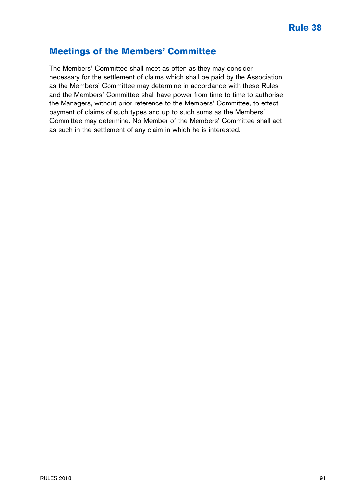#### **Meetings of the Members' Committee**

The Members' Committee shall meet as often as they may consider necessary for the settlement of claims which shall be paid by the Association as the Members' Committee may determine in accordance with these Rules and the Members' Committee shall have power from time to time to authorise the Managers, without prior reference to the Members' Committee, to effect payment of claims of such types and up to such sums as the Members' Committee may determine. No Member of the Members' Committee shall act as such in the settlement of any claim in which he is interested.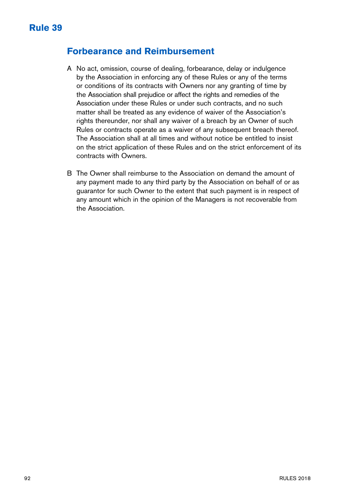#### **Forbearance and Reimbursement**

- A No act, omission, course of dealing, forbearance, delay or indulgence by the Association in enforcing any of these Rules or any of the terms or conditions of its contracts with Owners nor any granting of time by the Association shall prejudice or affect the rights and remedies of the Association under these Rules or under such contracts, and no such matter shall be treated as any evidence of waiver of the Association's rights thereunder, nor shall any waiver of a breach by an Owner of such Rules or contracts operate as a waiver of any subsequent breach thereof. The Association shall at all times and without notice be entitled to insist on the strict application of these Rules and on the strict enforcement of its contracts with Owners.
- B The Owner shall reimburse to the Association on demand the amount of any payment made to any third party by the Association on behalf of or as guarantor for such Owner to the extent that such payment is in respect of any amount which in the opinion of the Managers is not recoverable from the Association.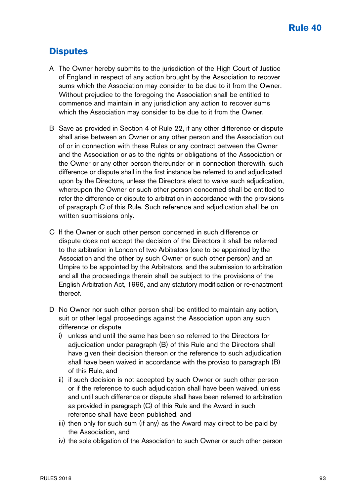## **Disputes**

- A The Owner hereby submits to the jurisdiction of the High Court of Justice of England in respect of any action brought by the Association to recover sums which the Association may consider to be due to it from the Owner. Without prejudice to the foregoing the Association shall be entitled to commence and maintain in any jurisdiction any action to recover sums which the Association may consider to be due to it from the Owner.
- B Save as provided in Section 4 of Rule 22, if any other difference or dispute shall arise between an Owner or any other person and the Association out of or in connection with these Rules or any contract between the Owner and the Association or as to the rights or obligations of the Association or the Owner or any other person thereunder or in connection therewith, such difference or dispute shall in the first instance be referred to and adjudicated upon by the Directors, unless the Directors elect to waive such adjudication, whereupon the Owner or such other person concerned shall be entitled to refer the difference or dispute to arbitration in accordance with the provisions of paragraph C of this Rule. Such reference and adjudication shall be on written submissions only.
- C If the Owner or such other person concerned in such difference or dispute does not accept the decision of the Directors it shall be referred to the arbitration in London of two Arbitrators (one to be appointed by the Association and the other by such Owner or such other person) and an Umpire to be appointed by the Arbitrators, and the submission to arbitration and all the proceedings therein shall be subject to the provisions of the English Arbitration Act, 1996, and any statutory modification or re-enactment thereof.
- D No Owner nor such other person shall be entitled to maintain any action, suit or other legal proceedings against the Association upon any such difference or dispute
	- i) unless and until the same has been so referred to the Directors for adjudication under paragraph (B) of this Rule and the Directors shall have given their decision thereon or the reference to such adjudication shall have been waived in accordance with the proviso to paragraph (B) of this Rule, and
	- ii) if such decision is not accepted by such Owner or such other person or if the reference to such adjudication shall have been waived, unless and until such difference or dispute shall have been referred to arbitration as provided in paragraph (C) of this Rule and the Award in such reference shall have been published, and
	- iii) then only for such sum (if any) as the Award may direct to be paid by the Association, and
	- iv) the sole obligation of the Association to such Owner or such other person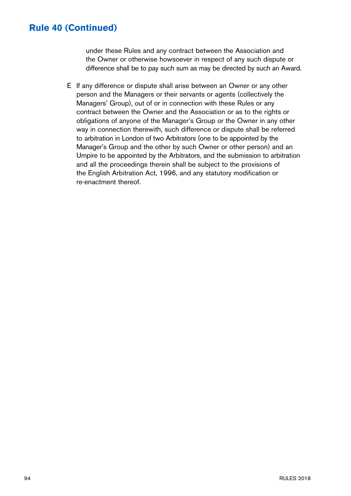#### **Rule 40 (Continued)**

under these Rules and any contract between the Association and the Owner or otherwise howsoever in respect of any such dispute or difference shall be to pay such sum as may be directed by such an Award.

E If any difference or dispute shall arise between an Owner or any other person and the Managers or their servants or agents (collectively the Managers' Group), out of or in connection with these Rules or any contract between the Owner and the Association or as to the rights or obligations of anyone of the Manager's Group or the Owner in any other way in connection therewith, such difference or dispute shall be referred to arbitration in London of two Arbitrators (one to be appointed by the Manager's Group and the other by such Owner or other person) and an Umpire to be appointed by the Arbitrators, and the submission to arbitration and all the proceedings therein shall be subject to the provisions of the English Arbitration Act, 1996, and any statutory modification or re-enactment thereof.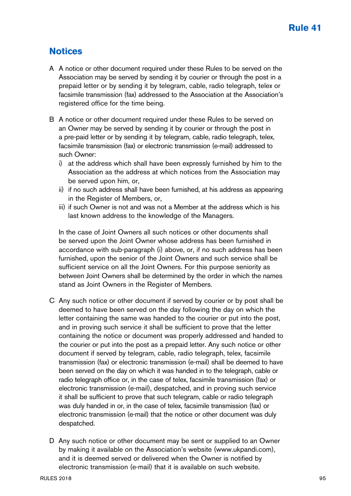## **Notices**

- A A notice or other document required under these Rules to be served on the Association may be served by sending it by courier or through the post in a prepaid letter or by sending it by telegram, cable, radio telegraph, telex or facsimile transmission (fax) addressed to the Association at the Association's registered office for the time being.
- B A notice or other document required under these Rules to be served on an Owner may be served by sending it by courier or through the post in a pre-paid letter or by sending it by telegram, cable, radio telegraph, telex, facsimile transmission (fax) or electronic transmission (e-mail) addressed to such Owner:
	- i) at the address which shall have been expressly furnished by him to the Association as the address at which notices from the Association may be served upon him, or,
	- ii) if no such address shall have been furnished, at his address as appearing in the Register of Members, or,
	- iii) if such Owner is not and was not a Member at the address which is his last known address to the knowledge of the Managers.

In the case of Joint Owners all such notices or other documents shall be served upon the Joint Owner whose address has been furnished in accordance with sub-paragraph (i) above, or, if no such address has been furnished, upon the senior of the Joint Owners and such service shall be sufficient service on all the Joint Owners. For this purpose seniority as between Joint Owners shall be determined by the order in which the names stand as Joint Owners in the Register of Members.

- C Any such notice or other document if served by courier or by post shall be deemed to have been served on the day following the day on which the letter containing the same was handed to the courier or put into the post, and in proving such service it shall be sufficient to prove that the letter containing the notice or document was properly addressed and handed to the courier or put into the post as a prepaid letter. Any such notice or other document if served by telegram, cable, radio telegraph, telex, facsimile transmission (fax) or electronic transmission (e-mail) shall be deemed to have been served on the day on which it was handed in to the telegraph, cable or radio telegraph office or, in the case of telex, facsimile transmission (fax) or electronic transmission (e-mail), despatched, and in proving such service it shall be sufficient to prove that such telegram, cable or radio telegraph was duly handed in or, in the case of telex, facsimile transmission (fax) or electronic transmission (e-mail) that the notice or other document was duly despatched.
- D Any such notice or other document may be sent or supplied to an Owner by making it available on the Association's website (www.ukpandi.com), and it is deemed served or delivered when the Owner is notified by electronic transmission (e-mail) that it is available on such website.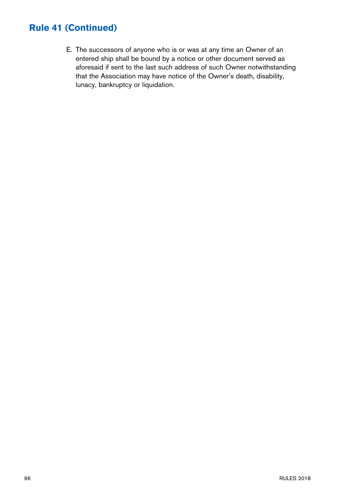## **Rule 41 (Continued)**

E. The successors of anyone who is or was at any time an Owner of an entered ship shall be bound by a notice or other document served as aforesaid if sent to the last such address of such Owner notwithstanding that the Association may have notice of the Owner's death, disability, lunacy, bankruptcy or liquidation.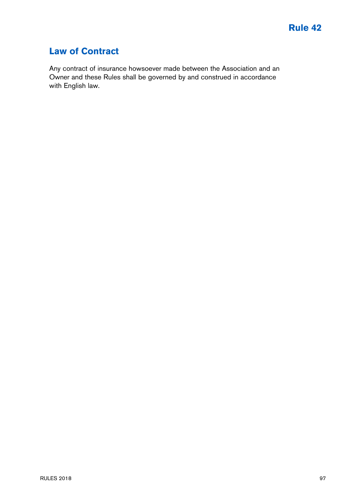## **Law of Contract**

Any contract of insurance howsoever made between the Association and an Owner and these Rules shall be governed by and construed in accordance with English law.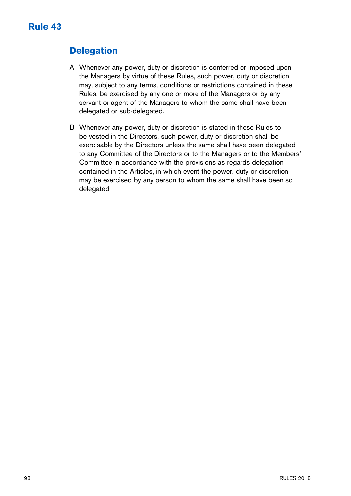## **Delegation**

- A Whenever any power, duty or discretion is conferred or imposed upon the Managers by virtue of these Rules, such power, duty or discretion may, subject to any terms, conditions or restrictions contained in these Rules, be exercised by any one or more of the Managers or by any servant or agent of the Managers to whom the same shall have been delegated or sub-delegated.
- B Whenever any power, duty or discretion is stated in these Rules to be vested in the Directors, such power, duty or discretion shall be exercisable by the Directors unless the same shall have been delegated to any Committee of the Directors or to the Managers or to the Members' Committee in accordance with the provisions as regards delegation contained in the Articles, in which event the power, duty or discretion may be exercised by any person to whom the same shall have been so delegated.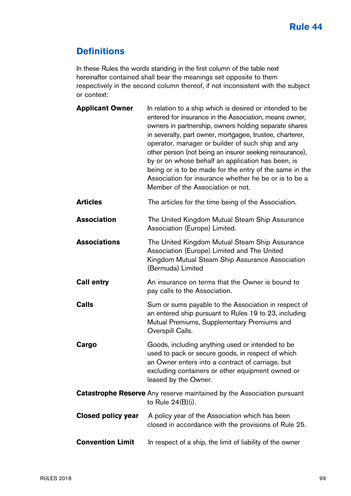## **Definitions**

In these Rules the words standing in the first column of the table next hereinafter contained shall bear the meanings set opposite to them respectively in the second column thereof, if not inconsistent with the subject or context:

| <b>Applicant Owner</b>  | In relation to a ship which is desired or intended to be<br>entered for insurance in the Association, means owner,<br>owners in partnership, owners holding separate shares<br>in severalty, part owner, mortgagee, trustee, charterer,<br>operator, manager or builder of such ship and any<br>other person (not being an insurer seeking reinsurance),<br>by or on whose behalf an application has been, is<br>being or is to be made for the entry of the same in the<br>Association for insurance whether he be or is to be a<br>Member of the Association or not. |
|-------------------------|------------------------------------------------------------------------------------------------------------------------------------------------------------------------------------------------------------------------------------------------------------------------------------------------------------------------------------------------------------------------------------------------------------------------------------------------------------------------------------------------------------------------------------------------------------------------|
| <b>Articles</b>         | The articles for the time being of the Association.                                                                                                                                                                                                                                                                                                                                                                                                                                                                                                                    |
| Association             | The United Kingdom Mutual Steam Ship Assurance<br>Association (Europe) Limited.                                                                                                                                                                                                                                                                                                                                                                                                                                                                                        |
| <b>Associations</b>     | The United Kingdom Mutual Steam Ship Assurance<br>Association (Europe) Limited and The United<br>Kingdom Mutual Steam Ship Assurance Association<br>(Bermuda) Limited                                                                                                                                                                                                                                                                                                                                                                                                  |
| <b>Call entry</b>       | An insurance on terms that the Owner is bound to<br>pay calls to the Association.                                                                                                                                                                                                                                                                                                                                                                                                                                                                                      |
| Calls                   | Sum or sums payable to the Association in respect of<br>an entered ship pursuant to Rules 19 to 23, including<br>Mutual Premiums, Supplementary Premiums and<br>Overspill Calls.                                                                                                                                                                                                                                                                                                                                                                                       |
| Cargo                   | Goods, including anything used or intended to be<br>used to pack or secure goods, in respect of which<br>an Owner enters into a contract of carriage, but<br>excluding containers or other equipment owned or<br>leased by the Owner.                                                                                                                                                                                                                                                                                                                                  |
|                         | Catastrophe Reserve Any reserve maintained by the Association pursuant<br>to Rule 24(B)(i).                                                                                                                                                                                                                                                                                                                                                                                                                                                                            |
| Closed policy year      | A policy year of the Association which has been<br>closed in accordance with the provisions of Rule 25.                                                                                                                                                                                                                                                                                                                                                                                                                                                                |
| <b>Convention Limit</b> | In respect of a ship, the limit of liability of the owner                                                                                                                                                                                                                                                                                                                                                                                                                                                                                                              |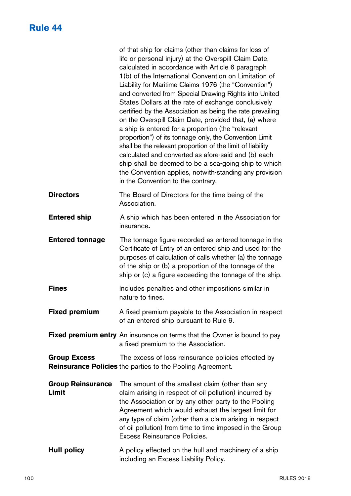## **Rule 44**

|                                   | of that ship for claims (other than claims for loss of<br>life or personal injury) at the Overspill Claim Date,<br>calculated in accordance with Article 6 paragraph<br>1(b) of the International Convention on Limitation of<br>Liability for Maritime Claims 1976 (the "Convention")<br>and converted from Special Drawing Rights into United<br>States Dollars at the rate of exchange conclusively<br>certified by the Association as being the rate prevailing<br>on the Overspill Claim Date, provided that, (a) where<br>a ship is entered for a proportion (the "relevant<br>proportion") of its tonnage only, the Convention Limit<br>shall be the relevant proportion of the limit of liability<br>calculated and converted as afore-said and (b) each<br>ship shall be deemed to be a sea-going ship to which<br>the Convention applies, notwith-standing any provision<br>in the Convention to the contrary. |
|-----------------------------------|--------------------------------------------------------------------------------------------------------------------------------------------------------------------------------------------------------------------------------------------------------------------------------------------------------------------------------------------------------------------------------------------------------------------------------------------------------------------------------------------------------------------------------------------------------------------------------------------------------------------------------------------------------------------------------------------------------------------------------------------------------------------------------------------------------------------------------------------------------------------------------------------------------------------------|
| <b>Directors</b>                  | The Board of Directors for the time being of the<br>Association.                                                                                                                                                                                                                                                                                                                                                                                                                                                                                                                                                                                                                                                                                                                                                                                                                                                         |
| <b>Entered ship</b>               | A ship which has been entered in the Association for<br>insurance.                                                                                                                                                                                                                                                                                                                                                                                                                                                                                                                                                                                                                                                                                                                                                                                                                                                       |
| <b>Entered tonnage</b>            | The tonnage figure recorded as entered tonnage in the<br>Certificate of Entry of an entered ship and used for the<br>purposes of calculation of calls whether (a) the tonnage<br>of the ship or (b) a proportion of the tonnage of the<br>ship or (c) a figure exceeding the tonnage of the ship.                                                                                                                                                                                                                                                                                                                                                                                                                                                                                                                                                                                                                        |
| <b>Fines</b>                      | Includes penalties and other impositions similar in<br>nature to fines.                                                                                                                                                                                                                                                                                                                                                                                                                                                                                                                                                                                                                                                                                                                                                                                                                                                  |
| <b>Fixed premium</b>              | A fixed premium payable to the Association in respect<br>of an entered ship pursuant to Rule 9.                                                                                                                                                                                                                                                                                                                                                                                                                                                                                                                                                                                                                                                                                                                                                                                                                          |
|                                   | Fixed premium entry An insurance on terms that the Owner is bound to pay<br>a fixed premium to the Association.                                                                                                                                                                                                                                                                                                                                                                                                                                                                                                                                                                                                                                                                                                                                                                                                          |
| <b>Group Excess</b>               | The excess of loss reinsurance policies effected by<br>Reinsurance Policies the parties to the Pooling Agreement.                                                                                                                                                                                                                                                                                                                                                                                                                                                                                                                                                                                                                                                                                                                                                                                                        |
| <b>Group Reinsurance</b><br>Limit | The amount of the smallest claim (other than any<br>claim arising in respect of oil pollution) incurred by<br>the Association or by any other party to the Pooling<br>Agreement which would exhaust the largest limit for<br>any type of claim (other than a claim arising in respect<br>of oil pollution) from time to time imposed in the Group<br>Excess Reinsurance Policies.                                                                                                                                                                                                                                                                                                                                                                                                                                                                                                                                        |
| <b>Hull policy</b>                | A policy effected on the hull and machinery of a ship<br>including an Excess Liability Policy.                                                                                                                                                                                                                                                                                                                                                                                                                                                                                                                                                                                                                                                                                                                                                                                                                           |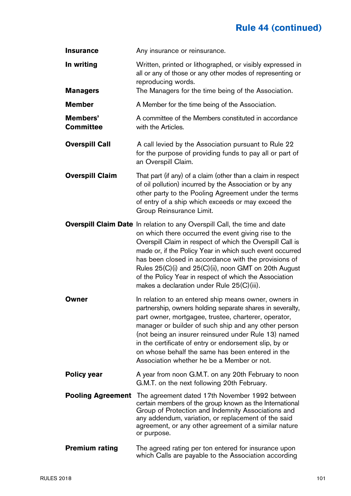# **Rule 44 (continued)**

| <b>Insurance</b>         | Any insurance or reinsurance.                                                                                                                                                                                                                                                                                                                                                                                                                                                              |  |
|--------------------------|--------------------------------------------------------------------------------------------------------------------------------------------------------------------------------------------------------------------------------------------------------------------------------------------------------------------------------------------------------------------------------------------------------------------------------------------------------------------------------------------|--|
| In writing               | Written, printed or lithographed, or visibly expressed in<br>all or any of those or any other modes of representing or<br>reproducing words.                                                                                                                                                                                                                                                                                                                                               |  |
| <b>Managers</b>          | The Managers for the time being of the Association.                                                                                                                                                                                                                                                                                                                                                                                                                                        |  |
| Member                   | A Member for the time being of the Association.                                                                                                                                                                                                                                                                                                                                                                                                                                            |  |
| Members'<br>Committee    | A committee of the Members constituted in accordance<br>with the Articles.                                                                                                                                                                                                                                                                                                                                                                                                                 |  |
| <b>Overspill Call</b>    | A call levied by the Association pursuant to Rule 22<br>for the purpose of providing funds to pay all or part of<br>an Overspill Claim.                                                                                                                                                                                                                                                                                                                                                    |  |
| <b>Overspill Claim</b>   | That part (if any) of a claim (other than a claim in respect<br>of oil pollution) incurred by the Association or by any<br>other party to the Pooling Agreement under the terms<br>of entry of a ship which exceeds or may exceed the<br>Group Reinsurance Limit.                                                                                                                                                                                                                          |  |
|                          | <b>Overspill Claim Date</b> In relation to any Overspill Call, the time and date<br>on which there occurred the event giving rise to the<br>Overspill Claim in respect of which the Overspill Call is<br>made or, if the Policy Year in which such event occurred<br>has been closed in accordance with the provisions of<br>Rules 25(C)(i) and 25(C)(ii), noon GMT on 20th August<br>of the Policy Year in respect of which the Association<br>makes a declaration under Rule 25(C)(iii). |  |
| Owner                    | In relation to an entered ship means owner, owners in<br>partnership, owners holding separate shares in severalty,<br>part owner, mortgagee, trustee, charterer, operator,<br>manager or builder of such ship and any other person<br>(not being an insurer reinsured under Rule 13) named<br>in the certificate of entry or endorsement slip, by or<br>on whose behalf the same has been entered in the<br>Association whether he be a Member or not.                                     |  |
| Policy year              | A year from noon G.M.T. on any 20th February to noon<br>G.M.T. on the next following 20th February.                                                                                                                                                                                                                                                                                                                                                                                        |  |
| <b>Pooling Agreement</b> | The agreement dated 17th November 1992 between<br>certain members of the group known as the International<br>Group of Protection and Indemnity Associations and<br>any addendum, variation, or replacement of the said<br>agreement, or any other agreement of a similar nature<br>or purpose.                                                                                                                                                                                             |  |
| <b>Premium rating</b>    | The agreed rating per ton entered for insurance upon<br>which Calls are payable to the Association according                                                                                                                                                                                                                                                                                                                                                                               |  |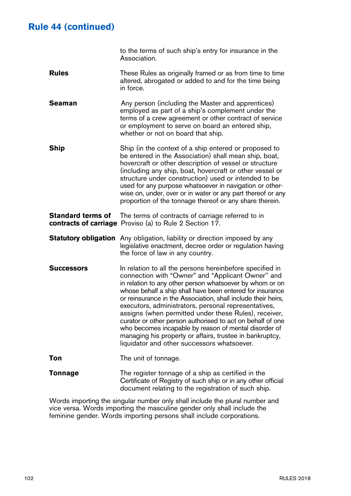## **Rule 44 (continued)**

 to the terms of such ship's entry for insurance in the Association.

- **Rules** These Rules as originally framed or as from time to time altered, abrogated or added to and for the time being in force.
- **Seaman** Any person (including the Master and apprentices) employed as part of a ship's complement under the terms of a crew agreement or other contract of service or employment to serve on board an entered ship, whether or not on board that ship.
- **Ship** Ship (in the context of a ship entered or proposed to be entered in the Association) shall mean ship, boat, hovercraft or other description of vessel or structure (including any ship, boat, hovercraft or other vessel or structure under construction) used or intended to be used for any purpose whatsoever in navigation or otherwise on, under, over or in water or any part thereof or any proportion of the tonnage thereof or any share therein.
- **Standard terms of** The terms of contracts of carriage referred to in **contracts of carriage** Proviso (a) to Rule 2 Section 17.
- **Statutory obligation** Any obligation, liability or direction imposed by any legislative enactment, decree order or regulation having the force of law in any country.
- **Successors** In relation to all the persons hereinbefore specified in connection with "Owner" and "Applicant Owner'' and in relation to any other person whatsoever by whom or on whose behalf a ship shall have been entered for insurance or reinsurance in the Association, shall include their heirs, executors, administrators, personal representatives, assigns (when permitted under these Rules), receiver, curator or other person authorised to act on behalf of one who becomes incapable by reason of mental disorder of managing his property or affairs, trustee in bankruptcy, liquidator and other successors whatsoever.
- **Ton** The unit of tonnage.

**Tonnage** The register tonnage of a ship as certified in the Certificate of Registry of such ship or in any other official document relating to the registration of such ship.

Words importing the singular number only shall include the plural number and vice versa. Words importing the masculine gender only shall include the feminine gender. Words importing persons shall include corporations.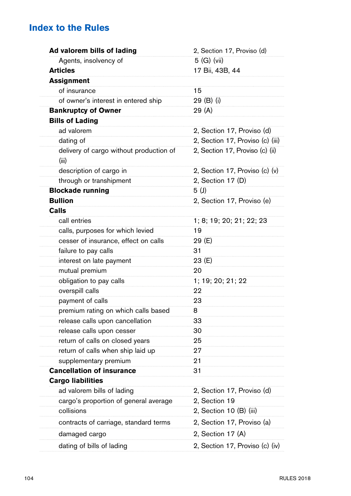# **Index to the Rules**

| Ad valorem bills of lading                       | 2, Section 17, Proviso (d)       |  |
|--------------------------------------------------|----------------------------------|--|
| Agents, insolvency of                            | 5 (G) (vii)                      |  |
| <b>Articles</b>                                  | 17 Bii, 43B, 44                  |  |
| <b>Assignment</b>                                |                                  |  |
| of insurance                                     | 15                               |  |
| of owner's interest in entered ship              | 29 (B) (i)                       |  |
| <b>Bankruptcy of Owner</b>                       | 29 (A)                           |  |
| <b>Bills of Lading</b>                           |                                  |  |
| ad valorem                                       | 2, Section 17, Proviso (d)       |  |
| dating of                                        | 2, Section 17, Proviso (c) (iii) |  |
| delivery of cargo without production of<br>(iii) | 2, Section 17, Proviso (c) (ii)  |  |
| description of cargo in                          | 2, Section 17, Proviso (c) (v)   |  |
| through or transhipment                          | 2, Section 17 (D)                |  |
| <b>Blockade running</b>                          | 5(1)                             |  |
| <b>Bullion</b>                                   | 2, Section 17, Proviso (e)       |  |
| Calls                                            |                                  |  |
| call entries                                     | 1; 8; 19; 20; 21; 22; 23         |  |
| calls, purposes for which levied                 | 19                               |  |
| cesser of insurance, effect on calls             | 29 (E)                           |  |
| failure to pay calls                             | 31                               |  |
| interest on late payment                         | 23 (E)                           |  |
| mutual premium                                   | 20                               |  |
| obligation to pay calls                          | 1; 19; 20; 21; 22                |  |
| overspill calls                                  | 22                               |  |
| payment of calls                                 | 23                               |  |
| premium rating on which calls based              | 8                                |  |
| release calls upon cancellation                  | 33                               |  |
| release calls upon cesser                        | 30                               |  |
| return of calls on closed years                  | 25                               |  |
| return of calls when ship laid up                | 27                               |  |
| supplementary premium                            | 21                               |  |
| <b>Cancellation of insurance</b>                 | 31                               |  |
| <b>Cargo liabilities</b>                         |                                  |  |
| ad valorem bills of lading                       | 2, Section 17, Proviso (d)       |  |
| cargo's proportion of general average            | 2, Section 19                    |  |
| collisions                                       | 2, Section 10 (B) (iii)          |  |
| contracts of carriage, standard terms            | 2, Section 17, Proviso (a)       |  |
| damaged cargo                                    | 2, Section 17 (A)                |  |
| dating of bills of lading                        | 2, Section 17, Proviso (c) (iv)  |  |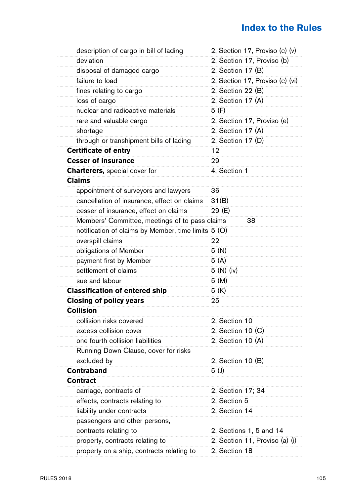# **Index to the Rules**

| description of cargo in bill of lading              | 2, Section 17, Proviso (c) (v)  |
|-----------------------------------------------------|---------------------------------|
| deviation                                           | 2, Section 17, Proviso (b)      |
| disposal of damaged cargo                           | 2, Section 17 (B)               |
| failure to load                                     | 2, Section 17, Proviso (c) (vi) |
| fines relating to cargo                             | 2, Section 22 (B)               |
| loss of cargo                                       | 2, Section 17 (A)               |
| nuclear and radioactive materials                   | 5 (F)                           |
| rare and valuable cargo                             | 2, Section 17, Proviso (e)      |
| shortage                                            | 2, Section 17 (A)               |
| through or transhipment bills of lading             | 2, Section 17 (D)               |
| Certificate of entry                                | 12                              |
| <b>Cesser of insurance</b>                          | 29                              |
| <b>Charterers, special cover for</b>                | 4, Section 1                    |
| Claims                                              |                                 |
| appointment of surveyors and lawyers                | 36                              |
| cancellation of insurance, effect on claims         | 31(B)                           |
| cesser of insurance, effect on claims               | 29 (E)                          |
| Members' Committee, meetings of to pass claims      | 38                              |
| notification of claims by Member, time limits 5 (O) |                                 |
| overspill claims                                    | 22                              |
| obligations of Member                               | 5 (N)                           |
| payment first by Member                             | 5(A)                            |
| settlement of claims                                | 5 (N) (iv)                      |
| sue and labour                                      | 5(M)                            |
| <b>Classification of entered ship</b>               | 5(K)                            |
| Closing of policy years                             | 25                              |
| Collision                                           |                                 |
| collision risks covered                             | 2, Section 10                   |
| excess collision cover                              | 2, Section 10 (C)               |
| one fourth collision liabilities                    | 2, Section 10 (A)               |
| Running Down Clause, cover for risks                |                                 |
| excluded by                                         | 2, Section 10 (B)               |
| Contraband                                          | 5 (J)                           |
| Contract                                            |                                 |
| carriage, contracts of                              | 2, Section 17; 34               |
| effects, contracts relating to                      | 2, Section 5                    |
| liability under contracts                           | 2, Section 14                   |
| passengers and other persons,                       |                                 |
| contracts relating to                               | 2, Sections 1, 5 and 14         |
| property, contracts relating to                     | 2, Section 11, Proviso (a) (i)  |
| property on a ship, contracts relating to           | 2, Section 18                   |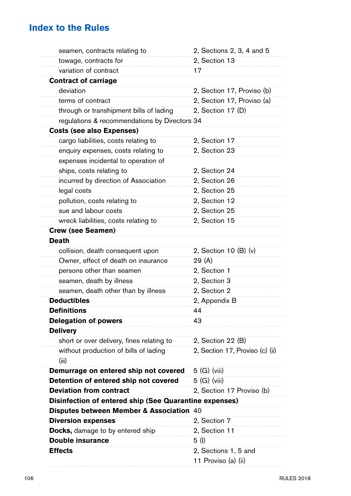# **Index to the Rules**

| seamen, contracts relating to                          | 2, Sections 2, 3, 4 and 5       |
|--------------------------------------------------------|---------------------------------|
| towage, contracts for                                  | 2, Section 13                   |
| variation of contract                                  | 17                              |
| <b>Contract of carriage</b>                            |                                 |
| deviation                                              | 2, Section 17, Proviso (b)      |
| terms of contract                                      | 2, Section 17, Proviso (a)      |
| through or transhipment bills of lading                | 2, Section 17 (D)               |
| regulations & recommendations by Directors 34          |                                 |
| <b>Costs (see also Expenses)</b>                       |                                 |
| cargo liabilities, costs relating to                   | 2, Section 17                   |
| enquiry expenses, costs relating to                    | 2, Section 23                   |
| expenses incidental to operation of                    |                                 |
| ships, costs relating to                               | 2, Section 24                   |
| incurred by direction of Association                   | 2, Section 26                   |
| legal costs                                            | 2, Section 25                   |
| pollution, costs relating to                           | 2, Section 12                   |
| sue and labour costs                                   | 2, Section 25                   |
| wreck liabilities, costs relating to                   | 2, Section 15                   |
| Crew (see Seamen)                                      |                                 |
| <b>Death</b>                                           |                                 |
| collision, death consequent upon                       | 2, Section 10 (B) (v)           |
| Owner, effect of death on insurance                    | 29 (A)                          |
| persons other than seamen                              | 2, Section 1                    |
| seamen, death by illness                               | 2, Section 3                    |
| seamen, death other than by illness                    | 2, Section 2                    |
| <b>Deductibles</b>                                     | 2, Appendix B                   |
| <b>Definitions</b>                                     | 44                              |
| <b>Delegation of powers</b>                            | 43                              |
| <b>Delivery</b>                                        |                                 |
| short or over delivery, fines relating to              | 2, Section 22 (B)               |
| without production of bills of lading<br>(iii)         | 2, Section 17, Proviso (c) (ii) |
| Demurrage on entered ship not covered                  | $5(G)$ (viii)                   |
| Detention of entered ship not covered                  | 5 (G) (viii)                    |
| <b>Deviation from contract</b>                         | 2, Section 17 Proviso (b)       |
| Disinfection of entered ship (See Quarantine expenses) |                                 |
| Disputes between Member & Association 40               |                                 |
| <b>Diversion expenses</b>                              | 2, Section 7                    |
| <b>Docks,</b> damage to by entered ship                | 2, Section 11                   |
| <b>Double insurance</b>                                | 5 (I)                           |
| <b>Effects</b>                                         | 2, Sections 1, 5 and            |
|                                                        | 11 Proviso (a) (ii)             |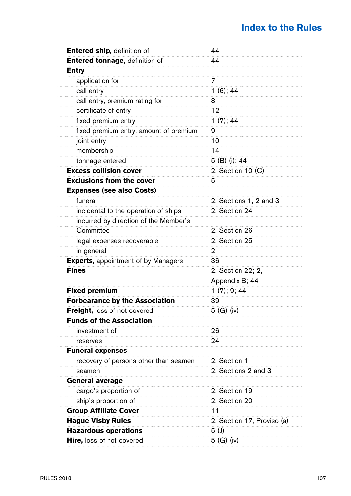| Entered ship, definition of                | 44                         |
|--------------------------------------------|----------------------------|
| Entered tonnage, definition of             | 44                         |
| Entry                                      |                            |
| application for                            | 7                          |
| call entry                                 | $1(6)$ ; 44                |
| call entry, premium rating for             | 8                          |
| certificate of entry                       | 12                         |
| fixed premium entry                        | 1(7); 44                   |
| fixed premium entry, amount of premium     | 9                          |
| joint entry                                | 10                         |
| membership                                 | 14                         |
| tonnage entered                            | 5 (B) (i); 44              |
| <b>Excess collision cover</b>              | 2, Section 10 (C)          |
| <b>Exclusions from the cover</b>           | 5                          |
| <b>Expenses (see also Costs)</b>           |                            |
| funeral                                    | 2, Sections 1, 2 and 3     |
| incidental to the operation of ships       | 2, Section 24              |
| incurred by direction of the Member's      |                            |
| Committee                                  | 2, Section 26              |
| legal expenses recoverable                 | 2, Section 25              |
| in general                                 | 2                          |
| <b>Experts, appointment of by Managers</b> | 36                         |
| <b>Fines</b>                               | 2, Section 22; 2,          |
|                                            | Appendix B; 44             |
| <b>Fixed premium</b>                       | 1(7); 9; 44                |
| <b>Forbearance by the Association</b>      | 39                         |
| Freight, loss of not covered               | 5(G)(iv)                   |
| <b>Funds of the Association</b>            |                            |
| investment of                              | 26                         |
| reserves                                   | 24                         |
| <b>Funeral expenses</b>                    |                            |
| recovery of persons other than seamen      | 2, Section 1               |
| seamen                                     | 2, Sections 2 and 3        |
| <b>General average</b>                     |                            |
| cargo's proportion of                      | 2, Section 19              |
| ship's proportion of                       | 2, Section 20              |
| <b>Group Affiliate Cover</b>               | 11                         |
| <b>Hague Visby Rules</b>                   | 2, Section 17, Proviso (a) |
| <b>Hazardous operations</b>                | 5 (J)                      |
| <b>Hire, loss of not covered</b>           | $5$ (G) (iv)               |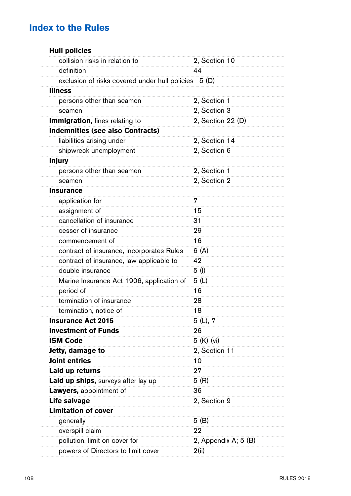| <b>Hull policies</b>                           |                      |
|------------------------------------------------|----------------------|
| collision risks in relation to                 | 2, Section 10        |
| definition                                     | 44                   |
| exclusion of risks covered under hull policies | 5 (D)                |
| <b>Illness</b>                                 |                      |
| persons other than seamen                      | 2, Section 1         |
| seamen                                         | 2, Section 3         |
| <b>Immigration, fines relating to</b>          | 2, Section 22 (D)    |
| <b>Indemnities (see also Contracts)</b>        |                      |
| liabilities arising under                      | 2, Section 14        |
| shipwreck unemployment                         | 2, Section 6         |
| <b>Injury</b>                                  |                      |
| persons other than seamen                      | 2, Section 1         |
| seamen                                         | 2, Section 2         |
| <b>Insurance</b>                               |                      |
| application for                                | 7                    |
| assignment of                                  | 15                   |
| cancellation of insurance                      | 31                   |
| cesser of insurance                            | 29                   |
| commencement of                                | 16                   |
| contract of insurance, incorporates Rules      | 6 (A)                |
| contract of insurance, law applicable to       | 42                   |
| double insurance                               | 5 (I)                |
| Marine Insurance Act 1906, application of      | 5(L)                 |
| period of                                      | 16                   |
| termination of insurance                       | 28                   |
| termination, notice of                         | 18                   |
| <b>Insurance Act 2015</b>                      | 5(L), 7              |
| <b>Investment of Funds</b>                     | 26                   |
| <b>ISM Code</b>                                | 5 (K) (vi)           |
| Jetty, damage to                               | 2, Section 11        |
| Joint entries                                  | 10                   |
| Laid up returns                                | 27                   |
| Laid up ships, surveys after lay up            | 5(R)                 |
| Lawyers, appointment of                        | 36                   |
| Life salvage                                   | 2, Section 9         |
| <b>Limitation of cover</b>                     |                      |
| generally                                      | 5(B)                 |
| overspill claim                                | 22                   |
| pollution, limit on cover for                  | 2, Appendix A; 5 (B) |
| powers of Directors to limit cover             | 2(ii)                |
|                                                |                      |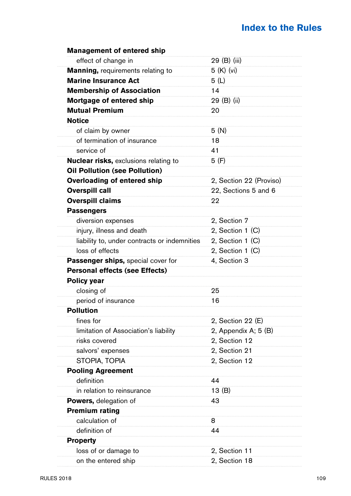| <b>Management of entered ship</b>            |                         |
|----------------------------------------------|-------------------------|
| effect of change in                          | 29 (B) (iii)            |
| <b>Manning, requirements relating to</b>     | 5 (K) (vi)              |
| <b>Marine Insurance Act</b>                  | 5 (L)                   |
| <b>Membership of Association</b>             | 14                      |
| Mortgage of entered ship                     | 29 (B) (ii)             |
| <b>Mutual Premium</b>                        | 20                      |
| <b>Notice</b>                                |                         |
| of claim by owner                            | 5 (N)                   |
| of termination of insurance                  | 18                      |
| service of                                   | 41                      |
| <b>Nuclear risks, exclusions relating to</b> | 5 (F)                   |
| <b>Oil Pollution (see Pollution)</b>         |                         |
| Overloading of entered ship                  | 2, Section 22 (Proviso) |
| <b>Overspill call</b>                        | 22, Sections 5 and 6    |
| <b>Overspill claims</b>                      | 22                      |
| <b>Passengers</b>                            |                         |
| diversion expenses                           | 2, Section 7            |
| injury, illness and death                    | 2, Section 1 (C)        |
| liability to, under contracts or indemnities | 2, Section 1 (C)        |
| loss of effects                              | 2, Section 1 (C)        |
| Passenger ships, special cover for           | 4, Section 3            |
| <b>Personal effects (see Effects)</b>        |                         |
| Policy year                                  |                         |
| closing of                                   | 25                      |
| period of insurance                          | 16                      |
| <b>Pollution</b>                             |                         |
| fines for                                    | 2, Section 22 (E)       |
| limitation of Association's liability        | 2, Appendix A; 5 (B)    |
| risks covered                                | 2, Section 12           |
| salvors' expenses                            | 2, Section 21           |
| STOPIA, TOPIA                                | 2, Section 12           |
| <b>Pooling Agreement</b>                     |                         |
| definition                                   | 44                      |
| in relation to reinsurance                   | 13(B)                   |
| Powers, delegation of                        | 43                      |
| <b>Premium rating</b>                        |                         |
| calculation of                               | 8                       |
| definition of                                | 44                      |
| <b>Property</b>                              |                         |
| loss of or damage to                         | 2, Section 11           |
| on the entered ship                          | 2. Section 18           |
|                                              |                         |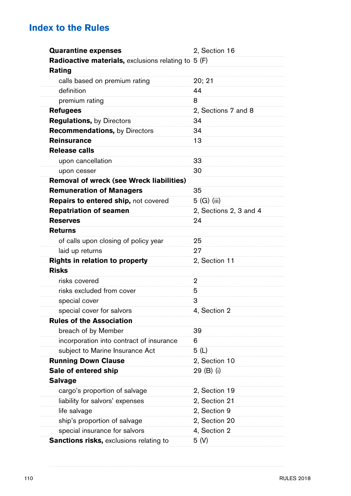| <b>Quarantine expenses</b>                          | 2, Section 16          |
|-----------------------------------------------------|------------------------|
| Radioactive materials, exclusions relating to 5 (F) |                        |
| Rating                                              |                        |
| calls based on premium rating                       | 20; 21                 |
| definition                                          | 44                     |
| premium rating                                      | 8                      |
| <b>Refugees</b>                                     | 2, Sections 7 and 8    |
| <b>Regulations, by Directors</b>                    | 34                     |
| <b>Recommendations, by Directors</b>                | 34                     |
| <b>Reinsurance</b>                                  | 13                     |
| Release calls                                       |                        |
| upon cancellation                                   | 33                     |
| upon cesser                                         | 30                     |
| Removal of wreck (see Wreck liabilities)            |                        |
| <b>Remuneration of Managers</b>                     | 35                     |
| Repairs to entered ship, not covered                | 5 (G) (iii)            |
| <b>Repatriation of seamen</b>                       | 2, Sections 2, 3 and 4 |
| <b>Reserves</b>                                     | 24                     |
| <b>Returns</b>                                      |                        |
| of calls upon closing of policy year                | 25                     |
| laid up returns                                     | 27                     |
| Rights in relation to property                      | 2, Section 11          |
| <b>Risks</b>                                        |                        |
| risks covered                                       | 2                      |
| risks excluded from cover                           | 5                      |
| special cover                                       | 3                      |
| special cover for salvors                           | 4, Section 2           |
| <b>Rules of the Association</b>                     |                        |
| breach of by Member                                 | 39                     |
| incorporation into contract of insurance            | 6                      |
| subject to Marine Insurance Act                     | 5(L)                   |
| <b>Running Down Clause</b>                          | 2, Section 10          |
| Sale of entered ship                                | 29 (B) (i)             |
| <b>Salvage</b>                                      |                        |
| cargo's proportion of salvage                       | 2, Section 19          |
| liability for salvors' expenses                     | 2, Section 21          |
| life salvage                                        | 2, Section 9           |
| ship's proportion of salvage                        | 2, Section 20          |
| special insurance for salvors                       | 4, Section 2           |
| Sanctions risks, exclusions relating to             | 5(V)                   |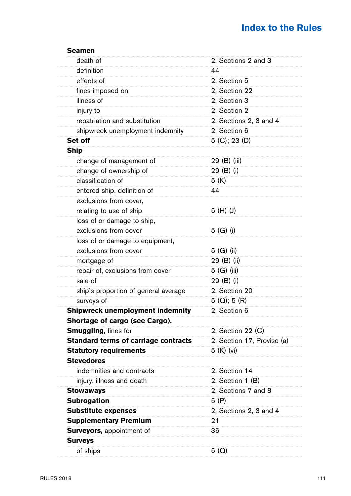| Seamen                                      |                            |
|---------------------------------------------|----------------------------|
| death of                                    | 2, Sections 2 and 3        |
| definition                                  | 44                         |
| effects of                                  | 2, Section 5               |
| fines imposed on                            | 2, Section 22              |
| illness of                                  | 2, Section 3               |
| injury to                                   | 2, Section 2               |
| repatriation and substitution               | 2, Sections 2, 3 and 4     |
| shipwreck unemployment indemnity            | 2, Section 6               |
| Set off                                     | 5 (C); 23 (D)              |
| Ship                                        |                            |
| change of management of                     | 29 (B) (iii)               |
| change of ownership of                      | 29 (B) (i)                 |
| classification of                           | 5 (K)                      |
| entered ship, definition of                 | 44                         |
| exclusions from cover,                      |                            |
| relating to use of ship                     | 5 (H) (J)                  |
| loss of or damage to ship,                  |                            |
| exclusions from cover                       | 5 (G) (i)                  |
| loss of or damage to equipment,             |                            |
| exclusions from cover                       | 5 (G) (ii)                 |
| mortgage of                                 | 29 (B) (ii)                |
| repair of, exclusions from cover            | 5 (G) (iii)                |
| sale of                                     | 29 (B) (i)                 |
| ship's proportion of general average        | 2, Section 20              |
| surveys of                                  | 5 (Q); 5 (R)               |
| <b>Shipwreck unemployment indemnity</b>     | 2, Section 6               |
| Shortage of cargo (see Cargo).              |                            |
| <b>Smuggling, fines for</b>                 | 2, Section 22 (C)          |
| <b>Standard terms of carriage contracts</b> | 2, Section 17, Proviso (a) |
| <b>Statutory requirements</b>               | 5 (K) (vi)                 |
| <b>Stevedores</b>                           |                            |
| indemnities and contracts                   | 2, Section 14              |
| injury, illness and death                   | 2, Section 1 (B)           |
| Stowaways                                   | 2, Sections 7 and 8        |
| <b>Subrogation</b>                          | 5 (P)                      |
| <b>Substitute expenses</b>                  | 2, Sections 2, 3 and 4     |
| <b>Supplementary Premium</b>                | 21                         |
| Surveyors, appointment of                   | 36                         |
| <b>Surveys</b>                              |                            |
| of ships                                    | 5(Q)                       |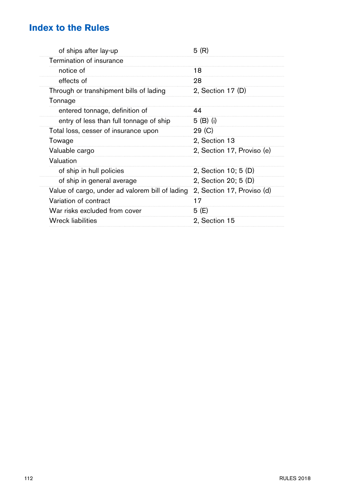| of ships after lay-up                           | 5 (R)                      |
|-------------------------------------------------|----------------------------|
| Termination of insurance                        |                            |
| notice of                                       | 18                         |
| effects of                                      | 28                         |
| Through or transhipment bills of lading         | 2, Section 17 (D)          |
| Tonnage                                         |                            |
| entered tonnage, definition of                  | 44                         |
| entry of less than full tonnage of ship         | 5 (B) (i)                  |
| Total loss, cesser of insurance upon            | 29 (C)                     |
| Towage                                          | 2, Section 13              |
| Valuable cargo                                  | 2, Section 17, Proviso (e) |
| Valuation                                       |                            |
| of ship in hull policies                        | 2, Section 10; 5 (D)       |
| of ship in general average                      | 2, Section 20; 5 (D)       |
| Value of cargo, under ad valorem bill of lading | 2, Section 17, Proviso (d) |
| Variation of contract                           | 17                         |
| War risks excluded from cover                   | 5 (E)                      |
| <b>Wreck liabilities</b>                        | 2, Section 15              |
|                                                 |                            |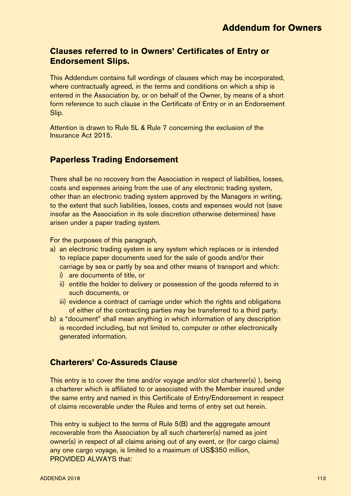## **Clauses referred to in Owners' Certificates of Entry or Endorsement Slips.**

This Addendum contains full wordings of clauses which may be incorporated, where contractually agreed, in the terms and conditions on which a ship is entered in the Association by, or on behalf of the Owner, by means of a short form reference to such clause in the Certificate of Entry or in an Endorsement Slip.

Attention is drawn to Rule 5L & Rule 7 concerning the exclusion of the Insurance Act 2015.

### **Paperless Trading Endorsement**

There shall be no recovery from the Association in respect of liabilities, losses, costs and expenses arising from the use of any electronic trading system, other than an electronic trading system approved by the Managers in writing, to the extent that such liabilities, losses, costs and expenses would not (save insofar as the Association in its sole discretion otherwise determines) have arisen under a paper trading system.

For the purposes of this paragraph,

- a) an electronic trading system is any system which replaces or is intended to replace paper documents used for the sale of goods and/or their carriage by sea or partly by sea and other means of transport and which:
	- i) are documents of title, or
	- ii) entitle the holder to delivery or possession of the goods referred to in such documents, or
	- iii) evidence a contract of carriage under which the rights and obligations of either of the contracting parties may be transferred to a third party.
- b) a "document" shall mean anything in which information of any description is recorded including, but not limited to, computer or other electronically generated information.

### **Charterers' Co-Assureds Clause**

This entry is to cover the time and/or voyage and/or slot charterer(s) ), being a charterer which is affiliated to or associated with the Member insured under the same entry and named in this Certificate of Entry/Endorsement in respect of claims recoverable under the Rules and terms of entry set out herein.

This entry is subject to the terms of Rule 5(B) and the aggregate amount recoverable from the Association by all such charterer(s) named as joint owner(s) in respect of all claims arising out of any event, or (for cargo claims) any one cargo voyage, is limited to a maximum of US\$350 million, PROVIDED ALWAYS that: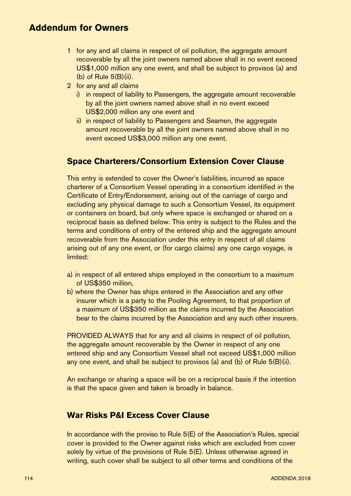- 1 for any and all claims in respect of oil pollution, the aggregate amount recoverable by all the joint owners named above shall in no event exceed US\$1,000 million any one event, and shall be subject to provisos (a) and  $(b)$  of Rule  $5(B)(ii)$ .
- 2 for any and all claims
	- i) in respect of liability to Passengers, the aggregate amount recoverable by all the joint owners named above shall in no event exceed US\$2,000 million any one event and
	- ii) in respect of liability to Passengers and Seamen, the aggregate amount recoverable by all the joint owners named above shall in no event exceed US\$3,000 million any one event.

### **Space Charterers/Consortium Extension Cover Clause**

This entry is extended to cover the Owner's liabilities, incurred as space charterer of a Consortium Vessel operating in a consortium identified in the Certificate of Entry/Endorsement, arising out of the carriage of cargo and excluding any physical damage to such a Consortium Vessel, its equipment or containers on board, but only where space is exchanged or shared on a reciprocal basis as defined below. This entry is subject to the Rules and the terms and conditions of entry of the entered ship and the aggregate amount recoverable from the Association under this entry in respect of all claims arising out of any one event, or (for cargo claims) any one cargo voyage, is limited:

- a) in respect of all entered ships employed in the consortium to a maximum of US\$350 million,
- b) where the Owner has ships entered in the Association and any other insurer which is a party to the Pooling Agreement, to that proportion of a maximum of US\$350 million as the claims incurred by the Association bear to the claims incurred by the Association and any such other insurers.

PROVIDED ALWAYS that for any and all claims in respect of oil pollution, the aggregate amount recoverable by the Owner in respect of any one entered ship and any Consortium Vessel shall not exceed US\$1,000 million any one event, and shall be subject to provisos (a) and (b) of Rule 5(B)(ii).

An exchange or sharing a space will be on a reciprocal basis if the intention is that the space given and taken is broadly in balance.

### **War Risks P&I Excess Cover Clause**

In accordance with the proviso to Rule 5(E) of the Association's Rules, special cover is provided to the Owner against risks which are excluded from cover solely by virtue of the provisions of Rule 5(E). Unless otherwise agreed in writing, such cover shall be subject to all other terms and conditions of the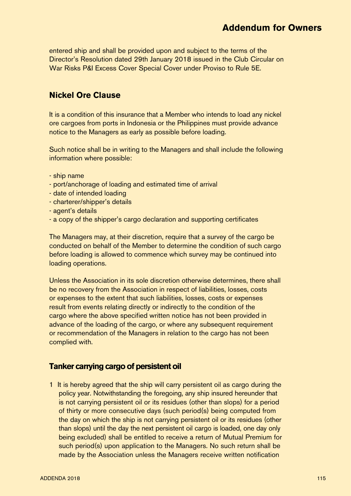entered ship and shall be provided upon and subject to the terms of the Director's Resolution dated 29th January 2018 issued in the Club Circular on War Risks P&I Excess Cover Special Cover under Proviso to Rule 5E.

### **Nickel Ore Clause**

It is a condition of this insurance that a Member who intends to load any nickel ore cargoes from ports in Indonesia or the Philippines must provide advance notice to the Managers as early as possible before loading.

Such notice shall be in writing to the Managers and shall include the following information where possible:

- ship name
- port/anchorage of loading and estimated time of arrival
- date of intended loading
- charterer/shipper's details
- agent's details
- a copy of the shipper's cargo declaration and supporting certificates

The Managers may, at their discretion, require that a survey of the cargo be conducted on behalf of the Member to determine the condition of such cargo before loading is allowed to commence which survey may be continued into loading operations.

Unless the Association in its sole discretion otherwise determines, there shall be no recovery from the Association in respect of liabilities, losses, costs or expenses to the extent that such liabilities, losses, costs or expenses result from events relating directly or indirectly to the condition of the cargo where the above specified written notice has not been provided in advance of the loading of the cargo, or where any subsequent requirement or recommendation of the Managers in relation to the cargo has not been complied with.

### **Tanker carrying cargo of persistent oil**

1 It is hereby agreed that the ship will carry persistent oil as cargo during the policy year. Notwithstanding the foregoing, any ship insured hereunder that is not carrying persistent oil or its residues (other than slops) for a period of thirty or more consecutive days (such period(s) being computed from the day on which the ship is not carrying persistent oil or its residues (other than slops) until the day the next persistent oil cargo is loaded, one day only being excluded) shall be entitled to receive a return of Mutual Premium for such period(s) upon application to the Managers. No such return shall be made by the Association unless the Managers receive written notification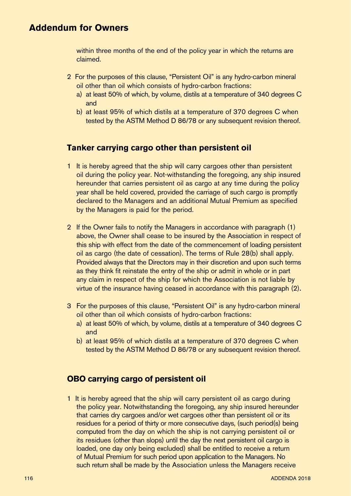within three months of the end of the policy year in which the returns are claimed.

- 2 For the purposes of this clause, "Persistent Oil" is any hydro-carbon mineral oil other than oil which consists of hydro-carbon fractions:
	- a) at least 50% of which, by volume, distils at a temperature of 340 degrees C and
	- b) at least 95% of which distils at a temperature of 370 degrees C when tested by the ASTM Method D 86/78 or any subsequent revision thereof.

### **Tanker carrying cargo other than persistent oil**

- 1 It is hereby agreed that the ship will carry cargoes other than persistent oil during the policy year. Not-withstanding the foregoing, any ship insured hereunder that carries persistent oil as cargo at any time during the policy year shall be held covered, provided the carriage of such cargo is promptly declared to the Managers and an additional Mutual Premium as specified by the Managers is paid for the period.
- 2 If the Owner fails to notify the Managers in accordance with paragraph (1) above, the Owner shall cease to be insured by the Association in respect of this ship with effect from the date of the commencement of loading persistent oil as cargo (the date of cessation). The terms of Rule 28(b) shall apply. Provided always that the Directors may in their discretion and upon such terms as they think fit reinstate the entry of the ship or admit in whole or in part any claim in respect of the ship for which the Association is not liable by virtue of the insurance having ceased in accordance with this paragraph (2).
- 3 For the purposes of this clause, "Persistent Oil" is any hydro-carbon mineral oil other than oil which consists of hydro-carbon fractions:
	- a) at least 50% of which, by volume, distils at a temperature of 340 degrees C and
	- b) at least 95% of which distils at a temperature of 370 degrees C when tested by the ASTM Method D 86/78 or any subsequent revision thereof.

### **OBO carrying cargo of persistent oil**

1 It is hereby agreed that the ship will carry persistent oil as cargo during the policy year. Notwithstanding the foregoing, any ship insured hereunder that carries dry cargoes and/or wet cargoes other than persistent oil or its residues for a period of thirty or more consecutive days, (such period(s) being computed from the day on which the ship is not carrying persistent oil or its residues (other than slops) until the day the next persistent oil cargo is loaded, one day only being excluded) shall be entitled to receive a return of Mutual Premium for such period upon application to the Managers. No such return shall be made by the Association unless the Managers receive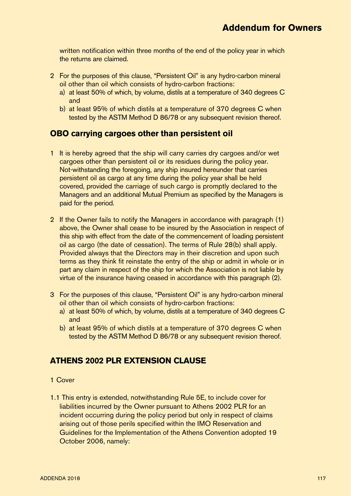written notification within three months of the end of the policy year in which the returns are claimed.

- 2 For the purposes of this clause, "Persistent Oil" is any hydro-carbon mineral oil other than oil which consists of hydro-carbon fractions:
	- a) at least 50% of which, by volume, distils at a temperature of 340 degrees C and
	- b) at least 95% of which distils at a temperature of 370 degrees C when tested by the ASTM Method D 86/78 or any subsequent revision thereof.

### **OBO carrying cargoes other than persistent oil**

- 1 It is hereby agreed that the ship will carry carries dry cargoes and/or wet cargoes other than persistent oil or its residues during the policy year. Not-withstanding the foregoing, any ship insured hereunder that carries persistent oil as cargo at any time during the policy year shall be held covered, provided the carriage of such cargo is promptly declared to the Managers and an additional Mutual Premium as specified by the Managers is paid for the period.
- 2 If the Owner fails to notify the Managers in accordance with paragraph (1) above, the Owner shall cease to be insured by the Association in respect of this ship with effect from the date of the commencement of loading persistent oil as cargo (the date of cessation). The terms of Rule 28(b) shall apply. Provided always that the Directors may in their discretion and upon such terms as they think fit reinstate the entry of the ship or admit in whole or in part any claim in respect of the ship for which the Association is not liable by virtue of the insurance having ceased in accordance with this paragraph (2).
- 3 For the purposes of this clause, "Persistent Oil" is any hydro-carbon mineral oil other than oil which consists of hydro-carbon fractions:
	- a) at least 50% of which, by volume, distils at a temperature of 340 degrees C and
	- b) at least 95% of which distils at a temperature of 370 degrees C when tested by the ASTM Method D 86/78 or any subsequent revision thereof.

### **ATHENS 2002 PLR EXTENSION CLAUSE**

#### 1 Cover

1.1 This entry is extended, notwithstanding Rule 5E, to include cover for liabilities incurred by the Owner pursuant to Athens 2002 PLR for an incident occurring during the policy period but only in respect of claims arising out of those perils specified within the IMO Reservation and Guidelines for the Implementation of the Athens Convention adopted 19 October 2006, namely: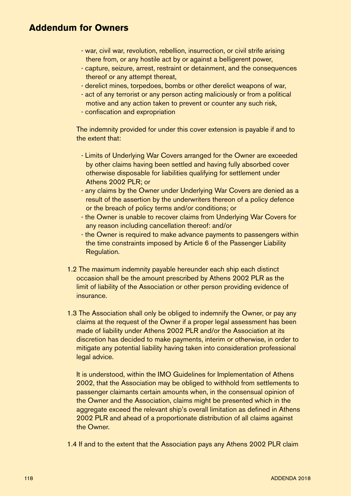- war, civil war, revolution, rebellion, insurrection, or civil strife arising there from, or any hostile act by or against a belligerent power,
- capture, seizure, arrest, restraint or detainment, and the consequences thereof or any attempt thereat,
- derelict mines, torpedoes, bombs or other derelict weapons of war,
- act of any terrorist or any person acting maliciously or from a political motive and any action taken to prevent or counter any such risk,
- confiscation and expropriation

The indemnity provided for under this cover extension is payable if and to the extent that:

- Limits of Underlying War Covers arranged for the Owner are exceeded by other claims having been settled and having fully absorbed cover otherwise disposable for liabilities qualifying for settlement under Athens 2002 PLR; or
- any claims by the Owner under Underlying War Covers are denied as a result of the assertion by the underwriters thereon of a policy defence or the breach of policy terms and/or conditions; or
- the Owner is unable to recover claims from Underlying War Covers for any reason including cancellation thereof: and/or
- the Owner is required to make advance payments to passengers within the time constraints imposed by Article 6 of the Passenger Liability Regulation.
- 1.2 The maximum indemnity payable hereunder each ship each distinct occasion shall be the amount prescribed by Athens 2002 PLR as the limit of liability of the Association or other person providing evidence of insurance.
- 1.3 The Association shall only be obliged to indemnify the Owner, or pay any claims at the request of the Owner if a proper legal assessment has been made of liability under Athens 2002 PLR and/or the Association at its discretion has decided to make payments, interim or otherwise, in order to mitigate any potential liability having taken into consideration professional legal advice.

It is understood, within the IMO Guidelines for Implementation of Athens 2002, that the Association may be obliged to withhold from settlements to passenger claimants certain amounts when, in the consensual opinion of the Owner and the Association, claims might be presented which in the aggregate exceed the relevant ship's overall limitation as defined in Athens 2002 PLR and ahead of a proportionate distribution of all claims against the Owner.

1.4 If and to the extent that the Association pays any Athens 2002 PLR claim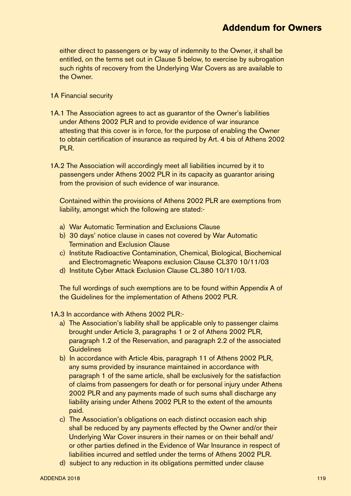either direct to passengers or by way of indemnity to the Owner, it shall be entitled, on the terms set out in Clause 5 below, to exercise by subrogation such rights of recovery from the Underlying War Covers as are available to the Owner.

#### 1A Financial security

- 1A.1 The Association agrees to act as guarantor of the Owner's liabilities under Athens 2002 PLR and to provide evidence of war insurance attesting that this cover is in force, for the purpose of enabling the Owner to obtain certification of insurance as required by Art. 4 bis of Athens 2002 PLR.
- 1A.2 The Association will accordingly meet all liabilities incurred by it to passengers under Athens 2002 PLR in its capacity as guarantor arising from the provision of such evidence of war insurance.

Contained within the provisions of Athens 2002 PLR are exemptions from liability, amongst which the following are stated:-

- a) War Automatic Termination and Exclusions Clause
- b) 30 days' notice clause in cases not covered by War Automatic Termination and Exclusion Clause
- c) Institute Radioactive Contamination, Chemical, Biological, Biochemical and Electromagnetic Weapons exclusion Clause CL370 10/11/03
- d) Institute Cyber Attack Exclusion Clause CL.380 10/11/03.

The full wordings of such exemptions are to be found within Appendix A of the Guidelines for the implementation of Athens 2002 PLR.

- 1A.3 In accordance with Athens 2002 PLR:
	- a) The Association's liability shall be applicable only to passenger claims brought under Article 3, paragraphs 1 or 2 of Athens 2002 PLR, paragraph 1.2 of the Reservation, and paragraph 2.2 of the associated **Guidelines**
	- b) In accordance with Article 4bis, paragraph 11 of Athens 2002 PLR, any sums provided by insurance maintained in accordance with paragraph 1 of the same article, shall be exclusively for the satisfaction of claims from passengers for death or for personal injury under Athens 2002 PLR and any payments made of such sums shall discharge any liability arising under Athens 2002 PLR to the extent of the amounts paid.
	- c) The Association's obligations on each distinct occasion each ship shall be reduced by any payments effected by the Owner and/or their Underlying War Cover insurers in their names or on their behalf and/ or other parties defined in the Evidence of War Insurance in respect of liabilities incurred and settled under the terms of Athens 2002 PLR.
	- d) subject to any reduction in its obligations permitted under clause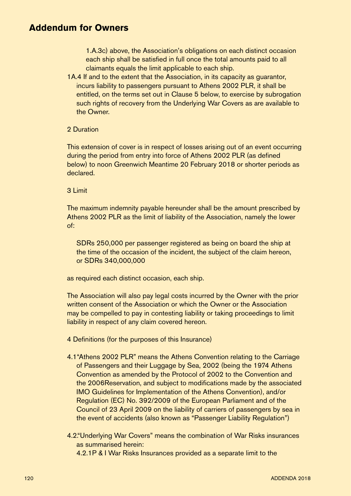1.A.3c) above, the Association's obligations on each distinct occasion each ship shall be satisfied in full once the total amounts paid to all claimants equals the limit applicable to each ship.

1A.4 If and to the extent that the Association, in its capacity as guarantor, incurs liability to passengers pursuant to Athens 2002 PLR, it shall be entitled, on the terms set out in Clause 5 below, to exercise by subrogation such rights of recovery from the Underlying War Covers as are available to the Owner.

#### 2 Duration

This extension of cover is in respect of losses arising out of an event occurring during the period from entry into force of Athens 2002 PLR (as defined below) to noon Greenwich Meantime 20 February 2018 or shorter periods as declared.

3 Limit

The maximum indemnity payable hereunder shall be the amount prescribed by Athens 2002 PLR as the limit of liability of the Association, namely the lower of:

SDRs 250,000 per passenger registered as being on board the ship at the time of the occasion of the incident, the subject of the claim hereon, or SDRs 340,000,000

as required each distinct occasion, each ship.

The Association will also pay legal costs incurred by the Owner with the prior written consent of the Association or which the Owner or the Association may be compelled to pay in contesting liability or taking proceedings to limit liability in respect of any claim covered hereon.

- 4 Definitions (for the purposes of this Insurance)
- 4.1"Athens 2002 PLR" means the Athens Convention relating to the Carriage of Passengers and their Luggage by Sea, 2002 (being the 1974 Athens Convention as amended by the Protocol of 2002 to the Convention and the 2006Reservation, and subject to modifications made by the associated IMO Guidelines for Implementation of the Athens Convention), and/or Regulation (EC) No. 392/2009 of the European Parliament and of the Council of 23 April 2009 on the liability of carriers of passengers by sea in the event of accidents (also known as "Passenger Liability Regulation")
- 4.2."Underlying War Covers" means the combination of War Risks insurances as summarised herein:

4.2.1P & I War Risks Insurances provided as a separate limit to the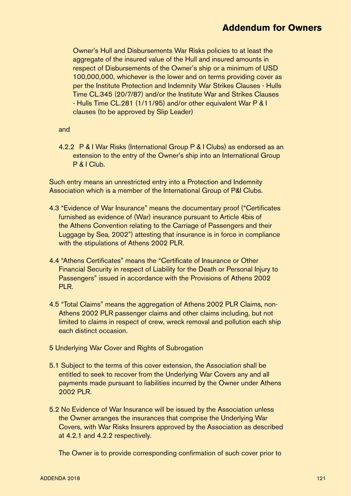Owner's Hull and Disbursements War Risks policies to at least the aggregate of the insured value of the Hull and insured amounts in respect of Disbursements of the Owner's ship or a minimum of USD 100,000,000, whichever is the lower and on terms providing cover as per the Institute Protection and Indemnity War Strikes Clauses - Hulls Time CL.345 (20/7/87) and/or the Institute War and Strikes Clauses - Hulls Time CL.281 (1/11/95) and/or other equivalent War P & I clauses (to be approved by Slip Leader)

and

4.2.2 P & I War Risks (International Group P & I Clubs) as endorsed as an extension to the entry of the Owner's ship into an International Group P & I Club.

Such entry means an unrestricted entry into a Protection and Indemnity Association which is a member of the International Group of P&I Clubs.

- 4.3 "Evidence of War Insurance" means the documentary proof ("Certificates furnished as evidence of (War) insurance pursuant to Article 4bis of the Athens Convention relating to the Carriage of Passengers and their Luggage by Sea, 2002") attesting that insurance is in force in compliance with the stipulations of Athens 2002 PLR.
- 4.4 "Athens Certificates" means the "Certificate of Insurance or Other Financial Security in respect of Liability for the Death or Personal Injury to Passengers" issued in accordance with the Provisions of Athens 2002 PLR.
- 4.5 "Total Claims" means the aggregation of Athens 2002 PLR Claims, non-Athens 2002 PLR passenger claims and other claims including, but not limited to claims in respect of crew, wreck removal and pollution each ship each distinct occasion.
- 5 Underlying War Cover and Rights of Subrogation
- 5.1 Subject to the terms of this cover extension, the Association shall be entitled to seek to recover from the Underlying War Covers any and all payments made pursuant to liabilities incurred by the Owner under Athens 2002 PLR.
- 5.2 No Evidence of War Insurance will be issued by the Association unless the Owner arranges the insurances that comprise the Underlying War Covers, with War Risks Insurers approved by the Association as described at 4.2.1 and 4.2.2 respectively.

The Owner is to provide corresponding confirmation of such cover prior to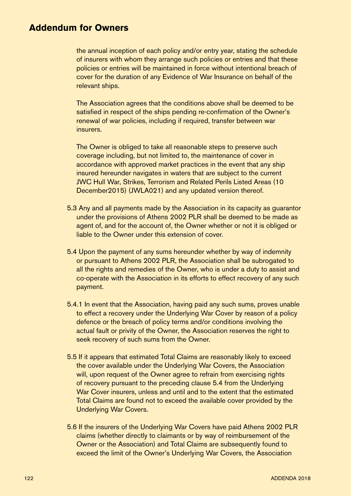the annual inception of each policy and/or entry year, stating the schedule of insurers with whom they arrange such policies or entries and that these policies or entries will be maintained in force without intentional breach of cover for the duration of any Evidence of War Insurance on behalf of the relevant ships.

The Association agrees that the conditions above shall be deemed to be satisfied in respect of the ships pending re-confirmation of the Owner's renewal of war policies, including if required, transfer between war insurers.

The Owner is obliged to take all reasonable steps to preserve such coverage including, but not limited to, the maintenance of cover in accordance with approved market practices in the event that any ship insured hereunder navigates in waters that are subject to the current JWC Hull War, Strikes, Terrorism and Related Perils Listed Areas (10 December2015) (JWLA021) and any updated version thereof.

- 5.3 Any and all payments made by the Association in its capacity as guarantor under the provisions of Athens 2002 PLR shall be deemed to be made as agent of, and for the account of, the Owner whether or not it is obliged or liable to the Owner under this extension of cover.
- 5.4 Upon the payment of any sums hereunder whether by way of indemnity or pursuant to Athens 2002 PLR, the Association shall be subrogated to all the rights and remedies of the Owner, who is under a duty to assist and co-operate with the Association in its efforts to effect recovery of any such payment.
- 5.4.1 In event that the Association, having paid any such sums, proves unable to effect a recovery under the Underlying War Cover by reason of a policy defence or the breach of policy terms and/or conditions involving the actual fault or privity of the Owner, the Association reserves the right to seek recovery of such sums from the Owner.
- 5.5 If it appears that estimated Total Claims are reasonably likely to exceed the cover available under the Underlying War Covers, the Association will, upon request of the Owner agree to refrain from exercising rights of recovery pursuant to the preceding clause 5.4 from the Underlying War Cover insurers, unless and until and to the extent that the estimated Total Claims are found not to exceed the available cover provided by the Underlying War Covers.
- 5.6 If the insurers of the Underlying War Covers have paid Athens 2002 PLR claims (whether directly to claimants or by way of reimbursement of the Owner or the Association) and Total Claims are subsequently found to exceed the limit of the Owner's Underlying War Covers, the Association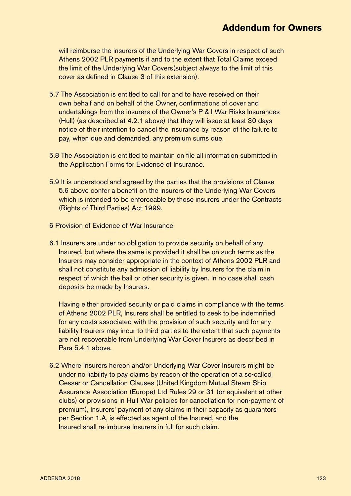will reimburse the insurers of the Underlying War Covers in respect of such Athens 2002 PLR payments if and to the extent that Total Claims exceed the limit of the Underlying War Covers(subject always to the limit of this cover as defined in Clause 3 of this extension).

- 5.7 The Association is entitled to call for and to have received on their own behalf and on behalf of the Owner, confirmations of cover and undertakings from the insurers of the Owner's P & I War Risks Insurances (Hull) (as described at 4.2.1 above) that they will issue at least 30 days notice of their intention to cancel the insurance by reason of the failure to pay, when due and demanded, any premium sums due.
- 5.8 The Association is entitled to maintain on file all information submitted in the Application Forms for Evidence of Insurance.
- 5.9 It is understood and agreed by the parties that the provisions of Clause 5.6 above confer a benefit on the insurers of the Underlying War Covers which is intended to be enforceable by those insurers under the Contracts (Rights of Third Parties) Act 1999.
- 6 Provision of Evidence of War Insurance
- 6.1 Insurers are under no obligation to provide security on behalf of any Insured, but where the same is provided it shall be on such terms as the Insurers may consider appropriate in the context of Athens 2002 PLR and shall not constitute any admission of liability by Insurers for the claim in respect of which the bail or other security is given. In no case shall cash deposits be made by Insurers.

Having either provided security or paid claims in compliance with the terms of Athens 2002 PLR, Insurers shall be entitled to seek to be indemnified for any costs associated with the provision of such security and for any liability Insurers may incur to third parties to the extent that such payments are not recoverable from Underlying War Cover Insurers as described in Para 5.4.1 above.

6.2 Where Insurers hereon and/or Underlying War Cover Insurers might be under no liability to pay claims by reason of the operation of a so-called Cesser or Cancellation Clauses (United Kingdom Mutual Steam Ship Assurance Association (Europe) Ltd Rules 29 or 31 (or equivalent at other clubs) or provisions in Hull War policies for cancellation for non-payment of premium), Insurers' payment of any claims in their capacity as guarantors per Section 1.A, is effected as agent of the Insured, and the Insured shall re-imburse Insurers in full for such claim.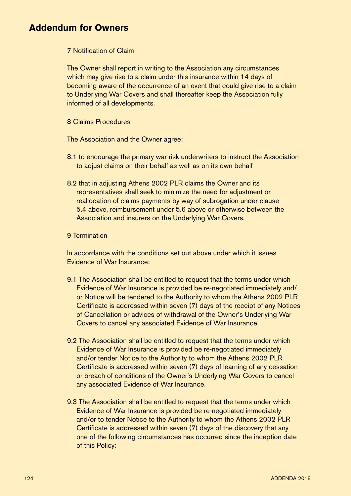#### 7 Notification of Claim

The Owner shall report in writing to the Association any circumstances which may give rise to a claim under this insurance within 14 days of becoming aware of the occurrence of an event that could give rise to a claim to Underlying War Covers and shall thereafter keep the Association fully informed of all developments.

8 Claims Procedures

The Association and the Owner agree:

- 8.1 to encourage the primary war risk underwriters to instruct the Association to adjust claims on their behalf as well as on its own behalf
- 8.2 that in adjusting Athens 2002 PLR claims the Owner and its representatives shall seek to minimize the need for adjustment or reallocation of claims payments by way of subrogation under clause 5.4 above, reimbursement under 5.6 above or otherwise between the Association and insurers on the Underlying War Covers.

#### 9 Termination

In accordance with the conditions set out above under which it issues Evidence of War Insurance:

- 9.1 The Association shall be entitled to request that the terms under which Evidence of War Insurance is provided be re-negotiated immediately and/ or Notice will be tendered to the Authority to whom the Athens 2002 PLR Certificate is addressed within seven (7) days of the receipt of any Notices of Cancellation or advices of withdrawal of the Owner's Underlying War Covers to cancel any associated Evidence of War Insurance.
- 9.2 The Association shall be entitled to request that the terms under which Evidence of War Insurance is provided be re-negotiated immediately and/or tender Notice to the Authority to whom the Athens 2002 PLR Certificate is addressed within seven (7) days of learning of any cessation or breach of conditions of the Owner's Underlying War Covers to cancel any associated Evidence of War Insurance.
- 9.3 The Association shall be entitled to request that the terms under which Evidence of War Insurance is provided be re-negotiated immediately and/or to tender Notice to the Authority to whom the Athens 2002 PLR Certificate is addressed within seven (7) days of the discovery that any one of the following circumstances has occurred since the inception date of this Policy: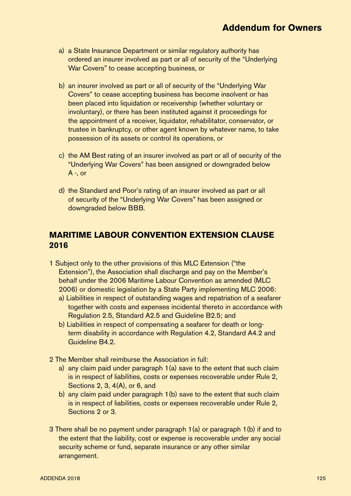- a) a State Insurance Department or similar regulatory authority has ordered an insurer involved as part or all of security of the "Underlying War Covers" to cease accepting business, or
- b) an insurer involved as part or all of security of the "Underlying War Covers" to cease accepting business has become insolvent or has been placed into liquidation or receivership (whether voluntary or involuntary), or there has been instituted against it proceedings for the appointment of a receiver, liquidator, rehabilitator, conservator, or trustee in bankruptcy, or other agent known by whatever name, to take possession of its assets or control its operations, or
- c) the AM Best rating of an insurer involved as part or all of security of the "Underlying War Covers" has been assigned or downgraded below A -, or
- d) the Standard and Poor's rating of an insurer involved as part or all of security of the "Underlying War Covers" has been assigned or downgraded below BBB.

### **MARITIME LABOUR CONVENTION EXTENSION CLAUSE 2016**

- 1 Subject only to the other provisions of this MLC Extension ("the Extension"), the Association shall discharge and pay on the Member's behalf under the 2006 Maritime Labour Convention as amended (MLC 2006) or domestic legislation by a State Party implementing MLC 2006:
	- a) Liabilities in respect of outstanding wages and repatriation of a seafarer together with costs and expenses incidental thereto in accordance with Regulation 2.5, Standard A2.5 and Guideline B2.5; and
	- b) Liabilities in respect of compensating a seafarer for death or longterm disability in accordance with Regulation 4.2, Standard A4.2 and Guideline B4.2.
- 2 The Member shall reimburse the Association in full:
	- a) any claim paid under paragraph 1(a) save to the extent that such claim is in respect of liabilities, costs or expenses recoverable under Rule 2, Sections 2, 3, 4(A), or 6, and
	- b) any claim paid under paragraph 1(b) save to the extent that such claim is in respect of liabilities, costs or expenses recoverable under Rule 2, Sections 2 or 3.
- 3 There shall be no payment under paragraph 1(a) or paragraph 1(b) if and to the extent that the liability, cost or expense is recoverable under any social security scheme or fund, separate insurance or any other similar arrangement.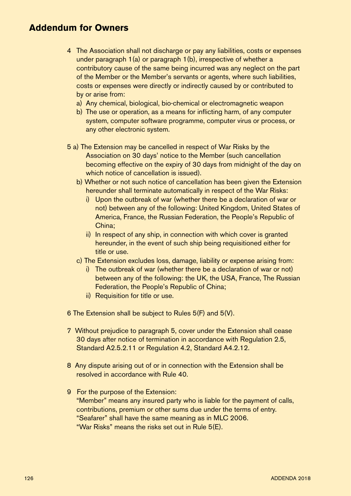- 4 The Association shall not discharge or pay any liabilities, costs or expenses under paragraph 1(a) or paragraph 1(b), irrespective of whether a contributory cause of the same being incurred was any neglect on the part of the Member or the Member's servants or agents, where such liabilities, costs or expenses were directly or indirectly caused by or contributed to by or arise from:
	- a) Any chemical, biological, bio-chemical or electromagnetic weapon
	- b) The use or operation, as a means for inflicting harm, of any computer system, computer software programme, computer virus or process, or any other electronic system.
- 5 a) The Extension may be cancelled in respect of War Risks by the Association on 30 days' notice to the Member (such cancellation becoming effective on the expiry of 30 days from midnight of the day on which notice of cancellation is issued).
	- b) Whether or not such notice of cancellation has been given the Extension hereunder shall terminate automatically in respect of the War Risks:
		- i) Upon the outbreak of war (whether there be a declaration of war or not) between any of the following: United Kingdom, United States of America, France, the Russian Federation, the People's Republic of China;
		- ii) In respect of any ship, in connection with which cover is granted hereunder, in the event of such ship being requisitioned either for title or use.
	- c) The Extension excludes loss, damage, liability or expense arising from:
		- i) The outbreak of war (whether there be a declaration of war or not) between any of the following: the UK, the USA, France, The Russian Federation, the People's Republic of China;
		- ii) Requisition for title or use.
- 6 The Extension shall be subject to Rules 5(F) and 5(V).
- 7 Without prejudice to paragraph 5, cover under the Extension shall cease 30 days after notice of termination in accordance with Regulation 2.5, Standard A2.5.2.11 or Regulation 4.2, Standard A4.2.12.
- 8 Any dispute arising out of or in connection with the Extension shall be resolved in accordance with Rule 40.
- 9 For the purpose of the Extension: "Member" means any insured party who is liable for the payment of calls, contributions, premium or other sums due under the terms of entry. "Seafarer" shall have the same meaning as in MLC 2006. "War Risks" means the risks set out in Rule 5(E).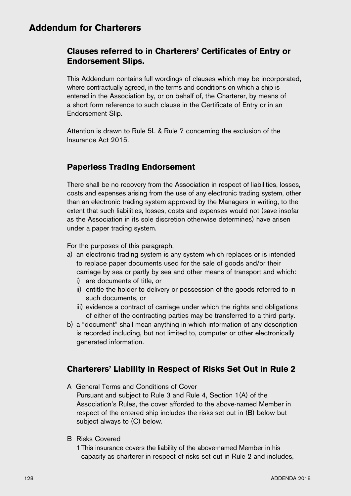### **Clauses referred to in Charterers' Certificates of Entry or Endorsement Slips.**

This Addendum contains full wordings of clauses which may be incorporated, where contractually agreed, in the terms and conditions on which a ship is entered in the Association by, or on behalf of, the Charterer, by means of a short form reference to such clause in the Certificate of Entry or in an Endorsement Slip.

Attention is drawn to Rule 5L & Rule 7 concerning the exclusion of the Insurance Act 2015.

### **Paperless Trading Endorsement**

There shall be no recovery from the Association in respect of liabilities, losses, costs and expenses arising from the use of any electronic trading system, other than an electronic trading system approved by the Managers in writing, to the extent that such liabilities, losses, costs and expenses would not (save insofar as the Association in its sole discretion otherwise determines) have arisen under a paper trading system.

For the purposes of this paragraph,

- a) an electronic trading system is any system which replaces or is intended to replace paper documents used for the sale of goods and/or their carriage by sea or partly by sea and other means of transport and which:
	- i) are documents of title, or
	- ii) entitle the holder to delivery or possession of the goods referred to in such documents, or
	- iii) evidence a contract of carriage under which the rights and obligations of either of the contracting parties may be transferred to a third party.
- b) a "document" shall mean anything in which information of any description is recorded including, but not limited to, computer or other electronically generated information.

### **Charterers' Liability in Respect of Risks Set Out in Rule 2**

A General Terms and Conditions of Cover

Pursuant and subject to Rule 3 and Rule 4, Section 1(A) of the Association's Rules, the cover afforded to the above-named Member in respect of the entered ship includes the risks set out in (B) below but subject always to (C) below.

B Risks Covered

1This insurance covers the liability of the above-named Member in his capacity as charterer in respect of risks set out in Rule 2 and includes,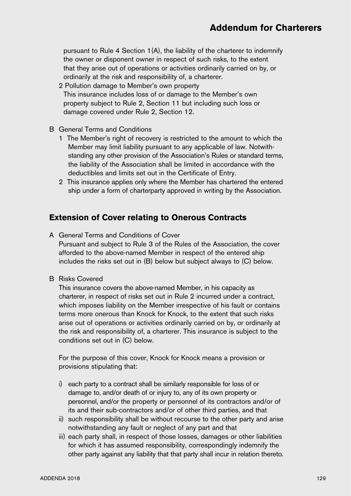pursuant to Rule 4 Section 1(A), the liability of the charterer to indemnify the owner or disponent owner in respect of such risks, to the extent that they arise out of operations or activities ordinarily carried on by, or ordinarily at the risk and responsibility of, a charterer.

- 2 Pollution damage to Member's own property This insurance includes loss of or damage to the Member's own property subject to Rule 2, Section 11 but including such loss or damage covered under Rule 2, Section 12.
- B General Terms and Conditions
	- 1 The Member's right of recovery is restricted to the amount to which the Member may limit liability pursuant to any applicable of law. Notwithstanding any other provision of the Association's Rules or standard terms, the liability of the Association shall be limited in accordance with the deductibles and limits set out in the Certificate of Entry.
	- 2 This insurance applies only where the Member has chartered the entered ship under a form of charterparty approved in writing by the Association.

# **Extension of Cover relating to Onerous Contracts**

A General Terms and Conditions of Cover

Pursuant and subject to Rule 3 of the Rules of the Association, the cover afforded to the above-named Member in respect of the entered ship includes the risks set out in (B) below but subject always to (C) below.

B Risks Covered

This insurance covers the above-named Member, in his capacity as charterer, in respect of risks set out in Rule 2 incurred under a contract, which imposes liability on the Member irrespective of his fault or contains terms more onerous than Knock for Knock, to the extent that such risks arise out of operations or activities ordinarily carried on by, or ordinarily at the risk and responsibility of, a charterer. This insurance is subject to the conditions set out in (C) below.

For the purpose of this cover, Knock for Knock means a provision or provisions stipulating that:

- i) each party to a contract shall be similarly responsible for loss of or damage to, and/or death of or injury to, any of its own property or personnel, and/or the property or personnel of its contractors and/or of its and their sub-contractors and/or of other third parties, and that
- ii) such responsibility shall be without recourse to the other party and arise notwithstanding any fault or neglect of any part and that
- iii) each party shall, in respect of those losses, damages or other liabilities for which it has assumed responsibility, correspondingly indemnify the other party against any liability that that party shall incur in relation thereto.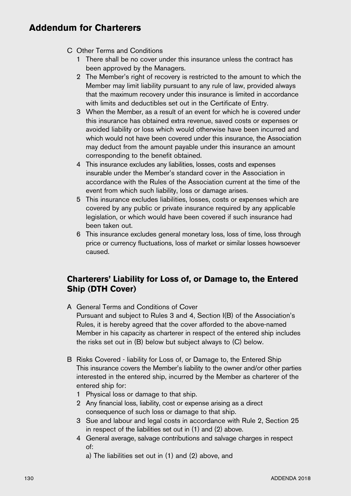- C Other Terms and Conditions
	- 1 There shall be no cover under this insurance unless the contract has been approved by the Managers.
	- 2 The Member's right of recovery is restricted to the amount to which the Member may limit liability pursuant to any rule of law, provided always that the maximum recovery under this insurance is limited in accordance with limits and deductibles set out in the Certificate of Entry.
	- 3 When the Member, as a result of an event for which he is covered under this insurance has obtained extra revenue, saved costs or expenses or avoided liability or loss which would otherwise have been incurred and which would not have been covered under this insurance, the Association may deduct from the amount payable under this insurance an amount corresponding to the benefit obtained.
	- 4 This insurance excludes any liabilities, losses, costs and expenses insurable under the Member's standard cover in the Association in accordance with the Rules of the Association current at the time of the event from which such liability, loss or damage arises.
	- 5 This insurance excludes liabilities, losses, costs or expenses which are covered by any public or private insurance required by any applicable legislation, or which would have been covered if such insurance had been taken out.
	- 6 This insurance excludes general monetary loss, loss of time, loss through price or currency fluctuations, loss of market or similar losses howsoever caused.

### **Charterers' Liability for Loss of, or Damage to, the Entered Ship (DTH Cover)**

- A General Terms and Conditions of Cover Pursuant and subject to Rules 3 and 4, Section I(B) of the Association's Rules, it is hereby agreed that the cover afforded to the above-named Member in his capacity as charterer in respect of the entered ship includes the risks set out in (B) below but subject always to (C) below.
- B Risks Covered liability for Loss of, or Damage to, the Entered Ship This insurance covers the Member's liability to the owner and/or other parties interested in the entered ship, incurred by the Member as charterer of the entered ship for:
	- 1 Physical loss or damage to that ship.
	- 2 Any financial loss, liability, cost or expense arising as a direct consequence of such loss or damage to that ship.
	- 3 Sue and labour and legal costs in accordance with Rule 2, Section 25 in respect of the liabilities set out in (1) and (2) above.
	- 4 General average, salvage contributions and salvage charges in respect of:
		- a) The liabilities set out in (1) and (2) above, and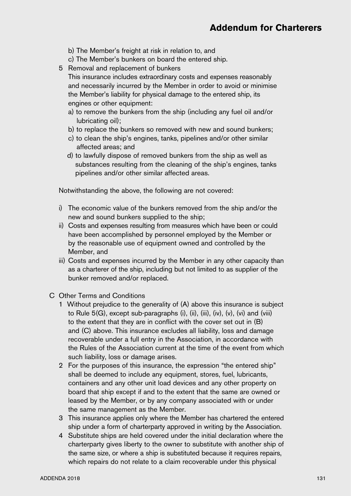- b) The Member's freight at risk in relation to, and
- c) The Member's bunkers on board the entered ship.
- 5 Removal and replacement of bunkers

 This insurance includes extraordinary costs and expenses reasonably and necessarily incurred by the Member in order to avoid or minimise the Member's liability for physical damage to the entered ship, its engines or other equipment:

- a) to remove the bunkers from the ship (including any fuel oil and/or lubricating oil);
- b) to replace the bunkers so removed with new and sound bunkers;
- c) to clean the ship's engines, tanks, pipelines and/or other similar affected areas; and
- d) to lawfully dispose of removed bunkers from the ship as well as substances resulting from the cleaning of the ship's engines, tanks pipelines and/or other similar affected areas.

Notwithstanding the above, the following are not covered:

- i) The economic value of the bunkers removed from the ship and/or the new and sound bunkers supplied to the ship;
- ii) Costs and expenses resulting from measures which have been or could have been accomplished by personnel employed by the Member or by the reasonable use of equipment owned and controlled by the Member, and
- iii) Costs and expenses incurred by the Member in any other capacity than as a charterer of the ship, including but not limited to as supplier of the bunker removed and/or replaced.
- C Other Terms and Conditions
	- 1 Without prejudice to the generality of (A) above this insurance is subject to Rule  $5(G)$ , except sub-paragraphs (i), (ii), (iii), (iv), (v), (vi) and (viii) to the extent that they are in conflict with the cover set out in (B) and (C) above. This insurance excludes all liability, loss and damage recoverable under a full entry in the Association, in accordance with the Rules of the Association current at the time of the event from which such liability, loss or damage arises.
	- 2 For the purposes of this insurance, the expression "the entered ship" shall be deemed to include any equipment, stores, fuel, lubricants, containers and any other unit load devices and any other property on board that ship except if and to the extent that the same are owned or leased by the Member, or by any company associated with or under the same management as the Member.
	- 3 This insurance applies only where the Member has chartered the entered ship under a form of charterparty approved in writing by the Association.
	- 4 Substitute ships are held covered under the initial declaration where the charterparty gives liberty to the owner to substitute with another ship of the same size, or where a ship is substituted because it requires repairs, which repairs do not relate to a claim recoverable under this physical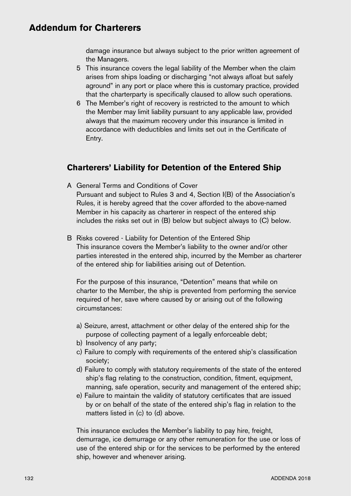damage insurance but always subject to the prior written agreement of the Managers.

- 5 This insurance covers the legal liability of the Member when the claim arises from ships loading or discharging "not always afloat but safely aground" in any port or place where this is customary practice, provided that the charterparty is specifically claused to allow such operations.
- 6 The Member's right of recovery is restricted to the amount to which the Member may limit liability pursuant to any applicable law, provided always that the maximum recovery under this insurance is limited in accordance with deductibles and limits set out in the Certificate of Entry.

### **Charterers' Liability for Detention of the Entered Ship**

A General Terms and Conditions of Cover

Pursuant and subject to Rules 3 and 4, Section I(B) of the Association's Rules, it is hereby agreed that the cover afforded to the above-named Member in his capacity as charterer in respect of the entered ship includes the risks set out in (B) below but subject always to (C) below.

B Risks covered - Liability for Detention of the Entered Ship This insurance covers the Member's liability to the owner and/or other parties interested in the entered ship, incurred by the Member as charterer of the entered ship for liabilities arising out of Detention.

For the purpose of this insurance, "Detention" means that while on charter to the Member, the ship is prevented from performing the service required of her, save where caused by or arising out of the following circumstances:

- a) Seizure, arrest, attachment or other delay of the entered ship for the purpose of collecting payment of a legally enforceable debt;
- b) Insolvency of any party;
- c) Failure to comply with requirements of the entered ship's classification society;
- d) Failure to comply with statutory requirements of the state of the entered ship's flag relating to the construction, condition, fitment, equipment, manning, safe operation, security and management of the entered ship;
- e) Failure to maintain the validity of statutory certificates that are issued by or on behalf of the state of the entered ship's flag in relation to the matters listed in (c) to (d) above.

This insurance excludes the Member's liability to pay hire, freight, demurrage, ice demurrage or any other remuneration for the use or loss of use of the entered ship or for the services to be performed by the entered ship, however and whenever arising.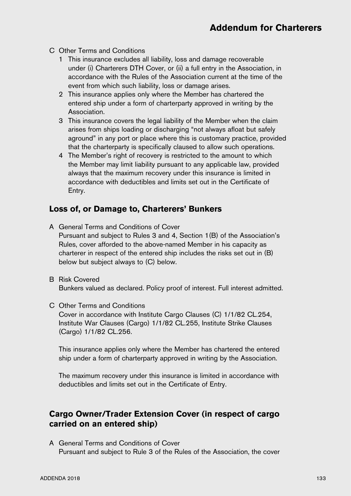- C Other Terms and Conditions
	- 1 This insurance excludes all liability, loss and damage recoverable under (i) Charterers DTH Cover, or (ii) a full entry in the Association, in accordance with the Rules of the Association current at the time of the event from which such liability, loss or damage arises.
	- 2 This insurance applies only where the Member has chartered the entered ship under a form of charterparty approved in writing by the Association.
	- 3 This insurance covers the legal liability of the Member when the claim arises from ships loading or discharging "not always afloat but safely aground" in any port or place where this is customary practice, provided that the charterparty is specifically claused to allow such operations.
	- 4 The Member's right of recovery is restricted to the amount to which the Member may limit liability pursuant to any applicable law, provided always that the maximum recovery under this insurance is limited in accordance with deductibles and limits set out in the Certificate of Entry.

### **Loss of, or Damage to, Charterers' Bunkers**

- A General Terms and Conditions of Cover Pursuant and subject to Rules 3 and 4, Section 1(B) of the Association's Rules, cover afforded to the above-named Member in his capacity as charterer in respect of the entered ship includes the risks set out in (B) below but subject always to (C) below.
- B Risk Covered Bunkers valued as declared. Policy proof of interest. Full interest admitted.
- C Other Terms and Conditions Cover in accordance with Institute Cargo Clauses (C) 1/1/82 CL.254, Institute War Clauses (Cargo) 1/1/82 CL.255, Institute Strike Clauses (Cargo) 1/1/82 CL.256.

This insurance applies only where the Member has chartered the entered ship under a form of charterparty approved in writing by the Association.

The maximum recovery under this insurance is limited in accordance with deductibles and limits set out in the Certificate of Entry.

### **Cargo Owner/Trader Extension Cover (in respect of cargo carried on an entered ship)**

A General Terms and Conditions of Cover Pursuant and subject to Rule 3 of the Rules of the Association, the cover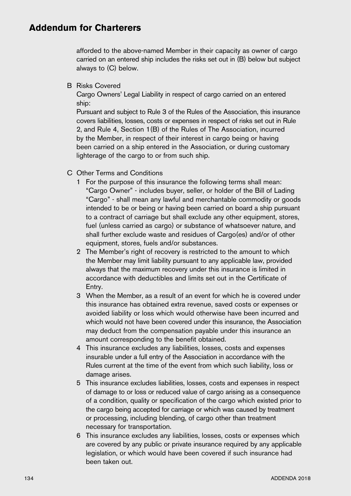afforded to the above-named Member in their capacity as owner of cargo carried on an entered ship includes the risks set out in (B) below but subject always to (C) below.

B Risks Covered

Cargo Owners' Legal Liability in respect of cargo carried on an entered ship:

Pursuant and subject to Rule 3 of the Rules of the Association, this insurance covers liabilities, losses, costs or expenses in respect of risks set out in Rule 2, and Rule 4, Section 1(B) of the Rules of The Association, incurred by the Member, in respect of their interest in cargo being or having been carried on a ship entered in the Association, or during customary lighterage of the cargo to or from such ship.

- C Other Terms and Conditions
	- 1 For the purpose of this insurance the following terms shall mean: "Cargo Owner" - includes buyer, seller, or holder of the Bill of Lading "Cargo" - shall mean any lawful and merchantable commodity or goods intended to be or being or having been carried on board a ship pursuant to a contract of carriage but shall exclude any other equipment, stores, fuel (unless carried as cargo) or substance of whatsoever nature, and shall further exclude waste and residues of Cargo(es) and/or of other equipment, stores, fuels and/or substances.
	- 2 The Member's right of recovery is restricted to the amount to which the Member may limit liability pursuant to any applicable law, provided always that the maximum recovery under this insurance is limited in accordance with deductibles and limits set out in the Certificate of Entry.
	- 3 When the Member, as a result of an event for which he is covered under this insurance has obtained extra revenue, saved costs or expenses or avoided liability or loss which would otherwise have been incurred and which would not have been covered under this insurance, the Association may deduct from the compensation payable under this insurance an amount corresponding to the benefit obtained.
	- 4 This insurance excludes any liabilities, losses, costs and expenses insurable under a full entry of the Association in accordance with the Rules current at the time of the event from which such liability, loss or damage arises.
	- 5 This insurance excludes liabilities, losses, costs and expenses in respect of damage to or loss or reduced value of cargo arising as a consequence of a condition, quality or specification of the cargo which existed prior to the cargo being accepted for carriage or which was caused by treatment or processing, including blending, of cargo other than treatment necessary for transportation.
	- 6 This insurance excludes any liabilities, losses, costs or expenses which are covered by any public or private insurance required by any applicable legislation, or which would have been covered if such insurance had been taken out.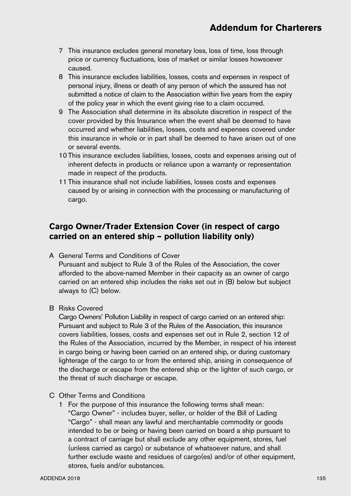- 7 This insurance excludes general monetary loss, loss of time, loss through price or currency fluctuations, loss of market or similar losses howsoever caused.
- 8 This insurance excludes liabilities, losses, costs and expenses in respect of personal injury, illness or death of any person of which the assured has not submitted a notice of claim to the Association within five years from the expiry of the policy year in which the event giving rise to a claim occurred.
- 9 The Association shall determine in its absolute discretion in respect of the cover provided by this Insurance when the event shall be deemed to have occurred and whether liabilities, losses, costs and expenses covered under this insurance in whole or in part shall be deemed to have arisen out of one or several events.
- 10 This insurance excludes liabilities, losses, costs and expenses arising out of inherent defects in products or reliance upon a warranty or representation made in respect of the products.
- 11 This insurance shall not include liabilities, losses costs and expenses caused by or arising in connection with the processing or manufacturing of cargo.

### **Cargo Owner/Trader Extension Cover (in respect of cargo carried on an entered ship – pollution liability only)**

A General Terms and Conditions of Cover

Pursuant and subject to Rule 3 of the Rules of the Association, the cover afforded to the above-named Member in their capacity as an owner of cargo carried on an entered ship includes the risks set out in (B) below but subject always to (C) below.

B Risks Covered

Cargo Owners' Pollution Liability in respect of cargo carried on an entered ship: Pursuant and subject to Rule 3 of the Rules of the Association, this insurance covers liabilities, losses, costs and expenses set out in Rule 2, section 12 of the Rules of the Association, incurred by the Member, in respect of his interest in cargo being or having been carried on an entered ship, or during customary lighterage of the cargo to or from the entered ship, arising in consequence of the discharge or escape from the entered ship or the lighter of such cargo, or the threat of such discharge or escape.

- C Other Terms and Conditions
	- 1 For the purpose of this insurance the following terms shall mean: "Cargo Owner" - includes buyer, seller, or holder of the Bill of Lading "Cargo" - shall mean any lawful and merchantable commodity or goods intended to be or being or having been carried on board a ship pursuant to a contract of carriage but shall exclude any other equipment, stores, fuel (unless carried as cargo) or substance of whatsoever nature, and shall further exclude waste and residues of cargo(es) and/or of other equipment, stores, fuels and/or substances.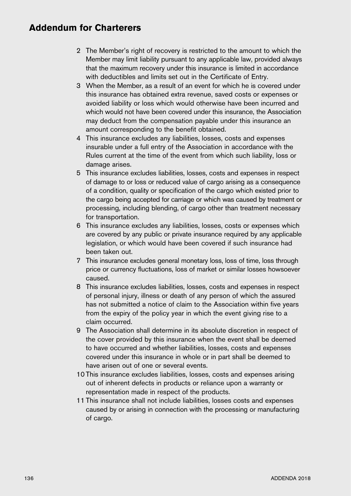- 2 The Member's right of recovery is restricted to the amount to which the Member may limit liability pursuant to any applicable law, provided always that the maximum recovery under this insurance is limited in accordance with deductibles and limits set out in the Certificate of Entry.
- 3 When the Member, as a result of an event for which he is covered under this insurance has obtained extra revenue, saved costs or expenses or avoided liability or loss which would otherwise have been incurred and which would not have been covered under this insurance, the Association may deduct from the compensation payable under this insurance an amount corresponding to the benefit obtained.
- 4 This insurance excludes any liabilities, losses, costs and expenses insurable under a full entry of the Association in accordance with the Rules current at the time of the event from which such liability, loss or damage arises.
- 5 This insurance excludes liabilities, losses, costs and expenses in respect of damage to or loss or reduced value of cargo arising as a consequence of a condition, quality or specification of the cargo which existed prior to the cargo being accepted for carriage or which was caused by treatment or processing, including blending, of cargo other than treatment necessary for transportation.
- 6 This insurance excludes any liabilities, losses, costs or expenses which are covered by any public or private insurance required by any applicable legislation, or which would have been covered if such insurance had been taken out.
- 7 This insurance excludes general monetary loss, loss of time, loss through price or currency fluctuations, loss of market or similar losses howsoever caused.
- 8 This insurance excludes liabilities, losses, costs and expenses in respect of personal injury, illness or death of any person of which the assured has not submitted a notice of claim to the Association within five years from the expiry of the policy year in which the event giving rise to a claim occurred.
- 9 The Association shall determine in its absolute discretion in respect of the cover provided by this insurance when the event shall be deemed to have occurred and whether liabilities, losses, costs and expenses covered under this insurance in whole or in part shall be deemed to have arisen out of one or several events.
- 10 This insurance excludes liabilities, losses, costs and expenses arising out of inherent defects in products or reliance upon a warranty or representation made in respect of the products.
- 11 This insurance shall not include liabilities, losses costs and expenses caused by or arising in connection with the processing or manufacturing of cargo.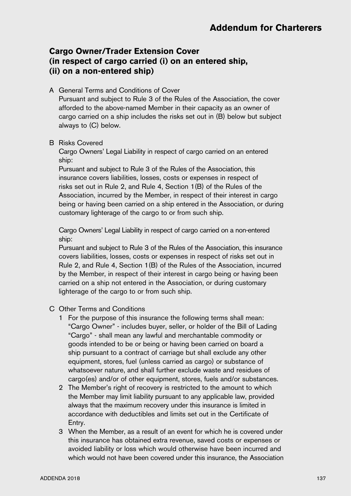## **Cargo Owner/Trader Extension Cover (in respect of cargo carried (i) on an entered ship, (ii) on a non-entered ship)**

A General Terms and Conditions of Cover

Pursuant and subject to Rule 3 of the Rules of the Association, the cover afforded to the above-named Member in their capacity as an owner of cargo carried on a ship includes the risks set out in (B) below but subject always to (C) below.

#### B Risks Covered

Cargo Owners' Legal Liability in respect of cargo carried on an entered ship:

Pursuant and subject to Rule 3 of the Rules of the Association, this insurance covers liabilities, losses, costs or expenses in respect of risks set out in Rule 2, and Rule 4, Section 1(B) of the Rules of the Association, incurred by the Member, in respect of their interest in cargo being or having been carried on a ship entered in the Association, or during customary lighterage of the cargo to or from such ship.

Cargo Owners' Legal Liability in respect of cargo carried on a non-entered ship:

Pursuant and subject to Rule 3 of the Rules of the Association, this insurance covers liabilities, losses, costs or expenses in respect of risks set out in Rule 2, and Rule 4, Section 1(B) of the Rules of the Association, incurred by the Member, in respect of their interest in cargo being or having been carried on a ship not entered in the Association, or during customary lighterage of the cargo to or from such ship.

- C Other Terms and Conditions
	- 1 For the purpose of this insurance the following terms shall mean: "Cargo Owner" - includes buyer, seller, or holder of the Bill of Lading "Cargo" - shall mean any lawful and merchantable commodity or goods intended to be or being or having been carried on board a ship pursuant to a contract of carriage but shall exclude any other equipment, stores, fuel (unless carried as cargo) or substance of whatsoever nature, and shall further exclude waste and residues of cargo(es) and/or of other equipment, stores, fuels and/or substances.
	- 2 The Member's right of recovery is restricted to the amount to which the Member may limit liability pursuant to any applicable law, provided always that the maximum recovery under this insurance is limited in accordance with deductibles and limits set out in the Certificate of Entry.
	- 3 When the Member, as a result of an event for which he is covered under this insurance has obtained extra revenue, saved costs or expenses or avoided liability or loss which would otherwise have been incurred and which would not have been covered under this insurance, the Association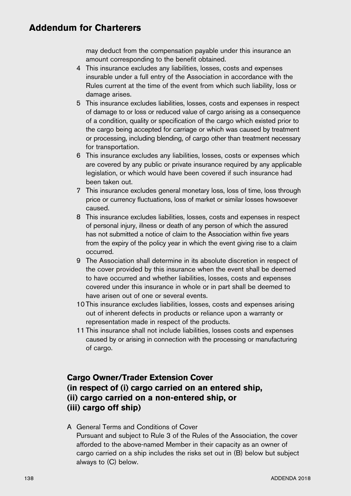may deduct from the compensation payable under this insurance an amount corresponding to the benefit obtained.

- 4 This insurance excludes any liabilities, losses, costs and expenses insurable under a full entry of the Association in accordance with the Rules current at the time of the event from which such liability, loss or damage arises.
- 5 This insurance excludes liabilities, losses, costs and expenses in respect of damage to or loss or reduced value of cargo arising as a consequence of a condition, quality or specification of the cargo which existed prior to the cargo being accepted for carriage or which was caused by treatment or processing, including blending, of cargo other than treatment necessary for transportation.
- 6 This insurance excludes any liabilities, losses, costs or expenses which are covered by any public or private insurance required by any applicable legislation, or which would have been covered if such insurance had been taken out.
- 7 This insurance excludes general monetary loss, loss of time, loss through price or currency fluctuations, loss of market or similar losses howsoever caused.
- 8 This insurance excludes liabilities, losses, costs and expenses in respect of personal injury, illness or death of any person of which the assured has not submitted a notice of claim to the Association within five years from the expiry of the policy year in which the event giving rise to a claim occurred.
- 9 The Association shall determine in its absolute discretion in respect of the cover provided by this insurance when the event shall be deemed to have occurred and whether liabilities, losses, costs and expenses covered under this insurance in whole or in part shall be deemed to have arisen out of one or several events.
- 10 This insurance excludes liabilities, losses, costs and expenses arising out of inherent defects in products or reliance upon a warranty or representation made in respect of the products.
- 11 This insurance shall not include liabilities, losses costs and expenses caused by or arising in connection with the processing or manufacturing of cargo.

# **Cargo Owner/Trader Extension Cover (in respect of (i) cargo carried on an entered ship, (ii) cargo carried on a non-entered ship, or (iii) cargo off ship)**

### A General Terms and Conditions of Cover Pursuant and subject to Rule 3 of the Rules of the Association, the cover afforded to the above-named Member in their capacity as an owner of cargo carried on a ship includes the risks set out in (B) below but subject always to (C) below.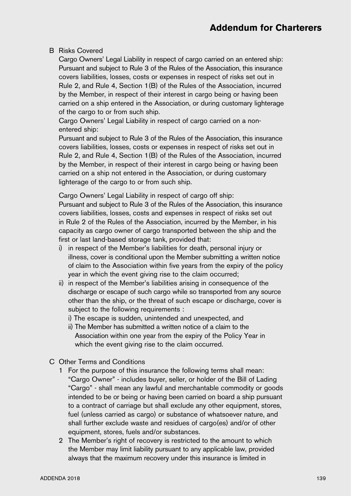#### B Risks Covered

Cargo Owners' Legal Liability in respect of cargo carried on an entered ship: Pursuant and subject to Rule 3 of the Rules of the Association, this insurance covers liabilities, losses, costs or expenses in respect of risks set out in Rule 2, and Rule 4, Section 1(B) of the Rules of the Association, incurred by the Member, in respect of their interest in cargo being or having been carried on a ship entered in the Association, or during customary lighterage of the cargo to or from such ship.

Cargo Owners' Legal Liability in respect of cargo carried on a nonentered ship:

Pursuant and subject to Rule 3 of the Rules of the Association, this insurance covers liabilities, losses, costs or expenses in respect of risks set out in Rule 2, and Rule 4, Section 1(B) of the Rules of the Association, incurred by the Member, in respect of their interest in cargo being or having been carried on a ship not entered in the Association, or during customary lighterage of the cargo to or from such ship.

Cargo Owners' Legal Liability in respect of cargo off ship:

Pursuant and subject to Rule 3 of the Rules of the Association, this insurance covers liabilities, losses, costs and expenses in respect of risks set out in Rule 2 of the Rules of the Association, incurred by the Member, in his capacity as cargo owner of cargo transported between the ship and the first or last land-based storage tank, provided that:

- i) in respect of the Member's liabilities for death, personal injury or illness, cover is conditional upon the Member submitting a written notice of claim to the Association within five years from the expiry of the policy year in which the event giving rise to the claim occurred;
- ii) in respect of the Member's liabilities arising in consequence of the discharge or escape of such cargo while so transported from any source other than the ship, or the threat of such escape or discharge, cover is subject to the following requirements :
	- i) The escape is sudden, unintended and unexpected, and
	- ii) The Member has submitted a written notice of a claim to the Association within one year from the expiry of the Policy Year in which the event giving rise to the claim occurred.
- C Other Terms and Conditions
	- 1 For the purpose of this insurance the following terms shall mean: "Cargo Owner" - includes buyer, seller, or holder of the Bill of Lading "Cargo" - shall mean any lawful and merchantable commodity or goods intended to be or being or having been carried on board a ship pursuant to a contract of carriage but shall exclude any other equipment, stores, fuel (unless carried as cargo) or substance of whatsoever nature, and shall further exclude waste and residues of cargo(es) and/or of other equipment, stores, fuels and/or substances.
	- 2 The Member's right of recovery is restricted to the amount to which the Member may limit liability pursuant to any applicable law, provided always that the maximum recovery under this insurance is limited in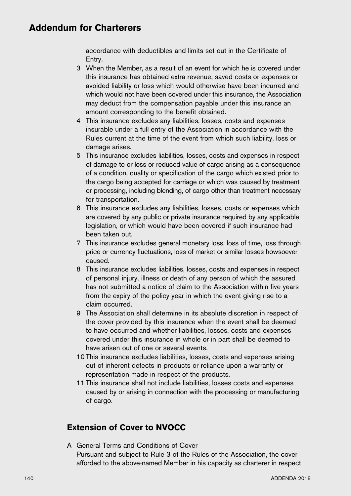accordance with deductibles and limits set out in the Certificate of Entry.

- 3 When the Member, as a result of an event for which he is covered under this insurance has obtained extra revenue, saved costs or expenses or avoided liability or loss which would otherwise have been incurred and which would not have been covered under this insurance, the Association may deduct from the compensation payable under this insurance an amount corresponding to the benefit obtained.
- 4 This insurance excludes any liabilities, losses, costs and expenses insurable under a full entry of the Association in accordance with the Rules current at the time of the event from which such liability, loss or damage arises.
- 5 This insurance excludes liabilities, losses, costs and expenses in respect of damage to or loss or reduced value of cargo arising as a consequence of a condition, quality or specification of the cargo which existed prior to the cargo being accepted for carriage or which was caused by treatment or processing, including blending, of cargo other than treatment necessary for transportation.
- 6 This insurance excludes any liabilities, losses, costs or expenses which are covered by any public or private insurance required by any applicable legislation, or which would have been covered if such insurance had been taken out.
- 7 This insurance excludes general monetary loss, loss of time, loss through price or currency fluctuations, loss of market or similar losses howsoever caused.
- 8 This insurance excludes liabilities, losses, costs and expenses in respect of personal injury, illness or death of any person of which the assured has not submitted a notice of claim to the Association within five years from the expiry of the policy year in which the event giving rise to a claim occurred.
- 9 The Association shall determine in its absolute discretion in respect of the cover provided by this insurance when the event shall be deemed to have occurred and whether liabilities, losses, costs and expenses covered under this insurance in whole or in part shall be deemed to have arisen out of one or several events.
- 10 This insurance excludes liabilities, losses, costs and expenses arising out of inherent defects in products or reliance upon a warranty or representation made in respect of the products.
- 11 This insurance shall not include liabilities, losses costs and expenses caused by or arising in connection with the processing or manufacturing of cargo.

# **Extension of Cover to NVOCC**

A General Terms and Conditions of Cover Pursuant and subject to Rule 3 of the Rules of the Association, the cover afforded to the above-named Member in his capacity as charterer in respect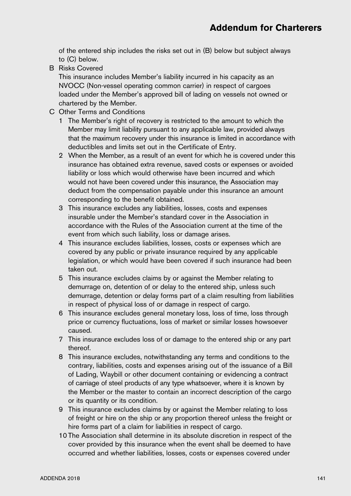of the entered ship includes the risks set out in (B) below but subject always to (C) below.

B Risks Covered

This insurance includes Member's liability incurred in his capacity as an NVOCC (Non-vessel operating common carrier) in respect of cargoes loaded under the Member's approved bill of lading on vessels not owned or chartered by the Member.

- C Other Terms and Conditions
	- 1 The Member's right of recovery is restricted to the amount to which the Member may limit liability pursuant to any applicable law, provided always that the maximum recovery under this insurance is limited in accordance with deductibles and limits set out in the Certificate of Entry.
	- 2 When the Member, as a result of an event for which he is covered under this insurance has obtained extra revenue, saved costs or expenses or avoided liability or loss which would otherwise have been incurred and which would not have been covered under this insurance, the Association may deduct from the compensation payable under this insurance an amount corresponding to the benefit obtained.
	- 3 This insurance excludes any liabilities, losses, costs and expenses insurable under the Member's standard cover in the Association in accordance with the Rules of the Association current at the time of the event from which such liability, loss or damage arises.
	- 4 This insurance excludes liabilities, losses, costs or expenses which are covered by any public or private insurance required by any applicable legislation, or which would have been covered if such insurance had been taken out.
	- 5 This insurance excludes claims by or against the Member relating to demurrage on, detention of or delay to the entered ship, unless such demurrage, detention or delay forms part of a claim resulting from liabilities in respect of physical loss of or damage in respect of cargo.
	- 6 This insurance excludes general monetary loss, loss of time, loss through price or currency fluctuations, loss of market or similar losses howsoever caused.
	- 7 This insurance excludes loss of or damage to the entered ship or any part thereof.
	- 8 This insurance excludes, notwithstanding any terms and conditions to the contrary, liabilities, costs and expenses arising out of the issuance of a Bill of Lading, Waybill or other document containing or evidencing a contract of carriage of steel products of any type whatsoever, where it is known by the Member or the master to contain an incorrect description of the cargo or its quantity or its condition.
	- 9 This insurance excludes claims by or against the Member relating to loss of freight or hire on the ship or any proportion thereof unless the freight or hire forms part of a claim for liabilities in respect of cargo.
	- 10 The Association shall determine in its absolute discretion in respect of the cover provided by this insurance when the event shall be deemed to have occurred and whether liabilities, losses, costs or expenses covered under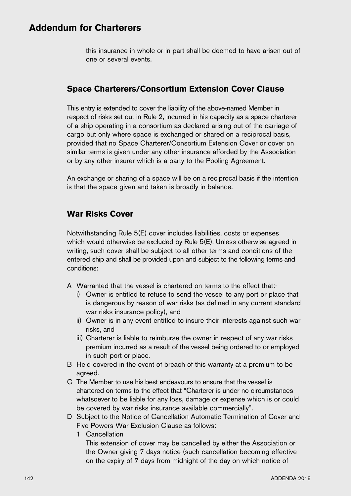this insurance in whole or in part shall be deemed to have arisen out of one or several events.

### **Space Charterers/Consortium Extension Cover Clause**

This entry is extended to cover the liability of the above-named Member in respect of risks set out in Rule 2, incurred in his capacity as a space charterer of a ship operating in a consortium as declared arising out of the carriage of cargo but only where space is exchanged or shared on a reciprocal basis, provided that no Space Charterer/Consortium Extension Cover or cover on similar terms is given under any other insurance afforded by the Association or by any other insurer which is a party to the Pooling Agreement.

An exchange or sharing of a space will be on a reciprocal basis if the intention is that the space given and taken is broadly in balance.

### **War Risks Cover**

Notwithstanding Rule 5(E) cover includes liabilities, costs or expenses which would otherwise be excluded by Rule 5(E). Unless otherwise agreed in writing, such cover shall be subject to all other terms and conditions of the entered ship and shall be provided upon and subject to the following terms and conditions:

- A Warranted that the vessel is chartered on terms to the effect that:
	- i) Owner is entitled to refuse to send the vessel to any port or place that is dangerous by reason of war risks (as defined in any current standard war risks insurance policy), and
	- ii) Owner is in any event entitled to insure their interests against such war risks, and
	- iii) Charterer is liable to reimburse the owner in respect of any war risks premium incurred as a result of the vessel being ordered to or employed in such port or place.
- B Held covered in the event of breach of this warranty at a premium to be agreed.
- C The Member to use his best endeavours to ensure that the vessel is chartered on terms to the effect that "Charterer is under no circumstances whatsoever to be liable for any loss, damage or expense which is or could be covered by war risks insurance available commercially".
- D Subject to the Notice of Cancellation Automatic Termination of Cover and Five Powers War Exclusion Clause as follows:
	- 1 Cancellation

 This extension of cover may be cancelled by either the Association or the Owner giving 7 days notice (such cancellation becoming effective on the expiry of 7 days from midnight of the day on which notice of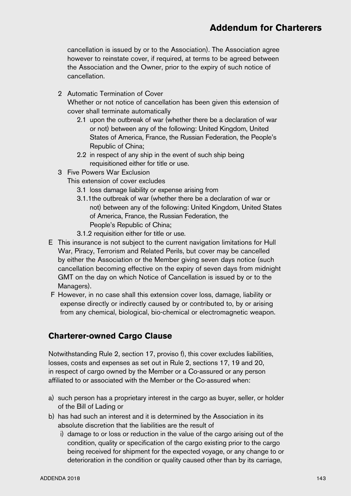# **Addendum for Charterers**

cancellation is issued by or to the Association). The Association agree however to reinstate cover, if required, at terms to be agreed between the Association and the Owner, prior to the expiry of such notice of cancellation.

2 Automatic Termination of Cover

 Whether or not notice of cancellation has been given this extension of cover shall terminate automatically

- 2.1 upon the outbreak of war (whether there be a declaration of war or not) between any of the following: United Kingdom, United States of America, France, the Russian Federation, the People's Republic of China;
- 2.2 in respect of any ship in the event of such ship being requisitioned either for title or use.
- 3 Five Powers War Exclusion
	- This extension of cover excludes
		- 3.1 loss damage liability or expense arising from
		- 3.1.1the outbreak of war (whether there be a declaration of war or not) between any of the following: United Kingdom, United States of America, France, the Russian Federation, the People's Republic of China;
		- 3.1.2 requisition either for title or use.
- E This insurance is not subject to the current navigation limitations for Hull War, Piracy, Terrorism and Related Perils, but cover may be cancelled by either the Association or the Member giving seven days notice (such cancellation becoming effective on the expiry of seven days from midnight GMT on the day on which Notice of Cancellation is issued by or to the Managers).
- F However, in no case shall this extension cover loss, damage, liability or expense directly or indirectly caused by or contributed to, by or arising from any chemical, biological, bio-chemical or electromagnetic weapon.

#### **Charterer-owned Cargo Clause**

Notwithstanding Rule 2, section 17, proviso f), this cover excludes liabilities, losses, costs and expenses as set out in Rule 2, sections 17, 19 and 20, in respect of cargo owned by the Member or a Co-assured or any person affiliated to or associated with the Member or the Co-assured when:

- a) such person has a proprietary interest in the cargo as buyer, seller, or holder of the Bill of Lading or
- b) has had such an interest and it is determined by the Association in its absolute discretion that the liabilities are the result of
	- i) damage to or loss or reduction in the value of the cargo arising out of the condition, quality or specification of the cargo existing prior to the cargo being received for shipment for the expected voyage, or any change to or deterioration in the condition or quality caused other than by its carriage,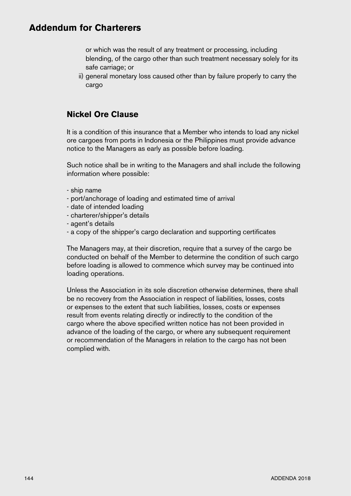## **Addendum for Charterers**

or which was the result of any treatment or processing, including blending, of the cargo other than such treatment necessary solely for its safe carriage; or

ii) general monetary loss caused other than by failure properly to carry the cargo

#### **Nickel Ore Clause**

It is a condition of this insurance that a Member who intends to load any nickel ore cargoes from ports in Indonesia or the Philippines must provide advance notice to the Managers as early as possible before loading.

Such notice shall be in writing to the Managers and shall include the following information where possible:

- ship name
- port/anchorage of loading and estimated time of arrival
- date of intended loading
- charterer/shipper's details
- agent's details
- a copy of the shipper's cargo declaration and supporting certificates

The Managers may, at their discretion, require that a survey of the cargo be conducted on behalf of the Member to determine the condition of such cargo before loading is allowed to commence which survey may be continued into loading operations.

Unless the Association in its sole discretion otherwise determines, there shall be no recovery from the Association in respect of liabilities, losses, costs or expenses to the extent that such liabilities, losses, costs or expenses result from events relating directly or indirectly to the condition of the cargo where the above specified written notice has not been provided in advance of the loading of the cargo, or where any subsequent requirement or recommendation of the Managers in relation to the cargo has not been complied with.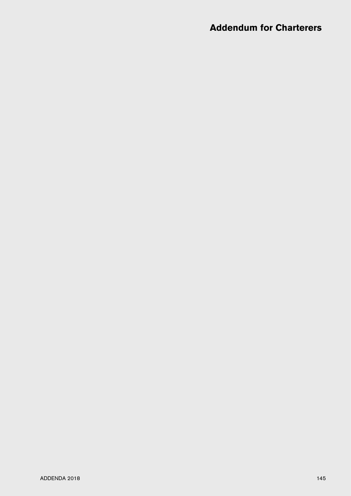# **Addendum for Charterers**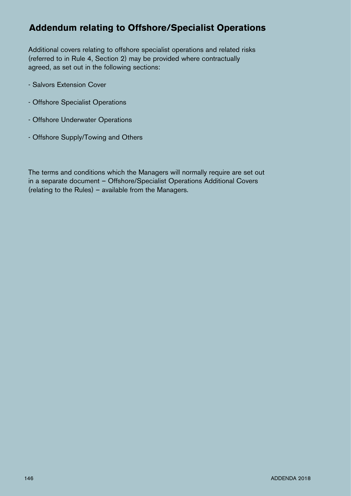# **Addendum relating to Offshore/Specialist Operations**

Additional covers relating to offshore specialist operations and related risks (referred to in Rule 4, Section 2) may be provided where contractually agreed, as set out in the following sections:

- Salvors Extension Cover
- Offshore Specialist Operations
- Offshore Underwater Operations
- Offshore Supply/Towing and Others

The terms and conditions which the Managers will normally require are set out in a separate document – Offshore/Specialist Operations Additional Covers (relating to the Rules) – available from the Managers.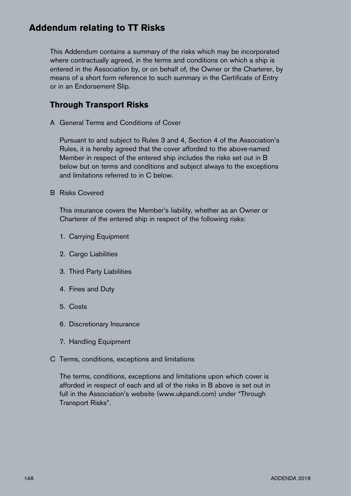# **Addendum relating to TT Risks**

This Addendum contains a summary of the risks which may be incorporated where contractually agreed, in the terms and conditions on which a ship is entered in the Association by, or on behalf of, the Owner or the Charterer, by means of a short form reference to such summary in the Certificate of Entry or in an Endorsement Slip.

#### **Through Transport Risks**

A General Terms and Conditions of Cover

Pursuant to and subject to Rules 3 and 4, Section 4 of the Association's Rules, it is hereby agreed that the cover afforded to the above-named Member in respect of the entered ship includes the risks set out in B below but on terms and conditions and subject always to the exceptions and limitations referred to in C below.

B Risks Covered

This insurance covers the Member's liability, whether as an Owner or Charterer of the entered ship in respect of the following risks:

- 1. Carrying Equipment
- 2. Cargo Liabilities
- 3. Third Party Liabilities
- 4. Fines and Duty
- 5. Costs
- 6. Discretionary Insurance
- 7. Handling Equipment
- C Terms, conditions, exceptions and limitations

The terms, conditions, exceptions and limitations upon which cover is afforded in respect of each and all of the risks in B above is set out in full in the Association's website (www.ukpandi.com) under "Through Transport Risks".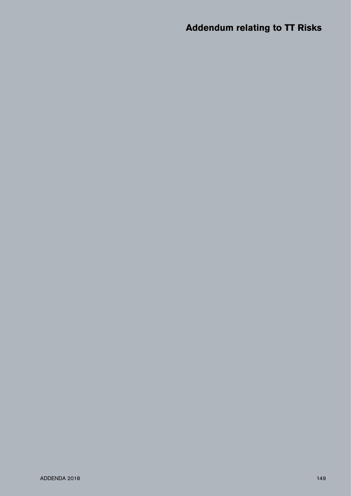# **Addendum relating to TT Risks**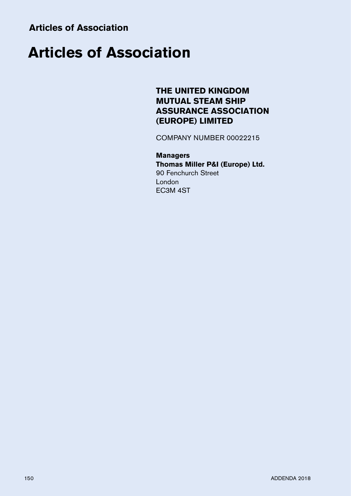# **THE UNITED KINGDOM MUTUAL STEAM SHIP ASSURANCE ASSOCIATION (EUROPE) LIMITED**

COMPANY NUMBER 00022215

#### **Managers Thomas Miller P&I (Europe) Ltd.** 90 Fenchurch Street London EC3M 4ST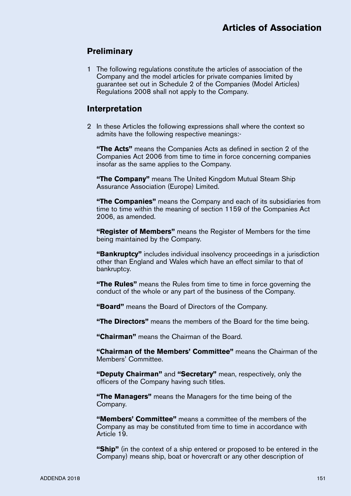#### **Preliminary**

1 The following regulations constitute the articles of association of the Company and the model articles for private companies limited by guarantee set out in Schedule 2 of the Companies (Model Articles) Regulations 2008 shall not apply to the Company.

#### **Interpretation**

2 In these Articles the following expressions shall where the context so admits have the following respective meanings:-

**"The Acts"** means the Companies Acts as defined in section 2 of the Companies Act 2006 from time to time in force concerning companies insofar as the same applies to the Company.

**"The Company"** means The United Kingdom Mutual Steam Ship Assurance Association (Europe) Limited.

**"The Companies"** means the Company and each of its subsidiaries from time to time within the meaning of section 1159 of the Companies Act 2006, as amended.

**"Register of Members"** means the Register of Members for the time being maintained by the Company.

**"Bankruptcy"** includes individual insolvency proceedings in a jurisdiction other than England and Wales which have an effect similar to that of bankruptcy.

**"The Rules"** means the Rules from time to time in force governing the conduct of the whole or any part of the business of the Company.

**"Board"** means the Board of Directors of the Company.

**"The Directors"** means the members of the Board for the time being.

**"Chairman"** means the Chairman of the Board.

**"Chairman of the Members' Committee"** means the Chairman of the Members' Committee.

**"Deputy Chairman"** and **"Secretary"** mean, respectively, only the officers of the Company having such titles.

**"The Managers"** means the Managers for the time being of the Company.

**"Members' Committee"** means a committee of the members of the Company as may be constituted from time to time in accordance with Article 19.

**"Ship"** (in the context of a ship entered or proposed to be entered in the Company) means ship, boat or hovercraft or any other description of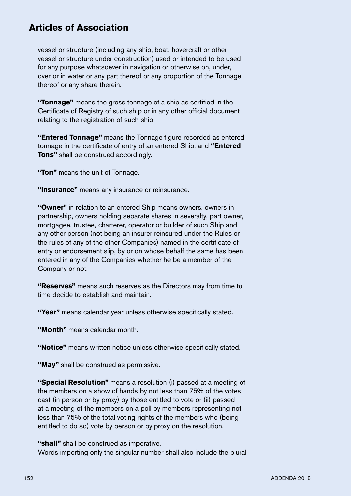vessel or structure (including any ship, boat, hovercraft or other vessel or structure under construction) used or intended to be used for any purpose whatsoever in navigation or otherwise on, under, over or in water or any part thereof or any proportion of the Tonnage thereof or any share therein.

**"Tonnage"** means the gross tonnage of a ship as certified in the Certificate of Registry of such ship or in any other official document relating to the registration of such ship.

**"Entered Tonnage"** means the Tonnage figure recorded as entered tonnage in the certificate of entry of an entered Ship, and **"Entered Tons"** shall be construed accordingly.

**"Ton"** means the unit of Tonnage.

**"Insurance"** means any insurance or reinsurance.

**"Owner"** in relation to an entered Ship means owners, owners in partnership, owners holding separate shares in severalty, part owner, mortgagee, trustee, charterer, operator or builder of such Ship and any other person (not being an insurer reinsured under the Rules or the rules of any of the other Companies) named in the certificate of entry or endorsement slip, by or on whose behalf the same has been entered in any of the Companies whether he be a member of the Company or not.

**"Reserves"** means such reserves as the Directors may from time to time decide to establish and maintain.

**"Year"** means calendar year unless otherwise specifically stated.

**"Month"** means calendar month.

**"Notice"** means written notice unless otherwise specifically stated.

**"May"** shall be construed as permissive.

**"Special Resolution"** means a resolution (i) passed at a meeting of the members on a show of hands by not less than 75% of the votes cast (in person or by proxy) by those entitled to vote or (ii) passed at a meeting of the members on a poll by members representing not less than 75% of the total voting rights of the members who (being entitled to do so) vote by person or by proxy on the resolution.

**"shall"** shall be construed as imperative. Words importing only the singular number shall also include the plural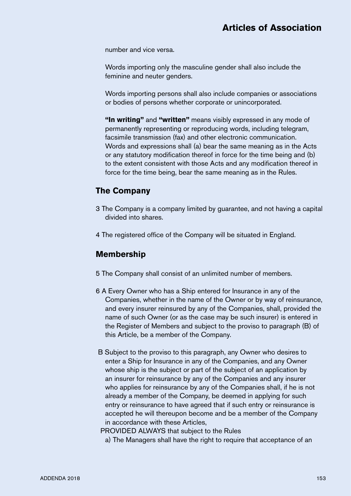number and vice versa.

Words importing only the masculine gender shall also include the feminine and neuter genders.

Words importing persons shall also include companies or associations or bodies of persons whether corporate or unincorporated.

**"In writing"** and **"written"** means visibly expressed in any mode of permanently representing or reproducing words, including telegram, facsimile transmission (fax) and other electronic communication. Words and expressions shall (a) bear the same meaning as in the Acts or any statutory modification thereof in force for the time being and (b) to the extent consistent with those Acts and any modification thereof in force for the time being, bear the same meaning as in the Rules.

#### **The Company**

- 3 The Company is a company limited by guarantee, and not having a capital divided into shares.
- 4 The registered office of the Company will be situated in England.

#### **Membership**

- 5 The Company shall consist of an unlimited number of members.
- 6 A Every Owner who has a Ship entered for Insurance in any of the Companies, whether in the name of the Owner or by way of reinsurance, and every insurer reinsured by any of the Companies, shall, provided the name of such Owner (or as the case may be such insurer) is entered in the Register of Members and subject to the proviso to paragraph (B) of this Article, be a member of the Company.
- B Subject to the proviso to this paragraph, any Owner who desires to enter a Ship for Insurance in any of the Companies, and any Owner whose ship is the subject or part of the subject of an application by an insurer for reinsurance by any of the Companies and any insurer who applies for reinsurance by any of the Companies shall, if he is not already a member of the Company, be deemed in applying for such entry or reinsurance to have agreed that if such entry or reinsurance is accepted he will thereupon become and be a member of the Company in accordance with these Articles,

PROVIDED ALWAYS that subject to the Rules

a) The Managers shall have the right to require that acceptance of an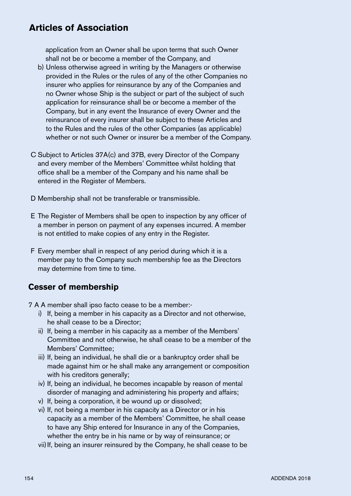application from an Owner shall be upon terms that such Owner shall not be or become a member of the Company, and

- b) Unless otherwise agreed in writing by the Managers or otherwise provided in the Rules or the rules of any of the other Companies no insurer who applies for reinsurance by any of the Companies and no Owner whose Ship is the subject or part of the subject of such application for reinsurance shall be or become a member of the Company, but in any event the Insurance of every Owner and the reinsurance of every insurer shall be subject to these Articles and to the Rules and the rules of the other Companies (as applicable) whether or not such Owner or insurer be a member of the Company.
- C Subject to Articles 37A(c) and 37B, every Director of the Company and every member of the Members' Committee whilst holding that office shall be a member of the Company and his name shall be entered in the Register of Members.
- D Membership shall not be transferable or transmissible.
- E The Register of Members shall be open to inspection by any officer of a member in person on payment of any expenses incurred. A member is not entitled to make copies of any entry in the Register.
- F Every member shall in respect of any period during which it is a member pay to the Company such membership fee as the Directors may determine from time to time.

## **Cesser of membership**

7 A A member shall ipso facto cease to be a member:-

- i) If, being a member in his capacity as a Director and not otherwise, he shall cease to be a Director;
- ii) If, being a member in his capacity as a member of the Members' Committee and not otherwise, he shall cease to be a member of the Members' Committee;
- iii) If, being an individual, he shall die or a bankruptcy order shall be made against him or he shall make any arrangement or composition with his creditors generally;
- iv) If, being an individual, he becomes incapable by reason of mental disorder of managing and administering his property and affairs;
- v) If, being a corporation, it be wound up or dissolved;
- vi) If, not being a member in his capacity as a Director or in his capacity as a member of the Members' Committee, he shall cease to have any Ship entered for Insurance in any of the Companies, whether the entry be in his name or by way of reinsurance; or
- vii)If, being an insurer reinsured by the Company, he shall cease to be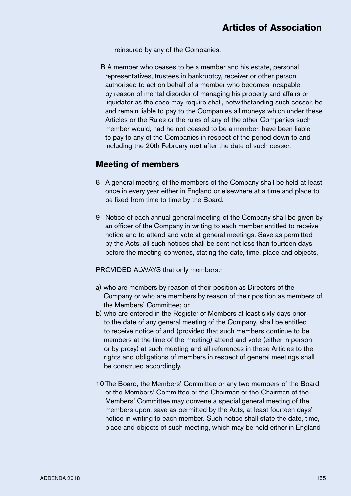reinsured by any of the Companies.

B A member who ceases to be a member and his estate, personal representatives, trustees in bankruptcy, receiver or other person authorised to act on behalf of a member who becomes incapable by reason of mental disorder of managing his property and affairs or liquidator as the case may require shall, notwithstanding such cesser, be and remain liable to pay to the Companies all moneys which under these Articles or the Rules or the rules of any of the other Companies such member would, had he not ceased to be a member, have been liable to pay to any of the Companies in respect of the period down to and including the 20th February next after the date of such cesser.

#### **Meeting of members**

- 8 A general meeting of the members of the Company shall be held at least once in every year either in England or elsewhere at a time and place to be fixed from time to time by the Board.
- 9 Notice of each annual general meeting of the Company shall be given by an officer of the Company in writing to each member entitled to receive notice and to attend and vote at general meetings. Save as permitted by the Acts, all such notices shall be sent not less than fourteen days before the meeting convenes, stating the date, time, place and objects,

PROVIDED ALWAYS that only members:-

- a) who are members by reason of their position as Directors of the Company or who are members by reason of their position as members of the Members' Committee; or
- b) who are entered in the Register of Members at least sixty days prior to the date of any general meeting of the Company, shall be entitled to receive notice of and (provided that such members continue to be members at the time of the meeting) attend and vote (either in person or by proxy) at such meeting and all references in these Articles to the rights and obligations of members in respect of general meetings shall be construed accordingly.
- 10 The Board, the Members' Committee or any two members of the Board or the Members' Committee or the Chairman or the Chairman of the Members' Committee may convene a special general meeting of the members upon, save as permitted by the Acts, at least fourteen days' notice in writing to each member. Such notice shall state the date, time, place and objects of such meeting, which may be held either in England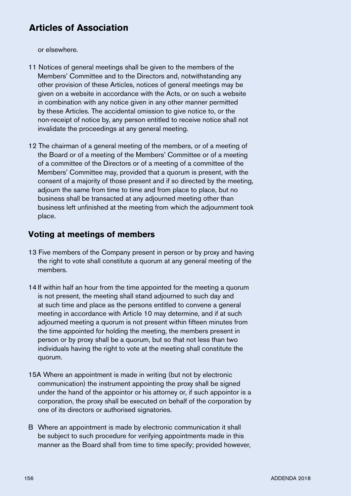or elsewhere.

- 11 Notices of general meetings shall be given to the members of the Members' Committee and to the Directors and, notwithstanding any other provision of these Articles, notices of general meetings may be given on a website in accordance with the Acts, or on such a website in combination with any notice given in any other manner permitted by these Articles. The accidental omission to give notice to, or the non-receipt of notice by, any person entitled to receive notice shall not invalidate the proceedings at any general meeting.
- 12 The chairman of a general meeting of the members, or of a meeting of the Board or of a meeting of the Members' Committee or of a meeting of a committee of the Directors or of a meeting of a committee of the Members' Committee may, provided that a quorum is present, with the consent of a majority of those present and if so directed by the meeting, adjourn the same from time to time and from place to place, but no business shall be transacted at any adjourned meeting other than business left unfinished at the meeting from which the adjournment took place.

## **Voting at meetings of members**

- 13 Five members of the Company present in person or by proxy and having the right to vote shall constitute a quorum at any general meeting of the members.
- 14 If within half an hour from the time appointed for the meeting a quorum is not present, the meeting shall stand adjourned to such day and at such time and place as the persons entitled to convene a general meeting in accordance with Article 10 may determine, and if at such adjourned meeting a quorum is not present within fifteen minutes from the time appointed for holding the meeting, the members present in person or by proxy shall be a quorum, but so that not less than two individuals having the right to vote at the meeting shall constitute the quorum.
- 15A Where an appointment is made in writing (but not by electronic communication) the instrument appointing the proxy shall be signed under the hand of the appointor or his attorney or, if such appointor is a corporation, the proxy shall be executed on behalf of the corporation by one of its directors or authorised signatories.
- B Where an appointment is made by electronic communication it shall be subject to such procedure for verifying appointments made in this manner as the Board shall from time to time specify; provided however,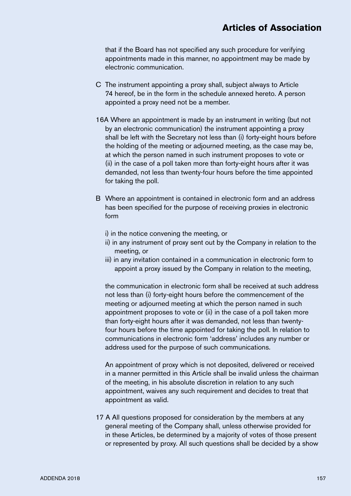that if the Board has not specified any such procedure for verifying appointments made in this manner, no appointment may be made by electronic communication.

- C The instrument appointing a proxy shall, subject always to Article 74 hereof, be in the form in the schedule annexed hereto. A person appointed a proxy need not be a member.
- 16A Where an appointment is made by an instrument in writing (but not by an electronic communication) the instrument appointing a proxy shall be left with the Secretary not less than (i) forty-eight hours before the holding of the meeting or adjourned meeting, as the case may be, at which the person named in such instrument proposes to vote or (ii) in the case of a poll taken more than forty-eight hours after it was demanded, not less than twenty-four hours before the time appointed for taking the poll.
- B Where an appointment is contained in electronic form and an address has been specified for the purpose of receiving proxies in electronic form
	- i) in the notice convening the meeting, or
	- ii) in any instrument of proxy sent out by the Company in relation to the meeting, or
	- iii) in any invitation contained in a communication in electronic form to appoint a proxy issued by the Company in relation to the meeting,

the communication in electronic form shall be received at such address not less than (i) forty-eight hours before the commencement of the meeting or adjourned meeting at which the person named in such appointment proposes to vote or (ii) in the case of a poll taken more than forty-eight hours after it was demanded, not less than twentyfour hours before the time appointed for taking the poll. In relation to communications in electronic form 'address' includes any number or address used for the purpose of such communications.

An appointment of proxy which is not deposited, delivered or received in a manner permitted in this Article shall be invalid unless the chairman of the meeting, in his absolute discretion in relation to any such appointment, waives any such requirement and decides to treat that appointment as valid.

17 A All questions proposed for consideration by the members at any general meeting of the Company shall, unless otherwise provided for in these Articles, be determined by a majority of votes of those present or represented by proxy. All such questions shall be decided by a show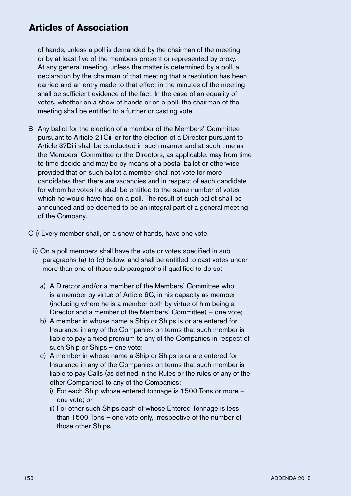of hands, unless a poll is demanded by the chairman of the meeting or by at least five of the members present or represented by proxy. At any general meeting, unless the matter is determined by a poll, a declaration by the chairman of that meeting that a resolution has been carried and an entry made to that effect in the minutes of the meeting shall be sufficient evidence of the fact. In the case of an equality of votes, whether on a show of hands or on a poll, the chairman of the meeting shall be entitled to a further or casting vote.

- B Any ballot for the election of a member of the Members' Committee pursuant to Article 21Ciii or for the election of a Director pursuant to Article 37Diii shall be conducted in such manner and at such time as the Members' Committee or the Directors, as applicable, may from time to time decide and may be by means of a postal ballot or otherwise provided that on such ballot a member shall not vote for more candidates than there are vacancies and in respect of each candidate for whom he votes he shall be entitled to the same number of votes which he would have had on a poll. The result of such ballot shall be announced and be deemed to be an integral part of a general meeting of the Company.
- C i) Every member shall, on a show of hands, have one vote.
	- ii) On a poll members shall have the vote or votes specified in sub paragraphs (a) to (c) below, and shall be entitled to cast votes under more than one of those sub-paragraphs if qualified to do so:
		- a) A Director and/or a member of the Members' Committee who is a member by virtue of Article 6C, in his capacity as member (including where he is a member both by virtue of him being a Director and a member of the Members' Committee) – one vote;
		- b) A member in whose name a Ship or Ships is or are entered for Insurance in any of the Companies on terms that such member is liable to pay a fixed premium to any of the Companies in respect of such Ship or Ships – one vote;
		- c) A member in whose name a Ship or Ships is or are entered for Insurance in any of the Companies on terms that such member is liable to pay Calls (as defined in the Rules or the rules of any of the other Companies) to any of the Companies:
			- i) For each Ship whose entered tonnage is 1500 Tons or more one vote; or
			- ii) For other such Ships each of whose Entered Tonnage is less than 1500 Tons – one vote only, irrespective of the number of those other Ships.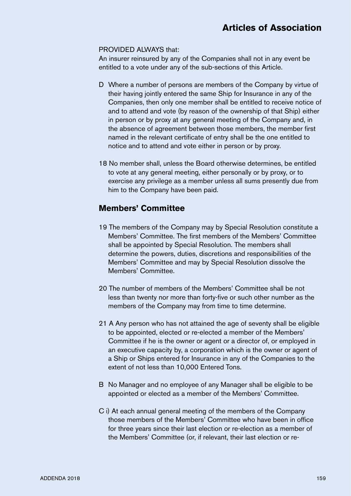#### PROVIDED ALWAYS that:

An insurer reinsured by any of the Companies shall not in any event be entitled to a vote under any of the sub-sections of this Article.

- D Where a number of persons are members of the Company by virtue of their having jointly entered the same Ship for Insurance in any of the Companies, then only one member shall be entitled to receive notice of and to attend and vote (by reason of the ownership of that Ship) either in person or by proxy at any general meeting of the Company and, in the absence of agreement between those members, the member first named in the relevant certificate of entry shall be the one entitled to notice and to attend and vote either in person or by proxy.
- 18 No member shall, unless the Board otherwise determines, be entitled to vote at any general meeting, either personally or by proxy, or to exercise any privilege as a member unless all sums presently due from him to the Company have been paid.

#### **Members' Committee**

- 19 The members of the Company may by Special Resolution constitute a Members' Committee. The first members of the Members' Committee shall be appointed by Special Resolution. The members shall determine the powers, duties, discretions and responsibilities of the Members' Committee and may by Special Resolution dissolve the Members' Committee.
- 20 The number of members of the Members' Committee shall be not less than twenty nor more than forty-five or such other number as the members of the Company may from time to time determine.
- 21 A Any person who has not attained the age of seventy shall be eligible to be appointed, elected or re-elected a member of the Members' Committee if he is the owner or agent or a director of, or employed in an executive capacity by, a corporation which is the owner or agent of a Ship or Ships entered for Insurance in any of the Companies to the extent of not less than 10,000 Entered Tons.
- B No Manager and no employee of any Manager shall be eligible to be appointed or elected as a member of the Members' Committee.
- C i) At each annual general meeting of the members of the Company those members of the Members' Committee who have been in office for three years since their last election or re-election as a member of the Members' Committee (or, if relevant, their last election or re-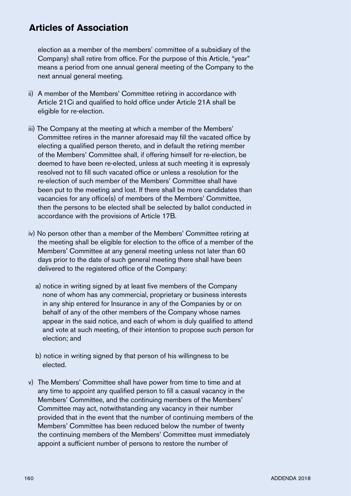election as a member of the members' committee of a subsidiary of the Company) shall retire from office. For the purpose of this Article, "year" means a period from one annual general meeting of the Company to the next annual general meeting.

- ii) A member of the Members' Committee retiring in accordance with Article 21Ci and qualified to hold office under Article 21A shall be eligible for re-election.
- iii) The Company at the meeting at which a member of the Members' Committee retires in the manner aforesaid may fill the vacated office by electing a qualified person thereto, and in default the retiring member of the Members' Committee shall, if offering himself for re-election, be deemed to have been re-elected, unless at such meeting it is expressly resolved not to fill such vacated office or unless a resolution for the re-election of such member of the Members' Committee shall have been put to the meeting and lost. If there shall be more candidates than vacancies for any office(s) of members of the Members' Committee, then the persons to be elected shall be selected by ballot conducted in accordance with the provisions of Article 17B.
- iv) No person other than a member of the Members' Committee retiring at the meeting shall be eligible for election to the office of a member of the Members' Committee at any general meeting unless not later than 60 days prior to the date of such general meeting there shall have been delivered to the registered office of the Company:
	- a) notice in writing signed by at least five members of the Company none of whom has any commercial, proprietary or business interests in any ship entered for Insurance in any of the Companies by or on behalf of any of the other members of the Company whose names appear in the said notice, and each of whom is duly qualified to attend and vote at such meeting, of their intention to propose such person for election; and
	- b) notice in writing signed by that person of his willingness to be elected.
- v) The Members' Committee shall have power from time to time and at any time to appoint any qualified person to fill a casual vacancy in the Members' Committee, and the continuing members of the Members' Committee may act, notwithstanding any vacancy in their number provided that in the event that the number of continuing members of the Members' Committee has been reduced below the number of twenty the continuing members of the Members' Committee must immediately appoint a sufficient number of persons to restore the number of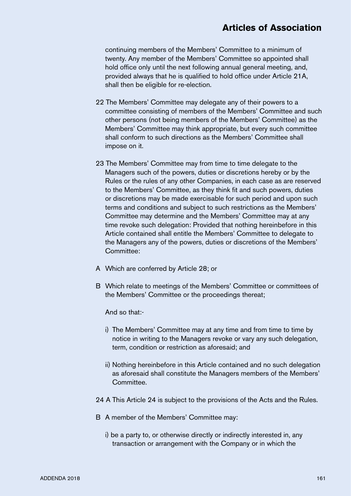continuing members of the Members' Committee to a minimum of twenty. Any member of the Members' Committee so appointed shall hold office only until the next following annual general meeting, and, provided always that he is qualified to hold office under Article 21A, shall then be eligible for re-election.

- 22 The Members' Committee may delegate any of their powers to a committee consisting of members of the Members' Committee and such other persons (not being members of the Members' Committee) as the Members' Committee may think appropriate, but every such committee shall conform to such directions as the Members' Committee shall impose on it.
- 23 The Members' Committee may from time to time delegate to the Managers such of the powers, duties or discretions hereby or by the Rules or the rules of any other Companies, in each case as are reserved to the Members' Committee, as they think fit and such powers, duties or discretions may be made exercisable for such period and upon such terms and conditions and subject to such restrictions as the Members' Committee may determine and the Members' Committee may at any time revoke such delegation: Provided that nothing hereinbefore in this Article contained shall entitle the Members' Committee to delegate to the Managers any of the powers, duties or discretions of the Members' Committee:
- A Which are conferred by Article 28; or
- B Which relate to meetings of the Members' Committee or committees of the Members' Committee or the proceedings thereat;

And so that:-

- i) The Members' Committee may at any time and from time to time by notice in writing to the Managers revoke or vary any such delegation, term, condition or restriction as aforesaid; and
- ii) Nothing hereinbefore in this Article contained and no such delegation as aforesaid shall constitute the Managers members of the Members' **Committee**
- 24 A This Article 24 is subject to the provisions of the Acts and the Rules.
- B A member of the Members' Committee may:
	- i) be a party to, or otherwise directly or indirectly interested in, any transaction or arrangement with the Company or in which the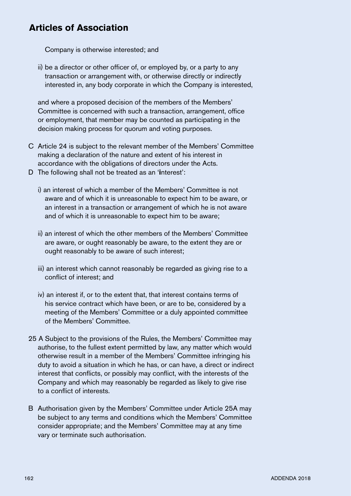Company is otherwise interested; and

ii) be a director or other officer of, or employed by, or a party to any transaction or arrangement with, or otherwise directly or indirectly interested in, any body corporate in which the Company is interested,

and where a proposed decision of the members of the Members' Committee is concerned with such a transaction, arrangement, office or employment, that member may be counted as participating in the decision making process for quorum and voting purposes.

- C Article 24 is subject to the relevant member of the Members' Committee making a declaration of the nature and extent of his interest in accordance with the obligations of directors under the Acts.
- D The following shall not be treated as an '**i**nterest':
	- i) an interest of which a member of the Members' Committee is not aware and of which it is unreasonable to expect him to be aware, or an interest in a transaction or arrangement of which he is not aware and of which it is unreasonable to expect him to be aware;
	- ii) an interest of which the other members of the Members' Committee are aware, or ought reasonably be aware, to the extent they are or ought reasonably to be aware of such interest;
	- iii) an interest which cannot reasonably be regarded as giving rise to a conflict of interest; and
	- iv) an interest if, or to the extent that, that interest contains terms of his service contract which have been, or are to be, considered by a meeting of the Members' Committee or a duly appointed committee of the Members' Committee.
- 25 A Subject to the provisions of the Rules, the Members' Committee may authorise, to the fullest extent permitted by law, any matter which would otherwise result in a member of the Members' Committee infringing his duty to avoid a situation in which he has, or can have, a direct or indirect interest that conflicts, or possibly may conflict, with the interests of the Company and which may reasonably be regarded as likely to give rise to a conflict of interests.
- B Authorisation given by the Members' Committee under Article 25A may be subject to any terms and conditions which the Members' Committee consider appropriate; and the Members' Committee may at any time vary or terminate such authorisation.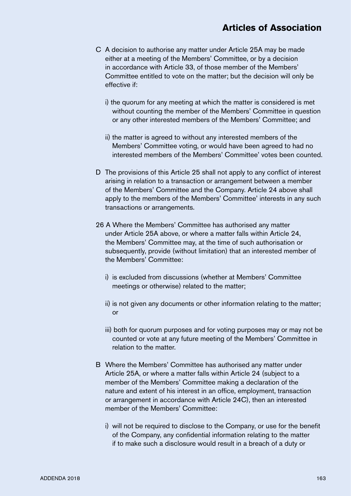- C A decision to authorise any matter under Article 25A may be made either at a meeting of the Members' Committee, or by a decision in accordance with Article 33, of those member of the Members' Committee entitled to vote on the matter; but the decision will only be effective if:
	- i) the quorum for any meeting at which the matter is considered is met without counting the member of the Members' Committee in question or any other interested members of the Members' Committee; and
	- ii) the matter is agreed to without any interested members of the Members' Committee voting, or would have been agreed to had no interested members of the Members' Committee' votes been counted.
- D The provisions of this Article 25 shall not apply to any conflict of interest arising in relation to a transaction or arrangement between a member of the Members' Committee and the Company. Article 24 above shall apply to the members of the Members' Committee' interests in any such transactions or arrangements.
- 26 A Where the Members' Committee has authorised any matter under Article 25A above, or where a matter falls within Article 24, the Members' Committee may, at the time of such authorisation or subsequently, provide (without limitation) that an interested member of the Members' Committee:
	- i) is excluded from discussions (whether at Members' Committee meetings or otherwise) related to the matter;
	- ii) is not given any documents or other information relating to the matter; or
	- iii) both for quorum purposes and for voting purposes may or may not be counted or vote at any future meeting of the Members' Committee in relation to the matter.
- B Where the Members' Committee has authorised any matter under Article 25A, or where a matter falls within Article 24 (subject to a member of the Members' Committee making a declaration of the nature and extent of his interest in an office, employment, transaction or arrangement in accordance with Article 24C), then an interested member of the Members' Committee:
	- i) will not be required to disclose to the Company, or use for the benefit of the Company, any confidential information relating to the matter if to make such a disclosure would result in a breach of a duty or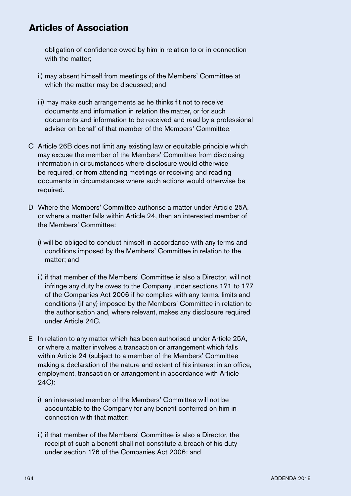obligation of confidence owed by him in relation to or in connection with the matter;

- ii) may absent himself from meetings of the Members' Committee at which the matter may be discussed; and
- iii) may make such arrangements as he thinks fit not to receive documents and information in relation the matter, or for such documents and information to be received and read by a professional adviser on behalf of that member of the Members' Committee.
- C Article 26B does not limit any existing law or equitable principle which may excuse the member of the Members' Committee from disclosing information in circumstances where disclosure would otherwise be required, or from attending meetings or receiving and reading documents in circumstances where such actions would otherwise be required.
- D Where the Members' Committee authorise a matter under Article 25A, or where a matter falls within Article 24, then an interested member of the Members' Committee:
	- i) will be obliged to conduct himself in accordance with any terms and conditions imposed by the Members' Committee in relation to the matter; and
	- ii) if that member of the Members' Committee is also a Director, will not infringe any duty he owes to the Company under sections 171 to 177 of the Companies Act 2006 if he complies with any terms, limits and conditions (if any) imposed by the Members' Committee in relation to the authorisation and, where relevant, makes any disclosure required under Article 24C.
- E In relation to any matter which has been authorised under Article 25A, or where a matter involves a transaction or arrangement which falls within Article 24 (subject to a member of the Members' Committee making a declaration of the nature and extent of his interest in an office, employment, transaction or arrangement in accordance with Article 24C):
	- i) an interested member of the Members' Committee will not be accountable to the Company for any benefit conferred on him in connection with that matter;
	- ii) if that member of the Members' Committee is also a Director, the receipt of such a benefit shall not constitute a breach of his duty under section 176 of the Companies Act 2006; and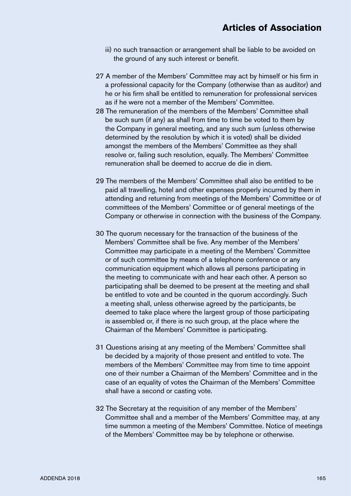- iii) no such transaction or arrangement shall be liable to be avoided on the ground of any such interest or benefit.
- 27 A member of the Members' Committee may act by himself or his firm in a professional capacity for the Company (otherwise than as auditor) and he or his firm shall be entitled to remuneration for professional services as if he were not a member of the Members' Committee.
- 28 The remuneration of the members of the Members' Committee shall be such sum (if any) as shall from time to time be voted to them by the Company in general meeting, and any such sum (unless otherwise determined by the resolution by which it is voted) shall be divided amongst the members of the Members' Committee as they shall resolve or, failing such resolution, equally. The Members' Committee remuneration shall be deemed to accrue de die in diem.
- 29 The members of the Members' Committee shall also be entitled to be paid all travelling, hotel and other expenses properly incurred by them in attending and returning from meetings of the Members' Committee or of committees of the Members' Committee or of general meetings of the Company or otherwise in connection with the business of the Company.
- 30 The quorum necessary for the transaction of the business of the Members' Committee shall be five. Any member of the Members' Committee may participate in a meeting of the Members' Committee or of such committee by means of a telephone conference or any communication equipment which allows all persons participating in the meeting to communicate with and hear each other. A person so participating shall be deemed to be present at the meeting and shall be entitled to vote and be counted in the quorum accordingly. Such a meeting shall, unless otherwise agreed by the participants, be deemed to take place where the largest group of those participating is assembled or, if there is no such group, at the place where the Chairman of the Members' Committee is participating.
- 31 Questions arising at any meeting of the Members' Committee shall be decided by a majority of those present and entitled to vote. The members of the Members' Committee may from time to time appoint one of their number a Chairman of the Members' Committee and in the case of an equality of votes the Chairman of the Members' Committee shall have a second or casting vote.
- 32 The Secretary at the requisition of any member of the Members' Committee shall and a member of the Members' Committee may, at any time summon a meeting of the Members' Committee. Notice of meetings of the Members' Committee may be by telephone or otherwise.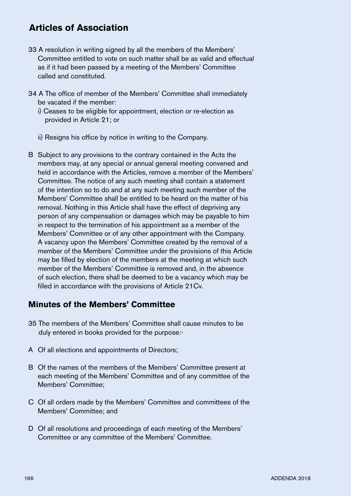- 33 A resolution in writing signed by all the members of the Members' Committee entitled to vote on such matter shall be as valid and effectual as if it had been passed by a meeting of the Members' Committee called and constituted.
- 34 A The office of member of the Members' Committee shall immediately be vacated if the member:

i) Ceases to be eligible for appointment, election or re-election as provided in Article 21; or

- ii) Resigns his office by notice in writing to the Company.
- B Subject to any provisions to the contrary contained in the Acts the members may, at any special or annual general meeting convened and held in accordance with the Articles, remove a member of the Members' Committee. The notice of any such meeting shall contain a statement of the intention so to do and at any such meeting such member of the Members' Committee shall be entitled to be heard on the matter of his removal. Nothing in this Article shall have the effect of depriving any person of any compensation or damages which may be payable to him in respect to the termination of his appointment as a member of the Members' Committee or of any other appointment with the Company. A vacancy upon the Members' Committee created by the removal of a member of the Members' Committee under the provisions of this Article may be filled by election of the members at the meeting at which such member of the Members' Committee is removed and, in the absence of such election, there shall be deemed to be a vacancy which may be filled in accordance with the provisions of Article 21Cv.

#### **Minutes of the Members' Committee**

- 35 The members of the Members' Committee shall cause minutes to be duly entered in books provided for the purpose:-
- A Of all elections and appointments of Directors;
- B Of the names of the members of the Members' Committee present at each meeting of the Members' Committee and of any committee of the Members' Committee;
- C Of all orders made by the Members' Committee and committees of the Members' Committee; and
- D Of all resolutions and proceedings of each meeting of the Members' Committee or any committee of the Members' Committee.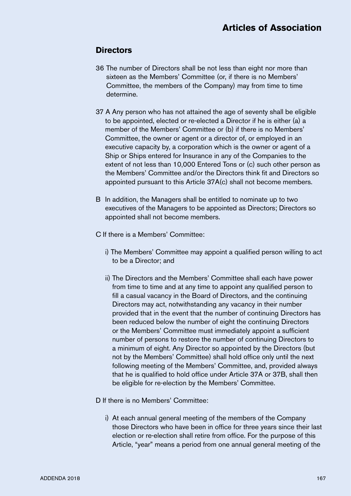## **Directors**

- 36 The number of Directors shall be not less than eight nor more than sixteen as the Members' Committee (or, if there is no Members' Committee, the members of the Company) may from time to time determine.
- 37 A Any person who has not attained the age of seventy shall be eligible to be appointed, elected or re-elected a Director if he is either (a) a member of the Members' Committee or (b) if there is no Members' Committee, the owner or agent or a director of, or employed in an executive capacity by, a corporation which is the owner or agent of a Ship or Ships entered for Insurance in any of the Companies to the extent of not less than 10,000 Entered Tons or (c) such other person as the Members' Committee and/or the Directors think fit and Directors so appointed pursuant to this Article 37A(c) shall not become members.
- B In addition, the Managers shall be entitled to nominate up to two executives of the Managers to be appointed as Directors; Directors so appointed shall not become members.
- C If there is a Members' Committee:
	- i) The Members' Committee may appoint a qualified person willing to act to be a Director; and
	- ii) The Directors and the Members' Committee shall each have power from time to time and at any time to appoint any qualified person to fill a casual vacancy in the Board of Directors, and the continuing Directors may act, notwithstanding any vacancy in their number provided that in the event that the number of continuing Directors has been reduced below the number of eight the continuing Directors or the Members' Committee must immediately appoint a sufficient number of persons to restore the number of continuing Directors to a minimum of eight. Any Director so appointed by the Directors (but not by the Members' Committee) shall hold office only until the next following meeting of the Members' Committee, and, provided always that he is qualified to hold office under Article 37A or 37B, shall then be eligible for re-election by the Members' Committee.

D If there is no Members' Committee:

i) At each annual general meeting of the members of the Company those Directors who have been in office for three years since their last election or re-election shall retire from office. For the purpose of this Article, "year" means a period from one annual general meeting of the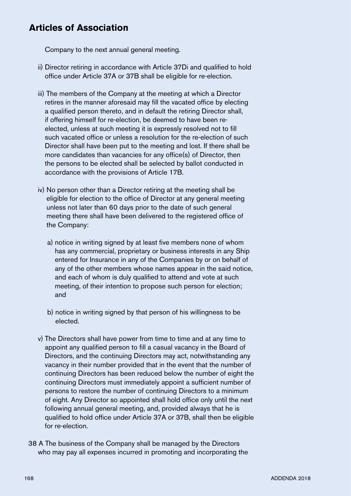Company to the next annual general meeting.

- ii) Director retiring in accordance with Article 37Di and qualified to hold office under Article 37A or 37B shall be eligible for re-election.
- iii) The members of the Company at the meeting at which a Director retires in the manner aforesaid may fill the vacated office by electing a qualified person thereto, and in default the retiring Director shall, if offering himself for re-election, be deemed to have been reelected, unless at such meeting it is expressly resolved not to fill such vacated office or unless a resolution for the re-election of such Director shall have been put to the meeting and lost. If there shall be more candidates than vacancies for any office(s) of Director, then the persons to be elected shall be selected by ballot conducted in accordance with the provisions of Article 17B.
- iv) No person other than a Director retiring at the meeting shall be eligible for election to the office of Director at any general meeting unless not later than 60 days prior to the date of such general meeting there shall have been delivered to the registered office of the Company:
	- a) notice in writing signed by at least five members none of whom has any commercial, proprietary or business interests in any Ship entered for Insurance in any of the Companies by or on behalf of any of the other members whose names appear in the said notice, and each of whom is duly qualified to attend and vote at such meeting, of their intention to propose such person for election; and
	- b) notice in writing signed by that person of his willingness to be elected.
- v) The Directors shall have power from time to time and at any time to appoint any qualified person to fill a casual vacancy in the Board of Directors, and the continuing Directors may act, notwithstanding any vacancy in their number provided that in the event that the number of continuing Directors has been reduced below the number of eight the continuing Directors must immediately appoint a sufficient number of persons to restore the number of continuing Directors to a minimum of eight. Any Director so appointed shall hold office only until the next following annual general meeting, and, provided always that he is qualified to hold office under Article 37A or 37B, shall then be eligible for re-election.
- 38 A The business of the Company shall be managed by the Directors who may pay all expenses incurred in promoting and incorporating the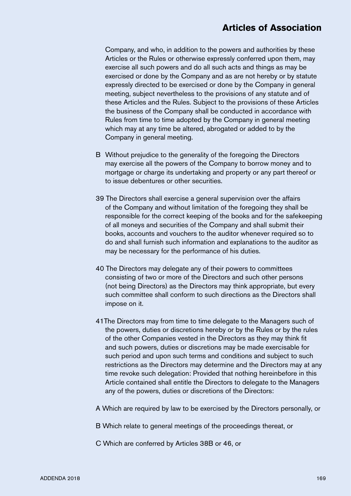Company, and who, in addition to the powers and authorities by these Articles or the Rules or otherwise expressly conferred upon them, may exercise all such powers and do all such acts and things as may be exercised or done by the Company and as are not hereby or by statute expressly directed to be exercised or done by the Company in general meeting, subject nevertheless to the provisions of any statute and of these Articles and the Rules. Subject to the provisions of these Articles the business of the Company shall be conducted in accordance with Rules from time to time adopted by the Company in general meeting which may at any time be altered, abrogated or added to by the Company in general meeting.

- B Without prejudice to the generality of the foregoing the Directors may exercise all the powers of the Company to borrow money and to mortgage or charge its undertaking and property or any part thereof or to issue debentures or other securities.
- 39 The Directors shall exercise a general supervision over the affairs of the Company and without limitation of the foregoing they shall be responsible for the correct keeping of the books and for the safekeeping of all moneys and securities of the Company and shall submit their books, accounts and vouchers to the auditor whenever required so to do and shall furnish such information and explanations to the auditor as may be necessary for the performance of his duties.
- 40 The Directors may delegate any of their powers to committees consisting of two or more of the Directors and such other persons (not being Directors) as the Directors may think appropriate, but every such committee shall conform to such directions as the Directors shall impose on it.
- 41The Directors may from time to time delegate to the Managers such of the powers, duties or discretions hereby or by the Rules or by the rules of the other Companies vested in the Directors as they may think fit and such powers, duties or discretions may be made exercisable for such period and upon such terms and conditions and subject to such restrictions as the Directors may determine and the Directors may at any time revoke such delegation: Provided that nothing hereinbefore in this Article contained shall entitle the Directors to delegate to the Managers any of the powers, duties or discretions of the Directors:
- A Which are required by law to be exercised by the Directors personally, or
- B Which relate to general meetings of the proceedings thereat, or
- C Which are conferred by Articles 38B or 46, or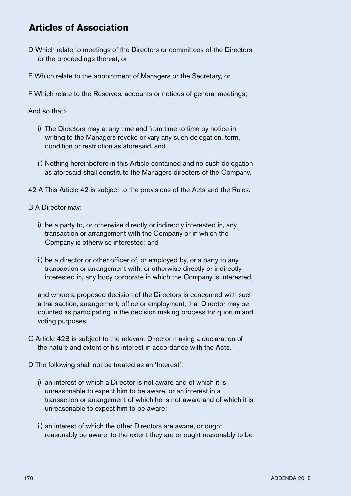- D Which relate to meetings of the Directors or committees of the Directors or the proceedings thereat, or
- E Which relate to the appointment of Managers or the Secretary, or

F Which relate to the Reserves, accounts or notices of general meetings;

And so that:-

- i) The Directors may at any time and from time to time by notice in writing to the Managers revoke or vary any such delegation, term, condition or restriction as aforesaid, and
- ii) Nothing hereinbefore in this Article contained and no such delegation as aforesaid shall constitute the Managers directors of the Company.
- 42 A This Article 42 is subject to the provisions of the Acts and the Rules.

B A Director may:

- i) be a party to, or otherwise directly or indirectly interested in, any transaction or arrangement with the Company or in which the Company is otherwise interested; and
- ii) be a director or other officer of, or employed by, or a party to any transaction or arrangement with, or otherwise directly or indirectly interested in, any body corporate in which the Company is interested,

and where a proposed decision of the Directors is concerned with such a transaction, arrangement, office or employment, that Director may be counted as participating in the decision making process for quorum and voting purposes.

- C Article 42B is subject to the relevant Director making a declaration of the nature and extent of his interest in accordance with the Acts.
- D The following shall not be treated as an '**i**nterest':
	- i) an interest of which a Director is not aware and of which it is unreasonable to expect him to be aware, or an interest in a transaction or arrangement of which he is not aware and of which it is unreasonable to expect him to be aware;
	- ii) an interest of which the other Directors are aware, or ought reasonably be aware, to the extent they are or ought reasonably to be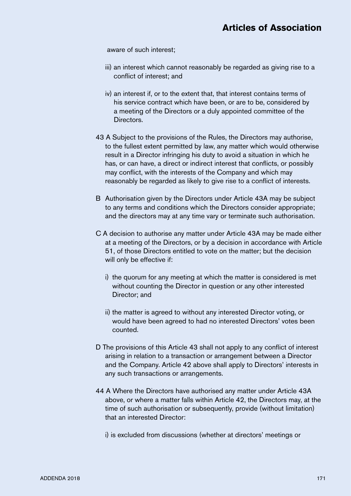aware of such interest;

- iii) an interest which cannot reasonably be regarded as giving rise to a conflict of interest; and
- iv) an interest if, or to the extent that, that interest contains terms of his service contract which have been, or are to be, considered by a meeting of the Directors or a duly appointed committee of the Directors.
- 43 A Subject to the provisions of the Rules, the Directors may authorise, to the fullest extent permitted by law, any matter which would otherwise result in a Director infringing his duty to avoid a situation in which he has, or can have, a direct or indirect interest that conflicts, or possibly may conflict, with the interests of the Company and which may reasonably be regarded as likely to give rise to a conflict of interests.
- B Authorisation given by the Directors under Article 43A may be subject to any terms and conditions which the Directors consider appropriate; and the directors may at any time vary or terminate such authorisation.
- C A decision to authorise any matter under Article 43A may be made either at a meeting of the Directors, or by a decision in accordance with Article 51, of those Directors entitled to vote on the matter; but the decision will only be effective if:
	- i) the quorum for any meeting at which the matter is considered is met without counting the Director in question or any other interested Director; and
	- ii) the matter is agreed to without any interested Director voting, or would have been agreed to had no interested Directors' votes been counted.
- D The provisions of this Article 43 shall not apply to any conflict of interest arising in relation to a transaction or arrangement between a Director and the Company. Article 42 above shall apply to Directors' interests in any such transactions or arrangements.
- 44 A Where the Directors have authorised any matter under Article 43A above, or where a matter falls within Article 42, the Directors may, at the time of such authorisation or subsequently, provide (without limitation) that an interested Director:

i) is excluded from discussions (whether at directors' meetings or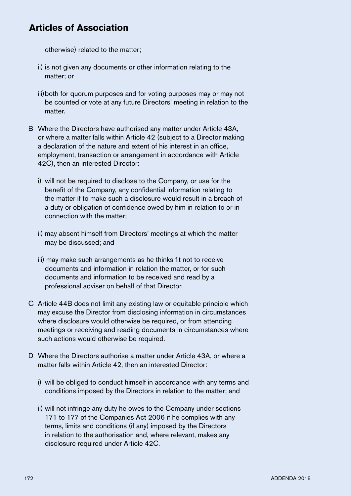otherwise) related to the matter;

- ii) is not given any documents or other information relating to the matter; or
- iii) both for quorum purposes and for voting purposes may or may not be counted or vote at any future Directors' meeting in relation to the matter.
- B Where the Directors have authorised any matter under Article 43A, or where a matter falls within Article 42 (subject to a Director making a declaration of the nature and extent of his interest in an office, employment, transaction or arrangement in accordance with Article 42C), then an interested Director:
	- i) will not be required to disclose to the Company, or use for the benefit of the Company, any confidential information relating to the matter if to make such a disclosure would result in a breach of a duty or obligation of confidence owed by him in relation to or in connection with the matter;
	- ii) may absent himself from Directors' meetings at which the matter may be discussed; and
	- iii) may make such arrangements as he thinks fit not to receive documents and information in relation the matter, or for such documents and information to be received and read by a professional adviser on behalf of that Director.
- C Article 44B does not limit any existing law or equitable principle which may excuse the Director from disclosing information in circumstances where disclosure would otherwise be required, or from attending meetings or receiving and reading documents in circumstances where such actions would otherwise be required.
- D Where the Directors authorise a matter under Article 43A, or where a matter falls within Article 42, then an interested Director:
	- i) will be obliged to conduct himself in accordance with any terms and conditions imposed by the Directors in relation to the matter; and
	- ii) will not infringe any duty he owes to the Company under sections 171 to 177 of the Companies Act 2006 if he complies with any terms, limits and conditions (if any) imposed by the Directors in relation to the authorisation and, where relevant, makes any disclosure required under Article 42C.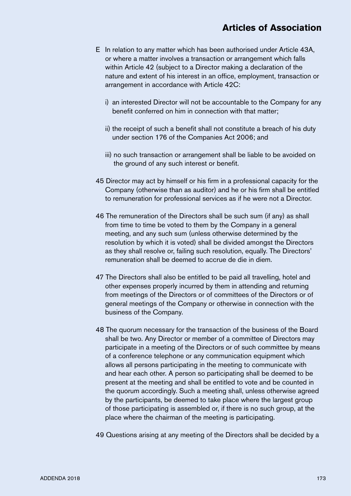- E In relation to any matter which has been authorised under Article 43A, or where a matter involves a transaction or arrangement which falls within Article 42 (subject to a Director making a declaration of the nature and extent of his interest in an office, employment, transaction or arrangement in accordance with Article 42C:
	- i) an interested Director will not be accountable to the Company for any benefit conferred on him in connection with that matter;
	- ii) the receipt of such a benefit shall not constitute a breach of his duty under section 176 of the Companies Act 2006; and
	- iii) no such transaction or arrangement shall be liable to be avoided on the ground of any such interest or benefit.
- 45 Director may act by himself or his firm in a professional capacity for the Company (otherwise than as auditor) and he or his firm shall be entitled to remuneration for professional services as if he were not a Director.
- 46 The remuneration of the Directors shall be such sum (if any) as shall from time to time be voted to them by the Company in a general meeting, and any such sum (unless otherwise determined by the resolution by which it is voted) shall be divided amongst the Directors as they shall resolve or, failing such resolution, equally. The Directors' remuneration shall be deemed to accrue de die in diem.
- 47 The Directors shall also be entitled to be paid all travelling, hotel and other expenses properly incurred by them in attending and returning from meetings of the Directors or of committees of the Directors or of general meetings of the Company or otherwise in connection with the business of the Company.
- 48 The quorum necessary for the transaction of the business of the Board shall be two. Any Director or member of a committee of Directors may participate in a meeting of the Directors or of such committee by means of a conference telephone or any communication equipment which allows all persons participating in the meeting to communicate with and hear each other. A person so participating shall be deemed to be present at the meeting and shall be entitled to vote and be counted in the quorum accordingly. Such a meeting shall, unless otherwise agreed by the participants, be deemed to take place where the largest group of those participating is assembled or, if there is no such group, at the place where the chairman of the meeting is participating.
- 49 Questions arising at any meeting of the Directors shall be decided by a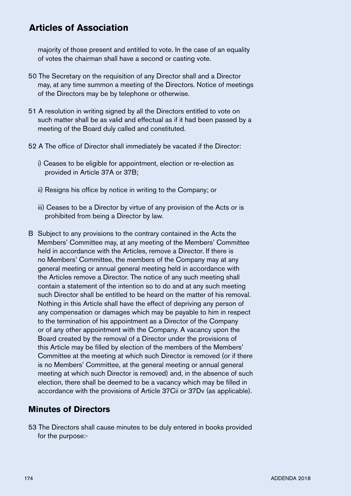majority of those present and entitled to vote. In the case of an equality of votes the chairman shall have a second or casting vote.

- 50 The Secretary on the requisition of any Director shall and a Director may, at any time summon a meeting of the Directors. Notice of meetings of the Directors may be by telephone or otherwise.
- 51 A resolution in writing signed by all the Directors entitled to vote on such matter shall be as valid and effectual as if it had been passed by a meeting of the Board duly called and constituted.
- 52 A The office of Director shall immediately be vacated if the Director:
	- i) Ceases to be eligible for appointment, election or re-election as provided in Article 37A or 37B;
	- ii) Resigns his office by notice in writing to the Company; or
	- iii) Ceases to be a Director by virtue of any provision of the Acts or is prohibited from being a Director by law.
- B Subject to any provisions to the contrary contained in the Acts the Members' Committee may, at any meeting of the Members' Committee held in accordance with the Articles, remove a Director. If there is no Members' Committee, the members of the Company may at any general meeting or annual general meeting held in accordance with the Articles remove a Director. The notice of any such meeting shall contain a statement of the intention so to do and at any such meeting such Director shall be entitled to be heard on the matter of his removal. Nothing in this Article shall have the effect of depriving any person of any compensation or damages which may be payable to him in respect to the termination of his appointment as a Director of the Company or of any other appointment with the Company. A vacancy upon the Board created by the removal of a Director under the provisions of this Article may be filled by election of the members of the Members' Committee at the meeting at which such Director is removed (or if there is no Members' Committee, at the general meeting or annual general meeting at which such Director is removed) and, in the absence of such election, there shall be deemed to be a vacancy which may be filled in accordance with the provisions of Article 37Cii or 37Dv (as applicable).

#### **Minutes of Directors**

53 The Directors shall cause minutes to be duly entered in books provided for the purpose:-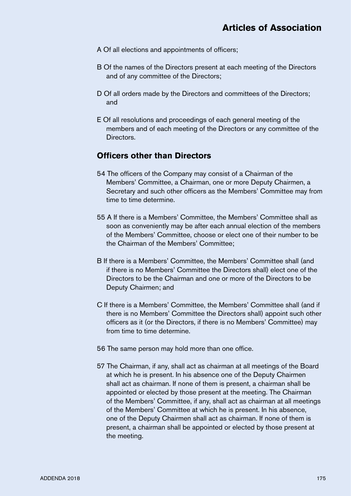- A Of all elections and appointments of officers;
- B Of the names of the Directors present at each meeting of the Directors and of any committee of the Directors;
- D Of all orders made by the Directors and committees of the Directors; and
- E Of all resolutions and proceedings of each general meeting of the members and of each meeting of the Directors or any committee of the Directors.

## **Officers other than Directors**

- 54 The officers of the Company may consist of a Chairman of the Members' Committee, a Chairman, one or more Deputy Chairmen, a Secretary and such other officers as the Members' Committee may from time to time determine.
- 55 A If there is a Members' Committee, the Members' Committee shall as soon as conveniently may be after each annual election of the members of the Members' Committee, choose or elect one of their number to be the Chairman of the Members' Committee;
- B If there is a Members' Committee, the Members' Committee shall (and if there is no Members' Committee the Directors shall) elect one of the Directors to be the Chairman and one or more of the Directors to be Deputy Chairmen; and
- C If there is a Members' Committee, the Members' Committee shall (and if there is no Members' Committee the Directors shall) appoint such other officers as it (or the Directors, if there is no Members' Committee) may from time to time determine.
- 56 The same person may hold more than one office.
- 57 The Chairman, if any, shall act as chairman at all meetings of the Board at which he is present. In his absence one of the Deputy Chairmen shall act as chairman. If none of them is present, a chairman shall be appointed or elected by those present at the meeting. The Chairman of the Members' Committee, if any, shall act as chairman at all meetings of the Members' Committee at which he is present. In his absence, one of the Deputy Chairmen shall act as chairman. If none of them is present, a chairman shall be appointed or elected by those present at the meeting.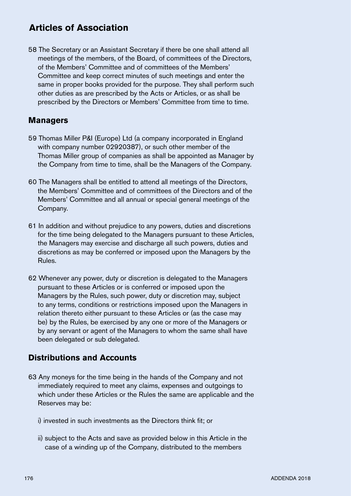58 The Secretary or an Assistant Secretary if there be one shall attend all meetings of the members, of the Board, of committees of the Directors, of the Members' Committee and of committees of the Members' Committee and keep correct minutes of such meetings and enter the same in proper books provided for the purpose. They shall perform such other duties as are prescribed by the Acts or Articles, or as shall be prescribed by the Directors or Members' Committee from time to time.

#### **Managers**

- 59 Thomas Miller P&I (Europe) Ltd (a company incorporated in England with company number 02920387), or such other member of the Thomas Miller group of companies as shall be appointed as Manager by the Company from time to time, shall be the Managers of the Company.
- 60 The Managers shall be entitled to attend all meetings of the Directors, the Members' Committee and of committees of the Directors and of the Members' Committee and all annual or special general meetings of the Company.
- 61 In addition and without prejudice to any powers, duties and discretions for the time being delegated to the Managers pursuant to these Articles, the Managers may exercise and discharge all such powers, duties and discretions as may be conferred or imposed upon the Managers by the Rules.
- 62 Whenever any power, duty or discretion is delegated to the Managers pursuant to these Articles or is conferred or imposed upon the Managers by the Rules, such power, duty or discretion may, subject to any terms, conditions or restrictions imposed upon the Managers in relation thereto either pursuant to these Articles or (as the case may be) by the Rules, be exercised by any one or more of the Managers or by any servant or agent of the Managers to whom the same shall have been delegated or sub delegated.

## **Distributions and Accounts**

- 63 Any moneys for the time being in the hands of the Company and not immediately required to meet any claims, expenses and outgoings to which under these Articles or the Rules the same are applicable and the Reserves may be:
	- i) invested in such investments as the Directors think fit; or
	- ii) subject to the Acts and save as provided below in this Article in the case of a winding up of the Company, distributed to the members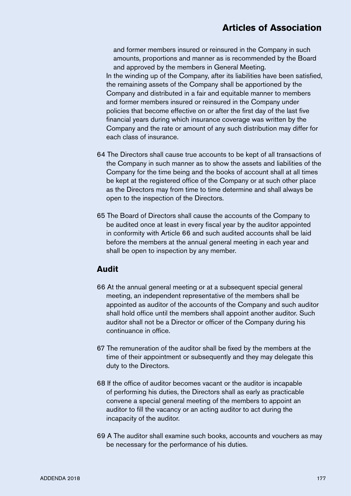and former members insured or reinsured in the Company in such amounts, proportions and manner as is recommended by the Board and approved by the members in General Meeting. In the winding up of the Company, after its liabilities have been satisfied, the remaining assets of the Company shall be apportioned by the Company and distributed in a fair and equitable manner to members and former members insured or reinsured in the Company under policies that become effective on or after the first day of the last five financial years during which insurance coverage was written by the Company and the rate or amount of any such distribution may differ for each class of insurance.

- 64 The Directors shall cause true accounts to be kept of all transactions of the Company in such manner as to show the assets and liabilities of the Company for the time being and the books of account shall at all times be kept at the registered office of the Company or at such other place as the Directors may from time to time determine and shall always be open to the inspection of the Directors.
- 65 The Board of Directors shall cause the accounts of the Company to be audited once at least in every fiscal year by the auditor appointed in conformity with Article 66 and such audited accounts shall be laid before the members at the annual general meeting in each year and shall be open to inspection by any member.

#### **Audit**

- 66 At the annual general meeting or at a subsequent special general meeting, an independent representative of the members shall be appointed as auditor of the accounts of the Company and such auditor shall hold office until the members shall appoint another auditor. Such auditor shall not be a Director or officer of the Company during his continuance in office.
- 67 The remuneration of the auditor shall be fixed by the members at the time of their appointment or subsequently and they may delegate this duty to the Directors.
- 68 If the office of auditor becomes vacant or the auditor is incapable of performing his duties, the Directors shall as early as practicable convene a special general meeting of the members to appoint an auditor to fill the vacancy or an acting auditor to act during the incapacity of the auditor.
- 69 A The auditor shall examine such books, accounts and vouchers as may be necessary for the performance of his duties.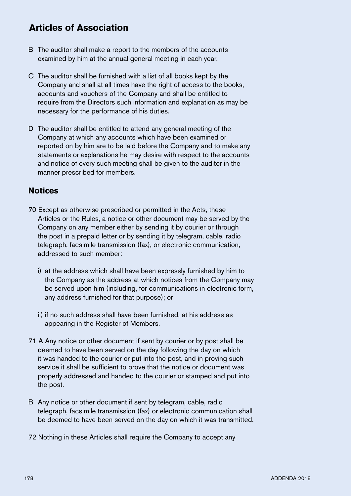- B The auditor shall make a report to the members of the accounts examined by him at the annual general meeting in each year.
- C The auditor shall be furnished with a list of all books kept by the Company and shall at all times have the right of access to the books, accounts and vouchers of the Company and shall be entitled to require from the Directors such information and explanation as may be necessary for the performance of his duties.
- D The auditor shall be entitled to attend any general meeting of the Company at which any accounts which have been examined or reported on by him are to be laid before the Company and to make any statements or explanations he may desire with respect to the accounts and notice of every such meeting shall be given to the auditor in the manner prescribed for members.

#### **Notices**

- 70 Except as otherwise prescribed or permitted in the Acts, these Articles or the Rules, a notice or other document may be served by the Company on any member either by sending it by courier or through the post in a prepaid letter or by sending it by telegram, cable, radio telegraph, facsimile transmission (fax), or electronic communication, addressed to such member:
	- i) at the address which shall have been expressly furnished by him to the Company as the address at which notices from the Company may be served upon him (including, for communications in electronic form, any address furnished for that purpose); or
	- ii) if no such address shall have been furnished, at his address as appearing in the Register of Members.
- 71 A Any notice or other document if sent by courier or by post shall be deemed to have been served on the day following the day on which it was handed to the courier or put into the post, and in proving such service it shall be sufficient to prove that the notice or document was properly addressed and handed to the courier or stamped and put into the post.
- B Any notice or other document if sent by telegram, cable, radio telegraph, facsimile transmission (fax) or electronic communication shall be deemed to have been served on the day on which it was transmitted.
- 72 Nothing in these Articles shall require the Company to accept any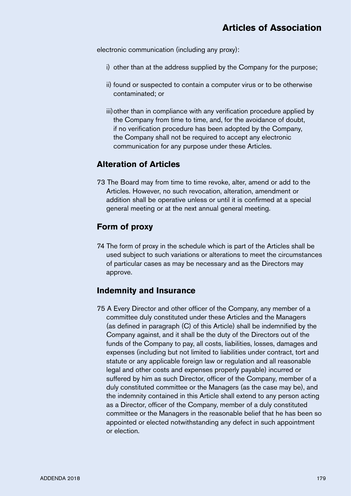electronic communication (including any proxy):

- i) other than at the address supplied by the Company for the purpose;
- ii) found or suspected to contain a computer virus or to be otherwise contaminated; or
- iii)other than in compliance with any verification procedure applied by the Company from time to time, and, for the avoidance of doubt, if no verification procedure has been adopted by the Company, the Company shall not be required to accept any electronic communication for any purpose under these Articles.

## **Alteration of Articles**

73 The Board may from time to time revoke, alter, amend or add to the Articles. However, no such revocation, alteration, amendment or addition shall be operative unless or until it is confirmed at a special general meeting or at the next annual general meeting.

## **Form of proxy**

74 The form of proxy in the schedule which is part of the Articles shall be used subject to such variations or alterations to meet the circumstances of particular cases as may be necessary and as the Directors may approve.

# **Indemnity and Insurance**

75 A Every Director and other officer of the Company, any member of a committee duly constituted under these Articles and the Managers (as defined in paragraph (C) of this Article) shall be indemnified by the Company against, and it shall be the duty of the Directors out of the funds of the Company to pay, all costs, liabilities, losses, damages and expenses (including but not limited to liabilities under contract, tort and statute or any applicable foreign law or regulation and all reasonable legal and other costs and expenses properly payable) incurred or suffered by him as such Director, officer of the Company, member of a duly constituted committee or the Managers (as the case may be), and the indemnity contained in this Article shall extend to any person acting as a Director, officer of the Company, member of a duly constituted committee or the Managers in the reasonable belief that he has been so appointed or elected notwithstanding any defect in such appointment or election.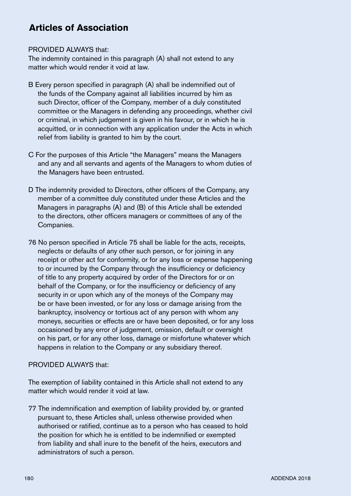#### PROVIDED ALWAYS that:

The indemnity contained in this paragraph (A) shall not extend to any matter which would render it void at law.

- B Every person specified in paragraph (A) shall be indemnified out of the funds of the Company against all liabilities incurred by him as such Director, officer of the Company, member of a duly constituted committee or the Managers in defending any proceedings, whether civil or criminal, in which judgement is given in his favour, or in which he is acquitted, or in connection with any application under the Acts in which relief from liability is granted to him by the court.
- C For the purposes of this Article "the Managers" means the Managers and any and all servants and agents of the Managers to whom duties of the Managers have been entrusted.
- D The indemnity provided to Directors, other officers of the Company, any member of a committee duly constituted under these Articles and the Managers in paragraphs (A) and (B) of this Article shall be extended to the directors, other officers managers or committees of any of the Companies.
- 76 No person specified in Article 75 shall be liable for the acts, receipts, neglects or defaults of any other such person, or for joining in any receipt or other act for conformity, or for any loss or expense happening to or incurred by the Company through the insufficiency or deficiency of title to any property acquired by order of the Directors for or on behalf of the Company, or for the insufficiency or deficiency of any security in or upon which any of the moneys of the Company may be or have been invested, or for any loss or damage arising from the bankruptcy, insolvency or tortious act of any person with whom any moneys, securities or effects are or have been deposited, or for any loss occasioned by any error of judgement, omission, default or oversight on his part, or for any other loss, damage or misfortune whatever which happens in relation to the Company or any subsidiary thereof.

#### PROVIDED ALWAYS that:

The exemption of liability contained in this Article shall not extend to any matter which would render it void at law.

77 The indemnification and exemption of liability provided by, or granted pursuant to, these Articles shall, unless otherwise provided when authorised or ratified, continue as to a person who has ceased to hold the position for which he is entitled to be indemnified or exempted from liability and shall inure to the benefit of the heirs, executors and administrators of such a person.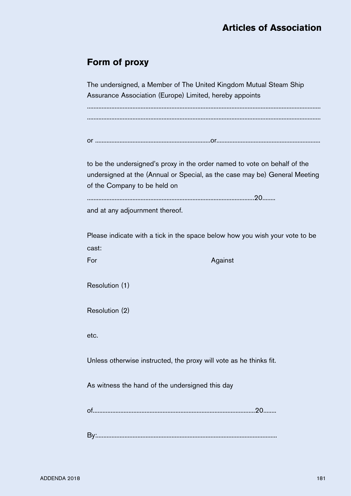# **Form of proxy**

The undersigned, a Member of The United Kingdom Mutual Steam Ship Assurance Association (Europe) Limited, hereby appoints ................................................................................................................................................ ................................................................................................................................................

```
or .......................................................................or................................................................
```
to be the undersigned's proxy in the order named to vote on behalf of the undersigned at the (Annual or Special, as the case may be) General Meeting of the Company to be held on

```
.......................................................................................................20........
```
and at any adjournment thereof.

Please indicate with a tick in the space below how you wish your vote to be cast:

For Against Against Against Against

Resolution (1)

Resolution (2)

etc.

Unless otherwise instructed, the proxy will vote as he thinks fit.

As witness the hand of the undersigned this day

of....................................................................................................20........

By:...............................................................................................................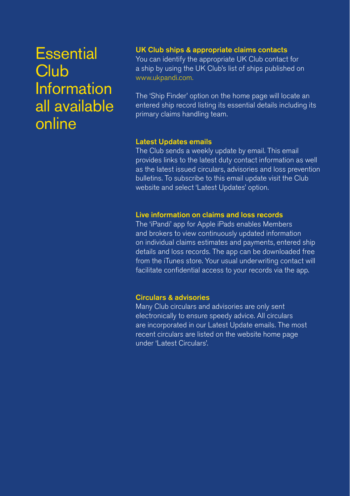# **Essential Club** Information all available online

## UK Club ships & appropriate claims contacts

You can identify the appropriate UK Club contact for a ship by using the UK Club's list of ships published on www.ukpandi.com.

The 'Ship Finder' option on the home page will locate an entered ship record listing its essential details including its primary claims handling team.

#### Latest Updates emails

The Club sends a weekly update by email. This email provides links to the latest duty contact information as well as the latest issued circulars, advisories and loss prevention bulletins. To subscribe to this email update visit the Club website and select 'Latest Updates' option.

#### Live information on claims and loss records

The 'iPandi' app for Apple iPads enables Members and brokers to view continuously updated information on individual claims estimates and payments, entered ship details and loss records. The app can be downloaded free from the iTunes store. Your usual underwriting contact will facilitate confidential access to your records via the app.

#### Circulars & advisories

Many Club circulars and advisories are only sent electronically to ensure speedy advice. All circulars are incorporated in our Latest Update emails. The most recent circulars are listed on the website home page under 'Latest Circulars'.